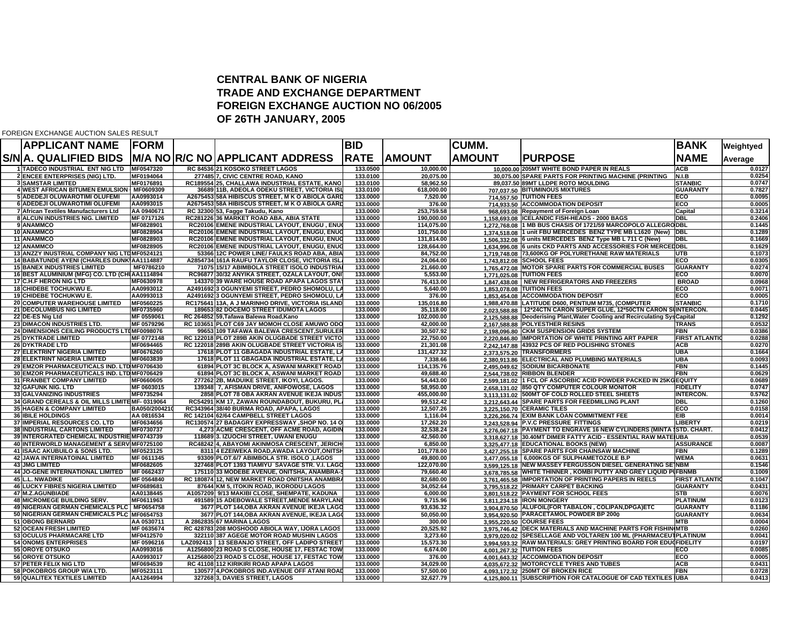## **CENTRAL BANK OF NIGERI A TRADE AND EXCHANGE DEPARTMEN T FOREIGN EXCHANGE AUCTION NO 06/2005OF 26TH JANUARY, 200 5**

FOREIGN EXCHANGE AUCTION SALES RESULT

| <b>APPLICANT NAME</b>                                                            | <b>FORM</b>            |                                                                                            | <b>BID</b>           |                          | <b>CUMM.</b>  |                                                                                                                           | <b>BANK</b>                   | Weightyed        |
|----------------------------------------------------------------------------------|------------------------|--------------------------------------------------------------------------------------------|----------------------|--------------------------|---------------|---------------------------------------------------------------------------------------------------------------------------|-------------------------------|------------------|
| S/N A. QUALIFIED BIDS                                                            |                        | M/A NO R/C NO APPLICANT ADDRESS                                                            | <b>RATE</b>          | <b>IAMOUNT</b>           | <b>AMOUNT</b> | <b>IPURPOSE</b>                                                                                                           | <b>NAME</b>                   | Average          |
| 1 TADECO INDUSTRIAL ENT NIG LTD                                                  | MF0547320              | RC 84536 21 KOSOKO STREET LAGOS                                                            | 133.0500             | 10,000.00                |               | 10,000.00 205MT WHITE BOND PAPER IN REALS                                                                                 | <b>ACB</b>                    | 0.0127           |
| <b>2 ENCEE ENTERPRISES (NIG) LTD.</b>                                            | MF0194064              | 277485 7. CIVIC CENTRE ROAD, KANO                                                          | 133.0100             | 20.075.00                |               | 30.075.00 SPARE PARTS FOR PRINTING MACHINE (PRINTING                                                                      | N.I.B                         | 0.0254           |
| <b>3 SAMSTAR LIMITED</b>                                                         | MF0176891              | RC189554 25, CHALLAWA INDUSTRIAL ESTATE, KANO                                              | 133.0100             | 58,962.50                |               | 89,037.50 89MT LLDPE ROTO MOULDING                                                                                        | <b>STANBIC</b>                | 0.0747           |
| 4 WEST AFRICAN BITUMEN EMULSION   MF0609309                                      |                        | 36689 11B, ADEOLA ODEKU STREET, VICTORIA IS                                                | 133.0100             | 618,000.00               |               | 707,037.50 BITUMINOUS MIXTURES                                                                                            | <b>GUARANTY</b>               | 0.7827           |
| 5 ADEDEJI OLUWAROTIMI OLUFEMI                                                    | AA0993014              | A2675453 58A HIBISCUS STREET. M K O ABIOLA GARI                                            | 133,0000             | 7.520.00                 |               | 714,557.50 TUITION FEES                                                                                                   | ECO                           | 0.0095           |
| <b>6 ADEDEJI OLUWAROTIMI OLUFEMI</b>                                             | AA0993015              | A2675453 58A HIBISCUS STREET, M K O ABIOLA GAR                                             | 133,0000             | 376.00                   |               | 714.933.50 ACCOMMODATION DEPOSIT                                                                                          | ECO                           | 0.0005           |
| 7 African Textiles Manufacturers Ltd                                             | AA 0940671             | RC 32300 53, Fagge Takudu, Kano                                                            | 133.0000             | 253,759.58               |               | 968.693.08 Repayment of Foreign Loan                                                                                      | Capital                       | 0.3214           |
| 8 ALCUN INDUSTRIES NIG. LIMITED                                                  | MF 0717126             | RC281226 36 MARKET ROAD ABA, ABIA STATE                                                    | 133.0000             | 190,000.00               |               | 1.158.693.08 ICELANDIC FISH-HEADS - 2000 BAGS                                                                             | DBL                           | 0.2406<br>0.1445 |
| 9 ANAMMCO<br>10 ANAMMCO                                                          | MF0828901<br>MF0828904 | RC20106 EMENE INDUSTRIAL LAYOUT, ENUGU, ENU<br>RC20106 EMENE INDUSTRIAL LAYOUT, ENUGU, ENU | 133.0000<br>133.0000 | 114,075.00<br>101,750.00 |               | 1,272,768.08 1 MB BUS CHASIS Of 1721/59 MARCOPOLO ALLEGRODBL<br>1.374.518.08 1 unit FBU MERCEDES BENZ TYPE MB L1620 (New) | <b>DBL</b>                    | 0.1289           |
| <b>11 ANAMMCO</b>                                                                | MF0828903              | RC20106 EMENE INDUSTRIAL LAYOUT, ENUGU, ENU                                                | 133.0000             | 131.814.00               |               | 1.506.332.08 6 units MERCEDES BENZ Type MB L 711 C (New)                                                                  | DBL                           | 0.1669           |
| <b>12 ANAMMCO</b>                                                                | MF0828905              | RC20106 EMENE INDUSTRIAL LAYOUT, ENUGU, ENU                                                | 133,0000             | 128,664.00               |               | 1.634.996.08 6 units CKD PARTS AND ACCESSORIES FOR MERCE                                                                  | <b>DBL</b>                    | 0.1629           |
| 13 ANZZY INUSTRIAL COMPANY NIG LTDMF0524121                                      |                        | 53366 12C POWER LINE/ FAULKS ROAD ABA, ABIA                                                | 133.0000             | 84,752.00                |               | 1.719.748.08 73,600KG OF POLYURETHANE RAW MATERIALS                                                                       | UTB                           | 0.1073           |
| <b>14 BABATUNDE AYENI (CHARLES DUNKIAA1114887</b>                                |                        | A2854734 161A RAUFU TAYLOR CLOSE, VICTORIA ISL                                             | 133,0000             | 24,064.00                |               | 1,743,812.08 SCHOOL FEES                                                                                                  | ECO                           | 0.0305           |
| <b>15 BANEX INDUSTRIES LIMITED</b>                                               | MF0786210              | 71075 15/17 ABIMBOLA STREET ISOLO INDUSTRIA                                                | 133.0000             | 21,660.00                |               | 1,765,472.08 MOTOR SPARE PARTS FOR COMMERCIAL BUSES                                                                       | <b>GUARANTY</b>               | 0.0274           |
| 16 BEST ALUMINIUM (MFG) CO. LTD (CHUAA1114894                                    |                        | RC96877 30/32 ANYIKA STREET, OZALA LAYOUT, ON                                              | 133.0000             | 5,553.00                 |               | 1,771,025.08 TUITION FEES                                                                                                 | ECO                           | 0.0070           |
| 17 C.H.F HERON NIG LTD                                                           | MF0630978              | 143370 39 WARE HOUSE ROAD APAPA LAGOS STA                                                  | 133,0000             | 76,413.00                |               | 1.847.438.08 NEW REFRIGERATORS AND FREEZERS                                                                               | <b>BROAD</b>                  | 0.0968           |
| <b>18 CHIDEBE TOCHUKWU E.</b>                                                    | AA0993012              | A2491692 3 OGUNYEMI STREET, PEDRO SHOMOLU, LA                                              | 133.0000             | 5,640.00                 |               | 1.853.078.08 TUITION FEES                                                                                                 | ECO                           | 0.0071           |
| <b>19ICHIDEBE TOCHUKWU E.</b>                                                    | AA0993013              | A2491692 3 OGUNYEMI STREET, PEDRO SHOMOLU, L.                                              | 133,0000             | 376.00                   |               | 1,853,454.08 ACCOMMODATION DEPOSIT                                                                                        | ECO                           | 0.0005           |
| 20 COMPUTER WAREHOUSE LIMITED                                                    | MF0560225              | RC175641 13A, A J MARINHO DRIVE, VICTORIA ISLANI                                           | 133.0000             | 135,016.80               |               | 1,988,470.88 LATITUDE D600, PENTIUM M735, (COMPUTER                                                                       | <b>STANBIC</b>                | 0.1710           |
| <b>21 DECOLUMBUS NIG LIMITED</b>                                                 | MF0735960              | 189653 82 DOCEMO STREET IDUMOTA LAGOS                                                      | 133,0000             | 35,118.00                |               | 2.023.588.88 12*24CTN CARON SUPER GLUE, 12*50CTN CARON SUNTERCON.                                                         |                               | 0.0445           |
| 22 DE-ES Nig Ltd                                                                 | MF 0559061             | RC 264852 59, Tafawa Balewa Road, Kano                                                     | 133.0000             | 102,000.00               |               | 2.125.588.88  Deoderising Plant, Water Cooling and Recirculating Sy                                                       | <b>s</b> Capital              | 0.1292           |
| 23 DIMACON INDUSTRIES LTD.                                                       | MF 0579296             | RC 103651 PLOT C69 JAY MOMOH CLOSE AMUWO OD                                                | 133.0000             | 42,000.00                |               | 2,167,588.88 POLYESTHER RESINS                                                                                            | <b>TRANS</b>                  | 0.0532           |
| 24 DIMENSIONS CEILING PRODUCTS LTDMF0098076                                      |                        | 99653 109 TAFAWA BALEWA CRESCENT,SURULE                                                    | 133.0000             | 30.507.92                |               | 2,198,096.80 CKM SUSPENSION GRIDS SYSTEM                                                                                  | FBN                           | 0.0386           |
| <b>25 DYKTRADE LIMITED</b>                                                       | MF 0772148             | RC 122018 PLOT 289B AKIN OLUGBADE STREET VICTO                                             | 133.0000             | 22,750.00                |               | 2.220.846.80 IMPORTATION OF WHITE PRINTING ART PAPER                                                                      | <b>FIRST ATLANTI</b>          | 0.0288           |
| 26 DYKTRADE LTD                                                                  | MF0694465              | RC 122018 289B AKIN OLUGBADE STREET VICTORIA I                                             | 133,0000             | 21,301.08                |               | 2.242.147.88 43932 PCS OF RED POLISHING STONES                                                                            | <b>ACB</b>                    | 0.0270           |
| <b>27 ELEKTRINT NIGERIA LIMITED</b>                                              | MF0676260              | 17618 PLOT 11 GBAGADA INDUSTRIAL ESTATE, L                                                 | 133.0000             | 131,427.32               |               | 2.373.575.20 TRANSFORMERS                                                                                                 | UBA                           | 0.1664           |
| <b>28 ELEKTRINT NIGERIA LIMITED</b>                                              | MF0603839              | 17618 PLOT 11 GBAGADA INDUSTRIAL ESTATE, LA                                                | 133,0000             | 7.338.66                 |               | 2,380,913.86 ELECTRICAL AND PLUMBING MATERIALS                                                                            | <b>UBA</b>                    | 0.0093           |
| 29 EMZOR PHARMACEUTICALS IND. LTD MF0706430                                      |                        | 61894 PLOT 3C BLOCK A, ASWANI MARKET ROAD                                                  | 133,0000             | 114,135.76               |               | 2.495.049.62 SODIUM BICARBONATE                                                                                           | FBN                           | 0.1445           |
| 30 EMZOR PHARMACEUTICALS IND. LTD MF0706429<br><b>31 FRANBET COMPANY LIMITED</b> | MF0660605              | 61894 PLOT 3C BLOCK A, ASWANI MARKET ROAD<br>277262 2B, MADUIKE STREET, IKOYI, LAGOS.      | 133.0000<br>133,0000 | 49,688.40<br>54,443.00   |               | 2.544.738.02 RIBBON BLENDER<br>2.599.181.02 1 FCL OF ASCORBIC ACID POWDER PACKED IN 25K                                   | FBN<br><b>GEQUITY</b>         | 0.0629<br>0.0689 |
| <b>32 GAFUNK NIG. LTD</b>                                                        | MF 0603015             | 139348 7. AFISMAN DRIVE, ANIFOWOSE, LAGOS                                                  | 133,0000             | 58.950.00                |               | 2.658.131.02 850 QTY COMPUTER COLOUR MONITOR                                                                              | <b>FIDELITY</b>               | 0.0747           |
| <b>33 GALVANIZING INDUSTRIES</b>                                                 | MF0735294              | 2858 PLOT 78 OBA AKRAN AVENUE IKEJA INDUS                                                  | 133.0000             | 455.000.00               |               | 3.113.131.02 500MT OF COLD ROLLED STEEL SHEETS                                                                            | <b>INTERCON.</b>              | 0.5762           |
| 34 GRAND CEREALS & OIL MILLS LIMITEMF-0319064                                    |                        | RC54291 KM 17, ZAWAN ROUNDABOUT, BUKURU, PL                                                | 133,0000             | 99,512.42                |               | 3.212.643.44 SPARE PARTS FOR FEEDMILLING PLANT                                                                            | <b>DBL</b>                    | 0.1260           |
| <b>35 HAGEN &amp; COMPANY LIMITED</b>                                            | BA050/200421           | RC343964 38/40 BURMA ROAD, APAPA, LAGOS                                                    | 133,0000             | 12,507.26                |               | 3.225.150.70 CERAMIC TILES                                                                                                | ECO                           | 0.0158           |
| <b>36 IBILE HOLDINGS</b>                                                         | AA 0816534             | RC 142104 62/64 CAMPBELL STREET LAGOS                                                      | 133,0000             | 1.116.04                 |               | 3,226,266.74 EXIM BANK LOAN COMMITMENT FEE                                                                                | <b>EIB</b>                    | 0.0014           |
| 37 IMPERIAL RESOURCES CO. LTD                                                    | MF0634656              | RC130574 27 BADAGRY EXPRESSWAY, SHOP NO. 14 0                                              | 133.0000             | 17,262.20                |               | 3,243,528.94 P.V.C PRESSURE FITTINGS                                                                                      | LIBERTY                       | 0.0219           |
| <b>38 INDUSTRIAL CARTONS LIMITED</b>                                             | MF0730737              | 4,273 ACME CRESCENT, OFF ACME ROAD, AGIDIN                                                 | 133.0000             | 32.538.24                |               | 3.276.067.18 PAYMENT TO ENGRAVE 16 NEW CYLINDERS (MINTA ISTD. CHART.                                                      |                               | 0.0412           |
| 39 INTERGRATED CHEMICAL INDUSTRIE MF0743739                                      |                        | 118689 3. IZUOCHI STREET, UWANI ENUGU                                                      | 133.0000             | 42,560.00                |               | 3,318,627.18 30.40MT DIMER FATTY ACID - ESSENTIAL RAW MATE UBA                                                            |                               | 0.0539           |
| 40 INTERWORLD MANAGEMENT & SERV MF0725100                                        |                        | RC48242 4, ABAYOMI AKINMOSA CRESCENT, JERICH                                               | 133.0000             | 6,850.00                 |               | 3.325.477.18 EDUCATIONAL BOOKS (NEW)                                                                                      | ASSURANCE                     | 0.0087           |
| 41 ISAAC AKUBUILO & SONS LTD.                                                    | MF0523125              | 8311 4 EZEIWEKA ROAD, AWADA LAYOUT, ONITS                                                  | 133,0000             | 101,778.00               |               | 3.427.255.18 SPARE PARTS FOR CHAINSAW MACHINE                                                                             | <b>FBN</b>                    | 0.1289           |
| <b>42 JAWA INTERNATOINAL LIMITED</b>                                             | MF 0611345             | 93309 PLOT.6/7 ABIMBOLA STR. ISOLO ,LAGOS                                                  | 133.0000             | 49,800.00                |               | 3.477.055.18 6,000KGS OF SULPHAMETOZOLE B.P                                                                               | <b>WEMA</b>                   | 0.0631           |
| <b>43 JMG LIMITED</b>                                                            | MF0682605              | 327468 PLOT 1393 TIAMIYU SAVAGE STR. V.I. LAG                                              | 133.0000             | 122.070.00               |               | 3.599.125.18 NEW MASSEY FERGUSSON DIESEL GENERATING SEINBM                                                                |                               | 0.1546           |
| <b>44 JO-GENE INTERNATIONAL LIMITED</b>                                          | MF 0662437             | 175110 33 MODEBE AVENUE, ONITSHA, ANAMBRA-                                                 | 133.0000             | 79,660.40                |               | 3.678.785.58 WHITE THINNER, KOMBI PUTTY AND GREY LIQUID P                                                                 | <b>IFBNMB</b>                 | 0.1009           |
| 45 L.L. NWADIKE                                                                  | MF 0564840             | RC 180874112. NEW MARKET ROAD ONITSHA ANAMBR                                               | 133,0000             | 82.680.00                |               | 3.761.465.58 IMPORTATION OF PRINTING PAPERS IN REELS                                                                      | <b>FIRST ATLANTI</b>          | 0.1047           |
| <b>46 LUCKY FIBRES NIGERIA LIMITED</b>                                           | MF0689681              | 87644 KM 5, ITOKIN ROAD, IKORODU LAGOS                                                     | 133,0000             | 34,052.64                |               | 3.795.518.22 PRIMARY CARPET BACKING                                                                                       | <b>GUARANTY</b>               | 0.0431           |
| 47 M.Z.AGUNBIADE                                                                 | AA0138445              | A1057209 9/13 MAKIBI CLOSE, SHEMPATE, KADUNA                                               | 133.0000             | 6,000.00                 |               | 3,801,518.22 PAYMENT FOR SCHOOL FEES                                                                                      | <b>STB</b>                    | 0.0076           |
| <b>48 MICROMEGE BUILDING SERV.</b>                                               | MF0611963              | 491589115 ADEBOWALE STREET.MENDE MARYLAN                                                   | 133,0000             | 9.715.96                 |               | 3.811.234.18 IRON MONGERY                                                                                                 | <b>PLATINUM</b>               | 0.0123           |
| 49 NIGERIAN GERMAN CHEMICALS PLC   MF0654758                                     |                        | 3677 PLOT 144, OBA AKRAN AVENUE IKEJA LAGO                                                 | 133.0000             | 93,636.32                |               | 3.904.870.50 ALUFOIL(FOR TABALON, COLIPAN, DPGA) ETC                                                                      | <b>GUARANTY</b>               | 0.1186           |
| 50 NIGERIAN GERMAN CHEMICALS PLC MF0654753<br><b>51 OBONG BERNARD</b>            | AA 0530711             | 3677 PLOT 144, OBA AKRAN AVENUE, IKEJA LAG<br>A 2862835167 MARINA LAGOS                    | 133.0000<br>133,0000 | 50,050.00<br>300.00      |               | 3,954,920.50 PARACETAMOL POWDER BP 2000                                                                                   | <b>GUARANTY</b><br><b>MTB</b> | 0.0634<br>0.0004 |
| <b>52 OCEAN FRESH LIMITED</b>                                                    | MF 0635674             | RC 428783 208 MOSHOOD ABIOLA WAY, IJORA LAGOS                                              | 133.0000             | 20,525.92                |               | 3,955,220.50 COURSE FEES<br>3.975.746.42 DECK MATERIALS AND MACHINE PARTS FOR FISHIN MTB                                  |                               | 0.0260           |
| 53 OCULUS PHARMACARE LTD                                                         | MF0412570              | 322110 387 AGEGE MOTOR ROAD MUSHIN LAGOS                                                   | 133,0000             | 3,273.60                 |               | 3.979.020.02 SPESELLAGE AND VOLTAREN 100 ML (PHARMACEUTPLATINUM                                                           |                               | 0.0041           |
| <b>54 ONOMS ENTERPRISES</b>                                                      | MF 0596216             | LAZ092413   13 SEBANJO STREET, OFF LADIPO STREET                                           | 133.0000             | 15,573.30                |               | 3.994.593.32 RAW MATERIALS: GREY PRINTING BOARD FOR EDUCTIDELITY                                                          |                               | 0.0197           |
| <b>55 OROYE OTSUKO</b>                                                           | AA0993016              | A1256800 23 ROAD S CLOSE, HOUSE 17, FESTAC TOW                                             | 133.0000             | 6,674.00                 |               | 4,001,267.32 TUITION FEES                                                                                                 | ECO                           | 0.0085           |
| <b>56 OROYE OTSUKO</b>                                                           | AA0993017              | A1256800 23 ROAD S CLOSE, HOUSE 17, FESTAC TOW                                             | 133,0000             | 376.00                   |               | 4,001,643.32 ACCOMMODATION DEPOSIT                                                                                        | ECO                           | 0.0005           |
| 57 PETER FELIX NIG LTD                                                           | MF0694539              | RC 41108 112 KIRIKIRI ROAD APAPA LAGOS                                                     | 133.0000             | 34,029.00                |               | 4.035.672.32 MOTORCYCLE TYRES AND TUBES                                                                                   | <b>ACB</b>                    | 0.0431           |
| 58 POKOBROS GROUP W/A LTD.                                                       | MF0523111              | 130577 4, POKOBROS IND. AVENUE OFF ATANI ROA                                               | 133,0000             | 57,500.00                |               | 4,093,172.32 250MT OF BROKEN RICE                                                                                         | <b>FBN</b>                    | 0.0728           |
| 59 QUALITEX TEXTILES LIMITED                                                     | AA1264994              | 327268 3, DAVIES STREET, LAGOS                                                             | 133.0000             | 32,627.79                |               | 4.125.800.11 SUBSCRIPTION FOR CATALOGUE OF CAD TEXTILES UBA                                                               |                               | 0.0413           |
|                                                                                  |                        |                                                                                            |                      |                          |               |                                                                                                                           |                               |                  |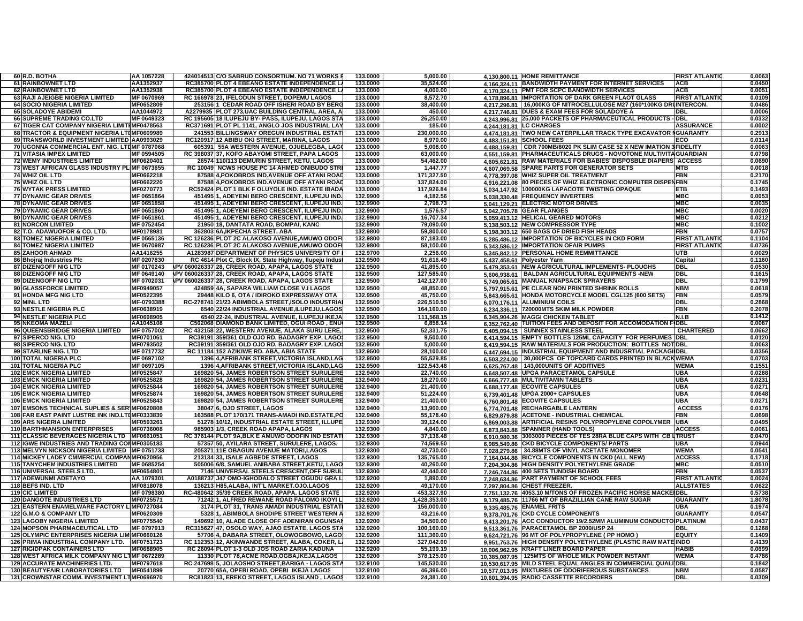| 60 R.D. BOTHA                                        | AA 1057228       | 424014513 C/O SABRUD CONSORTIUM. NO 71 WORKS            | 133.0000 | 5,000.00     | 4,130,800.11 HOME REMITTANCE                                          | <b>FIRST ATLANTI</b> | 0.0063 |
|------------------------------------------------------|------------------|---------------------------------------------------------|----------|--------------|-----------------------------------------------------------------------|----------------------|--------|
| <b>61 RAINBOWNET LTD</b>                             | AA1352937        | RC385700 PLOT 4 EBEANO ESTATE INDEPENDENCE L            | 133.0000 | 35,524.00    | 4,166,324.11 BANDWIDTH PAYMENT FOR INTERNET SERVICES                  | <b>ACB</b>           | 0.0450 |
| <b>62 RAINBOWNET LTD</b>                             | AA1352938        | RC385700 PLOT 4 EBEANO ESTATE INDEPENDENCE L            | 133,0000 | 4.000.00     | 4.170.324.11 PMT FOR SCPC BANDWIDTH SERVICES                          | <b>ACB</b>           | 0.0051 |
| 63 RAJI AJEIGBE NIGERIA LIMITED                      | MF 0670969       | RC 166978 23, IFELODUN STREET, DOPEMU LAGOS             | 133,0000 | 8,572.70     | 4.178.896.81 IMPORTATION OF DARK GREEN FLAOT GLASS                    | <b>FIRST ATLANTI</b> | 0.0109 |
| <b>64 SOCIO NIGERIA LIMITED</b>                      | MF0652809        | 25315611 CEDAR ROAD OFF ISHERI ROAD BY BER              | 133.0000 | 38,400.00    | 4.217.296.81   16,000KG OF NITROCELLULOSE M27 (160*100KG DRUINTERCON. |                      | 0.0486 |
| <b>65 SOLADOYE ABIDEMI</b>                           | AA1044972        | A2279935 PLOT 273, UAC BUILDING CENTRAL AREA, A         | 133.0000 | 450.00       | 4.217.746.81 DUES & EXAM FEES FOR SOLADOYE A                          | DBL                  | 0.0006 |
| 66 SUPREME TRADING CO.LTD                            | MF 0649323       | RC 195605 18 ILUPEJU BY- PASS, ILUPEJU, LAGOS STA       | 133.0000 | 26,250.00    | 4.243.996.81 25,000 PACKETS OF PHARMACEUTICAL PRODUCTS                | - DBL                | 0.0332 |
| 67 TIGER CAT COMPANY NIGERIA LIMITIMF0478563         |                  | RC371691 PLOT PL 1141, ANGLO JOS INDUSTRIAL LAY         | 133.0000 | 185.00       |                                                                       | <b>ASSURANCE</b>     | 0.0002 |
|                                                      |                  |                                                         |          |              | 4.244.181.81 LC CHARGES                                               |                      |        |
| 68 TRACTOR & EQUIPMENT NIGERIA LTIMF0609989          |                  | 241553 BILLINGSWAY OREGUN INDUSTRIAL ESTAT              | 133.0000 | 230,000.00   | 4.474.181.81 TWO NEW CATERPILLAR TRACK TYPE EXCAVATOR IGUARANTY       |                      | 0.2913 |
| 69 TRANSWORLD INVESTMENT LIMITED AA0993029           |                  | RC120917 12 ABIBU OKI STREET, MARINA, LAGOS             | 133.0000 | 8,970.00     | 4,483,151.81 SCHOOL FEES                                              | :CO                  | 0.0114 |
| 70 UGONNA COMMERCIAL ENT. NIG. LTUMF 0787068         |                  | 605391 55A WESTERN AVENUE, OJUELEGBA, LAG               | 133,0000 | 5.008.00     | 4.488.159.81 CDR 700MB/8020 PK SLIM CASE 52 X NEW IMATION 3 FIDELITY  |                      | 0.0063 |
| <b>71 VITASIA IMPEX LIMITED</b>                      | MF 0594505       | RC 398037 37, KOFO ABAYOMI STREET, PAPA LAGOS           | 133.0000 | 63,000.00    | 4,551,159.81 PHARMACEUTICALS DRUGS - NOVOTONE MULTIVITA               | <b>GUARDIAN</b>      | 0.0798 |
| <b>72 WEMY INDUSTRIES LIMITED</b>                    | MF0620401        | 26574 110/113 DEMURIN STREET, KETU, LAGOS               | 133.0000 | 54,462.00    | 4.605.621.81 RAW MATERIALS FOR BABIES' DISPOSBLE DIAPERS              | <b>ACCESS</b>        | 0.0690 |
| 73 WEST AFRICAN GLASS INDUSTRY PL MF 0673655         |                  | RC 10049 NCWS HOUSE PC 14 AHMED ONIBUDO STR             | 133.0000 | 1,447.77     | 4.607.069.58 SPARE PARTS FOR GENERATOR SETS                           | MTB                  | 0.0018 |
| 74 WHIZ OIL LTD                                      | MF0662218        | 87588 4, POKOBROS IND. AVENUE OFF ATANI ROAI            | 133.0000 | 171,327.50   | 4.778.397.08 WHIZ SUPER OIL TREATMENT                                 | <b>FBN</b>           | 0.2170 |
| 75 WHIZ OIL LTD                                      | MF0662220        | 87588 4, POKOBROS IND. AVENUE OFF ATANI ROAD            | 133.0000 | 137,824.00   | 4.916.221.08 80 PIECES OF WHIZ ELECTRONIC COMPUTER DISPENFBN          |                      | 0.1745 |
| <b>76 WYTAK PRESS LIMITED</b>                        | MF0270773        | RC52424 PLOT 1 BLK F OLUYOLE IND. ESTATE IBADA          | 133,0000 | 117,926.84   | 5.034.147.92 100000KG LAPACOTE TWISTING OPAQUE                        | ETB                  | 0.1493 |
| <b>77 DYNAMIC GEAR DRIVES</b>                        | MF 0651864       | 45149511, ADEYEMI BERO CRESCENT, ILUPEJU IND.           | 132.9900 | 4,182.56     | 5.038.330.48 FREQUENCY INVERTERS                                      | <b>MBC</b>           | 0.0053 |
| <b>78 DYNAMIC GEAR DRIVES</b>                        | MF 0651858       | 451495 1, ADEYEMI BERO CRESCENT, ILUPEJU IND.           | 132.9900 | 2,798.73     | 5.041.129.21 ELECTRIC MOTOR DRIVES                                    | <b>MBC</b>           | 0.0035 |
|                                                      |                  |                                                         |          |              |                                                                       |                      |        |
| <b>79 DYNAMIC GEAR DRIVES</b>                        | MF 0651860       | 451495 1, ADEYEMI BERO CRESCENT, ILUPEJU IND.           | 132.9900 | 1,576.57     | 5,042,705.78 GEAR FLANGES                                             | <b>MBC</b>           | 0.0020 |
| <b>80 DYNAMIC GEAR DRIVES</b>                        | MF 0651861       | 451495 1, ADEYEMI BERO CRESCENT, ILUPEJU IND.           | 132.9900 | 16,707.34    | 5,059,413.12 HELICAL GEARED MOTORS                                    | <b>MBC</b>           | 0.0212 |
| <b>81 NORCON LIMITED</b>                             | MF 0752454       | 21950 18, DANTATA ROAD, BOMPAI, KANO                    | 132.9900 | 79,090.00    | 5,138,503.12 NEW COMPRESSOR TYPE                                      | <b>MBC</b>           | 0.1002 |
| 82 T.O. ADAWUOFOR & CO. LTD.                         | MF0178981        | 362803 6A, IKPECHA STREET, ABA                          | 132.9800 | 59.800.00    | 5,198,303.12 650 BAGS OF DRIED FISH HEADS                             | <b>FBN</b>           | 0.0757 |
| <b>83 TOMEZ NIGERIA LIMITED</b>                      | MF 0565136       | RC 126236 PLOT 2C ALAKOSO AVENUE, AMUWO ODOF            | 132.9800 | 87.183.00    | 5,285,486.12 IMPORTATION OF BICYCLES IN CKD FORM                      | FIRST ATLANTI        | 0.1104 |
| <b>84 TOMEZ NIGERIA LIMITED</b>                      | MF 0670987       | RC 126236 PLOT 2C ALAKOSO AVENUE, AMUWO ODOF            | 132.9800 | 58,100.00    | 5.343.586.12 IMPORTATION OFAIR PUMPS                                  | <b>FIRST ATLANTI</b> | 0.0736 |
| <b>85 ZAHOOR AHMAD</b>                               | AA1416255        | A1283987 DEPARTMENT OF PHYSICS UNIVERSITY OF            | 132.9700 | 2,256.00     | 5.345.842.12 PERSONAL HOME REMMITTANCE                                | <b>UTB</b>           | 0.0029 |
| 86 Bhojraj Industries Plc                            | MF 0207830       | RC 4614 Plot C, Block IX, State Highway, Ilupeju Indust | 132.9500 | 91,616.49    | 5.437.458.61 Polyester Yarn                                           | Capital              | 0.1160 |
| 87 DIZENGOFF NIG LTD                                 | MF 0170243       | PV 060026337 28, CREEK ROAD, APAPA, LAGOS STATE         | 132.9500 | 41,895.00    | 5.479.353.61 NEW AGRICULTURAL IMPLEMENTS- PLOUGHS                     | <b>DBL</b>           | 0.0530 |
| 88 DIZENGOFF NIG LTD                                 | MF 0649140       | LPV 060026337 28, CREEK ROAD, APAPA, LAGOS STATE        | 132.9500 | 127,585.00   | 5.606.938.61   BALDAN AGRICULTURAL EQUIPMENTS -NEW                    | <b>DBL</b>           | 0.1615 |
|                                                      |                  |                                                         |          |              |                                                                       |                      |        |
| 89 DIZENGOFF NIG LTD                                 | MF 0702031       | LPV 060026337 28, CREEK ROAD, APAPA, LAGOS STATE        | 132.9500 | 142,127.00   | 5.749.065.61 MANUAL KNAPSACK SPRAYERS                                 | DBL                  | 0.1799 |
| 90 GLASSFORCE LIMITED                                | MF0949057        | 424859 4A, SAPARA WILLIAM CLOSE V.I LAGOS               | 132.9500 | 48,850.00    | 5.797.915.61 PE CLEAR NON PRINTED SHRINK ROLLS                        | <b>NBM</b>           | 0.0618 |
| 91 HONDA MFG NIG LTD                                 | MF0522395        | 29448 KILO 6, OTA / IDIROKO EXPRESSWAY OTA              | 132.9500 | 45,750.00    | 5.843.665.61 HONDA MOTORCYCLE MODEL CGL125 (600 SETS)                 | FBN                  | 0.0579 |
| 92 MINL LTD                                          | MF-0793388       | RC-278741 21/23 ABIMBOLA STREET, ISOLO INDUSTRIA        | 132.9500 | 226,510.50   | 6.070.176.11 ALUMINIUM COILS                                          | DBL                  | 0.2868 |
| 93 NESTLE NIGERIA PLC                                | MF0638919        | 6540 22/24 INDUSTRIAL AVENUE, ILUPEJU, LAGOS            | 132.9500 | 164,160.00   | 6.234.336.11 720000MTS SKIM MILK POWDER                               | FBN                  | 0.2078 |
| 94 NESTLE' NIGERIA PLC                               | MF0698905        | 6540 22-24. INDUSTRIAL AVENUE. ILUPEJU IKEJA            | 132.9500 | 111,568.15   | 6,345,904.26 MAGGI CHICKEN TABLET                                     | N.I.B                | 0.1412 |
| 95 NKEOMA MAZELI                                     | AA1045108        | C502068 DIAMOND BANK LIMITED, OGUI ROAD, ENU            | 132.9500 | 6.858.14     | 6,352,762.40 TUITION FEES AND DEPOSIT FOR ACCOMODATION FIDBL          |                      | 0.0087 |
| 96 QUEENSBRIDGE NIGERIA LIMITED                      | MF 0757002       | RC 432158 22, WESTERN AVENUE, ALAKA SURU LERE           | 132.9500 | 52,331.75    | 6.405.094.15 SUNNEX STAINLESS STEEL                                   | <b>CHARTERED</b>     | 0.0662 |
| 97 SIPERCO NIG. LTD                                  | MF0701061        | RC39191 359/361 OLD OJO RD, BADAGRY EXP. LAGO           | 132.9500 | 9,500.00     | 6,414,594.15 EMPTY BOTTLES 125ML CAPACITY FOR PERFUMES DBL            |                      | 0.0120 |
| 98 SIPERCO NIG. LTD                                  | MF0793502        | RC39191 359/361 OLD OJO RD, BADAGRY EXP. LAGO           | 132.9500 | 5,000.00     | 6.419.594.15 RAW MATERIALS FOR PRODUCTION: BOTTLES NOTIDBL            |                      | 0.0063 |
| 99 STARLINE NIG. LTD                                 | MF 0717732       | RC 11184 152 AZIKIWE RD. ABA, ABIA STATE                | 132.9500 | 28,100.00    | 6.447.694.15 INDUSTRIAL EQUIPMENT AND INDUSRTIAL PACKAGIIDBL          |                      | 0.0356 |
| <b>100 TOTAL NIGERIA PLC</b>                         | MF 0697102       | 1396 4, AFRIBANK STREET, VICTORIA ISLAND, LAG           | 132.9500 | 55,529.85    | 6.503.224.00 30,000PCS OF TOPCARD CARDS PRINTED IN BLACK WEMA         |                      | 0.0703 |
| <b>101 TOTAL NIGERIA PLC</b>                         | MF 0697105       | 1396 4, AFRIBANK STREET, VICTORIA ISLAND, LAG           | 132.9500 | 122,543.48   | 6.625.767.48 143,000UNITS OF ADDITIVES                                | <b>WEMA</b>          | 0.1551 |
|                                                      |                  |                                                         |          |              |                                                                       |                      |        |
| <b>102 EMCK NIGERIA LIMITED</b>                      | MF0525847        | 169820154, JAMES ROBERTSON STREET SURULERE              | 132.9400 | 22,740.00    | 6.648.507.48 UPGA PARACETAMOL CAPSULE                                 | <b>UBA</b>           | 0.0288 |
| <b>103 EMCK NIGERIA LIMITED</b>                      | MF0525828        | 169820 54, JAMES ROBERTSON STREET SURULERE              | 132.9400 | 18,270.00    | 6,666,777.48 MULTIVITAMIN TABLETS                                     | <b>UBA</b>           | 0.0231 |
| <b>104 EMCK NIGERIA LIMITED</b>                      | MF0525844        | 169820 54, JAMES ROBERTSON STREET SURULERE              | 132.9400 | 21,400.00    | 6.688.177.48 ECOVITE CAPSULES                                         | <b>UBA</b>           | 0.0271 |
| <b>105 EMCK NIGERIA LIMITED</b>                      | MF0525874        | 169820 54, JAMES ROBERTSON STREET SURULERE              | 132.9400 | 51,224.00    | 6,739,401.48 UPGA 2000+ CAPSULES                                      | <b>UBA</b>           | 0.0648 |
| <b>106 EMCK NIGERIA LIMITED</b>                      | MF0525843        | 169820 54, JAMES ROBERTSON STREET SURULERE              | 132.9400 | 21,400.00    | 6.760.801.48 ECOVITE CAPSULES                                         | UBA                  | 0.0271 |
| 107 EMSONS TECHNICAL SUPLIES & SER MF0620808         |                  | 38047 6, OJO STREET, LAGOS                              | 132.9400 | 13,900.00    | 6.774.701.48 RECHARGABLE LANTERN                                      | <b>ACCESS</b>        | 0.0176 |
| 108 FAR EAST PAINT LUSTRE INK IND.LTUMF0333839       |                  | 163588 PLOT 170/171 TRANS-AMADI IND ESTATE PO           | 132.9400 | 55.178.40    | 6,829,879.88 ACETONE - INDUSTRIAL CHEMICAL                            | FBN                  | 0.0698 |
| <b>109 ARS NIGERIA LIMITED</b>                       | MF0593261        | 51278 10/12, INDUSTRIAL ESTATE STREET, ILLUPE           | 132.9300 | 39.124.00    | 6,869,003.88 ARTIFICIAL RESINS POLYPROPYLENE COPOLYMER UBA            |                      | 0.0495 |
| <b>110 BARTHMANSION ENTERPRISES</b>                  | <b>MF0736008</b> | 985903 1/3, CREEK ROAD APAPA, LAGOS                     | 132.9300 | 4,840.00     | 6,873,843.88 SPANNER (HAND TOOLS)                                     | <b>ACCESS</b>        | 0.0061 |
| 111 CLASSIC BEVERAGES NIGERIA LTD   MF0661051        |                  | RC 376144 PLOT 9A, BLK E AMUWO ODOFIN IND ESTAT         | 132.9300 | 37,136.48    | 6.910.980.36 3003000 PIECES OF TES 28RA BLUE CAPS WITH CB LITRUST     |                      | 0.0470 |
| 112 IGWE INDUSTRIES AND TRADING CONMF0305183         |                  |                                                         |          |              |                                                                       |                      |        |
|                                                      |                  | 57357 50, AYILARA STREET, SURULERE, LAGOS.              | 132.9300 | 74,569.50    | 6.985.549.86 CKD BICYCLE COMPONENTS/ PARTS                            | UBA                  | 0.0944 |
| 113 MELVYN NICKSON NIGERIA LIMITED MF 0751733        |                  | 205371 11E OBAGUN AVENUE MATORI,LAGOS                   | 132.9300 | 42,730.00    | 7.028.279.86 34.88MTS OF VINYL ACETATE MONOMER                        | <b>WEMA</b>          | 0.0541 |
| 114 MICKEY LADEY CMMERCIAL COMPANMF0620956           |                  | 213134 33. ISALE AGBEDE STREET, LAGOS                   | 132.9300 | 135,765.00   | 7.164.044.86 BICYCLE COMPONENTS IN CKD (ALL NEW)                      | <b>ACCESS</b>        | 0.1718 |
| <b>115 TANYCHEM INDUSTRIES LIMITED</b>               | MF 0685254       | 505006 6/8, SAMUEL ANIBABA STREET, KETU, LAGO           | 132.9300 | 40,260.00    | 7,204,304.86 HIGH DENSITY POLYETHYLENE GRADE                          | <b>MBC</b>           | 0.0510 |
| 116 UNIVERSAL STEELS LTD.                            | MF0654801        | 7146 UNIVERSAL STEELS CRESCENT, OFF SURUL               | 132.9300 | 42,440.00    | 7,246,744.86 400 SETS TUNDISH BOARD                                   | <b>FBN</b>           | 0.0537 |
| <b>117 ADEWUNMI ADETAYO</b>                          | AA 1079301       | A0188737 J47 OMO-IGHODALO STREET OGUDU GRA L            | 132.9200 | 1,890.00     | 7.248.634.86 PART PAYMENT OF SCHOOL FEES                              | <b>FIRST ATLANTI</b> | 0.0024 |
| 118 BEFS IND. LTD                                    | MF0818078        | 136213 H85, ALABA, INT'L MARKET.OJO.LAGOS               | 132.9200 | 49,170.00    | 7.297.804.86 CHEST FREEZER.                                           | <b>ALLSTATES</b>     | 0.0622 |
| <b>119 CIC LIMITED</b>                               | MF 0798380       | RC-480642 35/39 CREEK ROAD, APAPA. LAGOS STATE          | 132.9200 | 453,327.90   | 7.751.132.76 4053.10 M/TONS OF FROZEN PACIFIC HORSE MACK              | EIDBI.               | 0.5738 |
| <b>120 DANGOTE INDUSTRIES LTD</b>                    | MF0725571        | 71242 1, ALFRED REWANE ROAD FALOMO IKOYI L              | 132.9200 | 1,428,353.00 | 9.179.485.76 11766 MT OF BRAZILLIAN CANE RAW SUGAR                    | <b>GUARANTY</b>      | 1.8078 |
| 121 EASTERN ENAMELWARE FACTORY LIMF0727084           |                  | 3174 PLOT 31, TRANS AMADI INDUSTRIAL ESTATI             | 132.9200 | 156.000.00   | 9,335,485.76 ENAMEL FRITS                                             | <b>UBA</b>           | 0.1974 |
| 122 G.M.O & COMPANY LTD                              | MF0620309        | 5328 1, ABIMBOLA SHODIPE STREET WESTERN A               | 132.9200 | 43,216.00    | 9.378.701.76 CKD CYCLE COMPONENTS                                     | <b>GUARANTY</b>      | 0.0547 |
|                                                      |                  |                                                         |          |              |                                                                       |                      |        |
| <b>123 LAGOBY NIGERIA LIMITED</b>                    | MF0775540        | 149692 10, ALADE CLOSE OFF ADENIRAN OGUNSAI             | 132.9200 | 34,500.00    | 9.413.201.76 ACC CONDUCTOR 19/2.52MM ALUMINUM CONDUCTO PLATINUM       |                      | 0.0437 |
| 124 MOPSON PHARMACEUTICAL LTD                        | MF 0797913       | RC315627 47, OSOLO WAY, AJAO ESTATE, LAGOS STA          | 132.9200 | 100,160.00   | 9.513.361.76 PARACETAMOL BP 2000/USP 24                               | DBL                  | 0.1268 |
| <b>125 OLYMPIC ENTERPRISES NIGERIA LIMIMF0660126</b> |                  | 57706 4, DABARA STREET, OLOWOGBOWO, LAGO                | 132.9200 | 111,360.00   | 9.624.721.76 96 MT OF POLYPROPYLENE ( PP HOMO )                       | <b>EQUITY</b>        | 0.1409 |
| 126 PRIMA INDUSTRIAL COMPANY LTD. MF0751723          |                  | RC 112353 12, AKINWANDE STREET, ALABA, COKER, L         | 132.9200 | 327,042.00   | 9.951.763.76 HIGH DENSITY POLYETHYLENE (PLASTIC RAW MATEINDO          |                      | 0.4139 |
| <b>127 RIGIDPAK CONTAINERS LTD</b>                   | MF0688905        | RC 26094 PLOT 1-3 OLD JOS ROAD ZARIA KADUNA             | 132.9200 | 55.199.19    | 10,006,962.95 KRAFT LINER BOARD PAPER                                 | <b>HABIB</b>         | 0.0699 |
| <b>128 WEST AFRICA MILK COMPANY NIG LTMF 0672289</b> |                  | 11330 PLOT 78.ACME ROAD.OGBA.IKEJA.LAGOS                | 132.9200 | 378,125.00   | 10,385,087.95   125MTS OF WHOLE MILK POWDER INSTANT                   | WEMA                 | 0.4786 |
| <b>129 ACCURATE MACHINERIES LTD</b>                  | MF0797618        | RC 247698 5, JOLAOSHO STREET, BARIGA - LAGOS ST         | 132.9100 | 145,530.00   | 10,530,617.95 MILD STEEL EQUAL ANGLES IN COMMERCIAL QUALI DBL         |                      | 0.1842 |
| <b>130 BEAUTYFAIR LABORATORIES LTD</b>               | MF0541899        | 20770 65A, OPEBI ROAD, OPEBI IKEJA LAGOS                | 132.9100 | 46,396.00    | 10,577,013.95 MIXTURES OF ODORIFEROUS SUBSTANCES                      | <b>NBM</b>           | 0.0587 |
| 131 CROWNSTAR COMM. INVESTMENT LTMF0696970           |                  | RC81823 13, EREKO STREET, LAGOS ISLAND, LAGOS           | 132.9100 | 24,381.00    | 10.601.394.95 RADIO CASSETTE RECORDERS                                | <b>DBL</b>           | 0.0309 |
|                                                      |                  |                                                         |          |              |                                                                       |                      |        |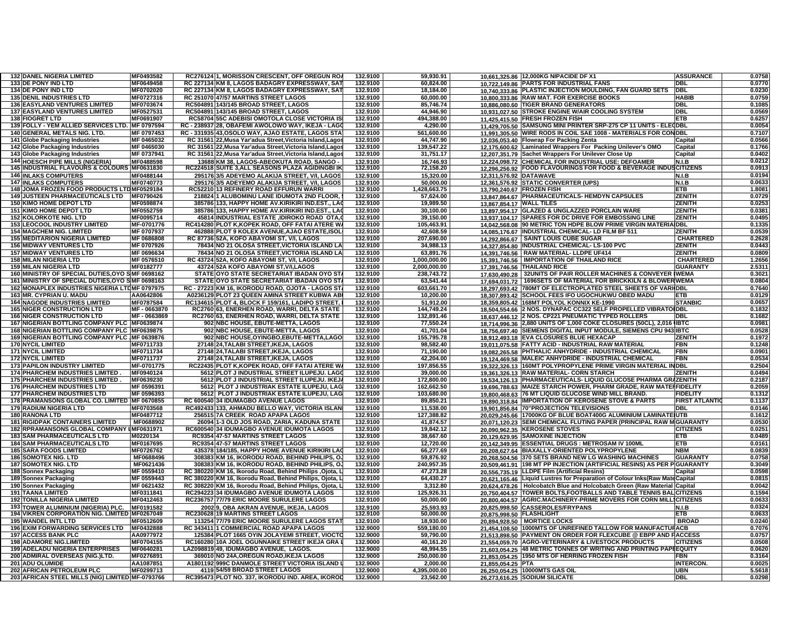| <b>132 DANEL NIGERIA LIMITED</b>                 | MF0493582         | RC276124 1, MORISSON CRESCENT, OFF OREGUN ROA             | 132.9100 | 59,930.91    | 10,661,325.86 12,000KG NIPACIDE DF X1                                       | <b>ASSURANCE</b>     | 0.0758 |
|--------------------------------------------------|-------------------|-----------------------------------------------------------|----------|--------------|-----------------------------------------------------------------------------|----------------------|--------|
| 133 DE PONY IND LTD                              | MF0649458         | RC 227134 KM 8, LAGOS BADAGRY EXPRESSWAY, SAT             | 132.9100 | 60,824.00    | 10,722,149.86 PARTS FOR INDUSTRIAL FANS                                     | DBL                  | 0.0770 |
| 134 DE PONY IND LTD                              | MF0702020         | RC 227134 KM 8, LAGOS BADAGRY EXPRESSWAY, SAT             | 132.9100 | 18,184.00    | 10.740.333.86 PLASTIC INJECTION MOULDING, FAN GUARD SETS                    | <b>DBL</b>           | 0.0230 |
|                                                  |                   |                                                           |          |              |                                                                             |                      | 0.0759 |
| <b>135 DENIL INDUSTRIES LTD</b>                  | MF0727316         | RC 251070 47/57 MARTINS STREET LAGOS                      | 132.9100 | 60,000.00    | 10.800.333.86 RAW MAT. FOR EXERCISE BOOKS                                   | HABIB                |        |
| <b>136 EASYLAND VENTURES LIMITED</b>             | MF0703674         | RC504891 143/145 BROAD STREET, LAGOS                      | 132.9100 | 85,746.74    | <b>TIGER BRAND GENERATORS</b><br>10.886.080.60                              | DBL                  | 0.1085 |
| <b>137 EASYLAND VENTURES LIMITED</b>             | MF0527531         | RC504891 143/145 BROAD STREET, LAGOS                      | 132.9100 | 44,946.90    | 10.931.027.50 STROKE ENGINE W/AIR COOLING SYSTEM                            | DBL                  | 0.0569 |
| <b>138 FIOGRET LTD</b>                           | MF0691907         | RC58704 55C ADEBISI OMOTOLA CLOSE VICTORIA IS             | 132.9100 | 494,388.00   | 11,425,415.50 FRESH FROZEN FISH                                             | <b>ETB</b>           | 0.6257 |
| 139 FOLLY - YEM ALLIED SERVICES LTD. MF 0797594  |                   | RC - 238937 28, OBAFEMI AWOLOWO WAY, IKEJA - LAGO         | 132.9100 | 4,290.00     | 11,429,705.50 SAMSUNG MINI PRINTER SRP-275 CP 11 UNITS - ELEODBL            |                      | 0.0054 |
| 140 GENERAL METALS NIG. LTD.                     | MF 0797453        | RC - 331935 43, OSOLO WAY, AJAO ESTATE, LAGOS STA         | 132.9100 | 561,600.00   | 11.991.305.50 WIRE RODS IN COIL SAE 1008 - MATERIALS FOR CONDBL             |                      | 0.7107 |
| 141 Globe Packaging Industries                   | MF 0465032        |                                                           | 132.9100 | 44,747.90    |                                                                             | Capital              | 0.0566 |
|                                                  |                   | RC 31561 22, Musa Yar'adua Street, Victoria Island, Lagos |          |              | 12.036.053.40 Flowrap For Packing Zenta                                     |                      |        |
| 142 Globe Packaging Industries                   | MF 0465030        | RC 31561 22, Musa Yar'adua Street, Victoria Island, Lagos | 132.9100 | 139,547.22   | 12.175.600.62 Laminated Wrappers For Packing Unilever's OMO                 | Capital              | 0.1766 |
| 143 Globe Packaging Industries                   | MF 0737941        | RC 31561 22, Musa Yar'adua Street, Victoria Island, Lagos | 132.9100 | 31,751.17    | 12,207,351.79 Sachet Wrappers For Unilever Close Up                         | Capital              | 0.0402 |
| <b>144 HOESCH PIPE MILLS (NIGERIA)</b>           | MF0488598         | 13688 KM 38, LAGOS-ABEOKUTA ROAD, SANGO -                 | 132.9100 | 16,746.93    | 12,224,098.72 CHEMICAL FOR INDUSTRIAL USE: DEFOAMER                         | N.I.B                | 0.0212 |
| 145 INDUSTRIAL FLAVOURS & COLOURS MF0631830      |                   | RC224518 SUITE 3, ALL SEASONS PLAZA AGIDINGBI IK          | 132.9100 | 72,158.20    | 12,296,256.92 FOOD FLAVOURINGS FOR FOOD & BEVERAGE INDUSCITIZENS            |                      | 0.0913 |
| <b>146 INLAKS COMPUTERS</b>                      | MF0488144         |                                                           | 132.9100 |              | 12,311,576.92 DATAWAVE                                                      |                      | 0.0194 |
|                                                  |                   | 295176 3/5 ADEYEMO ALAKIJA STREET, V/I, LAGOS             |          | 15,320.00    |                                                                             | N.I.B                |        |
| <b>147 INLAKS COMPUTERS</b>                      | MF0740773         | 295176 3/5 ADEYEMO ALAKIJA STREET, V/I, LAGOS             | 132.9100 | 50,000.00    | 12,361,576.92 STATIC CONVERTER (UPS)                                        | N.I.B                | 0.0633 |
| 148 JOMA FROZEN FOOD PRODUCTS LTDMF0529184       |                   | RC52210 13 REFINERY ROAD EFFURUN WARRI                    | 132.9100 | 1,428,663.75 | 13,790,240.67 FROZEN FISH                                                   | ETB                  | 1.8081 |
| 149 JUSTEEN PHARMACEUTICALS LTD   MF0790426      |                   | 218824 1 ALUBOMINU LANE IDUMOTA 2ND FLOOR.                | 132.9100 | 57,624.00    | 13.847.864.67 PHARMACEUTICALS- HEMDYN CAPSULES                              | <b>ZENITH</b>        | 0.0729 |
| <b>150 KIMO HOME DEPOT LTD</b>                   | MF0598874         | 385786 133, HAPPY HOME AV KIRIKIRI IND EST., LA           | 132.9100 | 19,989.50    | 13,867,854.17 WALL TILES                                                    | <b>ZENITH</b>        | 0.0253 |
| <b>151 KIMO HOME DEPOT LTD</b>                   | MF0552759         | 385786 133, HAPPY HOME AV.KIRIKIRI IND.EST., LAC          | 132.9100 | 30.100.00    | 13,897,954.17 GLAZED & UNGLAZZED PORCLAIN WARE                              | <b>ZENITH</b>        | 0.0381 |
| <b>152 KOLORKOTE NIG. LTD</b>                    | MF0095714         | 45814 INDUSTRIAL ESTATE ,IDIROKO ROAD OTA,                | 132.9100 | 39,150.00    | 13.937.104.17 SPARES FOR DC DRIVE FOR EMBOSSING LINE                        | <b>ZENITH</b>        | 0.0495 |
|                                                  |                   |                                                           |          |              |                                                                             |                      |        |
| 153 LEOCOOL INDUSTRY LIMITED                     | MF-0701776        | RC414280 PLOT K, KOPEK ROAD, OFF FATAI ATERE W.           | 132.9100 | 105,463.91   | 14.042.568.08 90 METRIC TON HDPE BLOW PRIME VIRGIN MATERIA DBL              |                      | 0.1335 |
| <b>154 MAGCHEM NIG. LIMITED</b>                  | MF 0707937        | 462888 PLOT 9 KOLEX AVENUE, AJAO ESTATE, ISOL             | 132.9100 | 42,608.59    | 14,085,176.67 INDUSTRIAL CHEMICAL- LD FILM BF 511                           | ZENITH               | 0.0539 |
| <b>155 MEDITARION NIGERIA LIMITED</b>            | MF 0686808        | RC 87736 52A, KOFO ABAYOMI ST, V/I, LAGOS                 | 132.9100 | 207,690.00   | 14,292,866.67 SAINT LOUIS CUBE SUGAR                                        | <b>CHARTERED</b>     | 0.2628 |
| <b>156 MIDWAY VENTURES LTD</b>                   | MF 0707926        | 78434 NO 21 OLOSA STREET, VICTORIA ISLAND LA              | 132.9100 | 34,988.13    | 14,327,854.80 INDUSTRIAL CHEMICAL-LS-100 PVC                                | <b>ZENITH</b>        | 0.0443 |
| <b>157 MIDWAY VENTURES LTD</b>                   | MF 0696634        | 78434 NO 21 OLOSA STREET, VICTORIA ISLAND LA              | 132.9100 | 63,891.76    | 14,391,746.56 RAW MATERIAL- LLDPE UF414                                     | <b>ZENITH</b>        | 0.0809 |
|                                                  |                   |                                                           |          |              |                                                                             | <b>CHARTERED</b>     |        |
| <b>158 MILAN NIGERIA LTD</b>                     | MF 0576510        | RC 43724 52A, KOFO ABAYOMI ST, V/I, LAGOS                 | 132.9100 | 1.000.000.00 | 15,391,746.56   IMPORTATION OF THAILAND RICE                                |                      | 1.2656 |
| <b>159 MILAN NIGERIA LTD</b>                     | MF0182777         | 43724 52A KOFO ABAYOMI ST.V/I,LAGOS                       | 132.9100 | 2,000,000.00 | 17,391,746.56 THAILAND RICE                                                 | <b>GUARANTY</b>      | 2.5311 |
| 160 MINISTRY OF SPECIAL DUTIES, OYO SMF 0698162  |                   | STATE OYO STATE SECRETARIAT IBADAN OYO ST                 | 132.9100 | 238,743.72   | 17.630.490.28 32UNITS OF PAIR ROLLER MACHINES & CONVEYER IWEMA              |                      | 0.3021 |
| 161 MINISTRY OF SPECIAL DUTIES, OYO SMF 0698163  |                   | STATE OYO STATE SECRETARIAT IBADAN OYO ST                 | 132.9100 | 63,541.44    | 17.694.031.72   1696SETS OF MATERIAL FOR BRICKKILN & BLOWERWEMA             |                      | 0.0804 |
| 162 MONAPLEX INDUSTRIES NIGERIA LTDMF 0797975    |                   | RC - 27223 KM 16, IKORODU ROAD, OJOTA - LAGOS ST          | 132.9100 | 603,661.70   | 18.297.693.42 780MT OF ELECTROPLATED STEEL SHEETS OF VARI DBL               |                      | 0.7640 |
| 163 MR. CYPRIAN U. MADU                          | AA0642806         | A0236129 PLOT 23 QUEEN AMINA STREET KUBWA AB              | 132.9100 | 10,200.00    | 18.307.893.42 SCHOOL FEES IFO UGOCHUKWU OBED MADU                           | ETB                  | 0.0129 |
|                                                  |                   |                                                           |          |              |                                                                             |                      |        |
| <b>164 NAGODE INDUSTRIES LIMITED</b>             | MF0787584         | RC134615 PLOT 4, BLOCK F 159/161, LADIPO STREET,          | 132.9100 | 51,912.00    | 18,359,805.42 168MT POLYOL KONNIX KE-1990                                   | <b>STANBIC</b>       | 0.0657 |
| <b>165 NIGER CONSTRUCTION LTD</b>                | MF-0663870        | RC2760 63, ENERHEN ROAD, WARRI, DELTA STATE               | 132.9100 | 144,749.24   | 18,504,554.66 2 NOS. DYNAPAC CC322 SELF PROPELLED VIBRATO                   | DBI                  | 0.1832 |
| <b>166 NIGER CONSTRUCTION LTD</b>                | MF-0663869        | RC2760 63, ENERHEN ROAD, WARRI, DELTA STATE               | 132.9100 | 132,891.46   | 18,637,446.12 2 NOS. CP221 PNEUMATIC TYPED ROLLERS                          | DBL                  | 0.1682 |
| 167 NIGERIAN BOTTLING COMPANY PLC MF0639874      |                   | 902 NBC HOUSE, EBUTE-METTA, LAGOS                         | 132.9100 | 77,550.24    | 18.714.996.36 2,880 UNITS OF 1,000 COKE CLOSURES (50CL), 2,016              | <b>IBTC</b>          | 0.0981 |
| 168 NIGERIAN BOTTLING COMPANY PLC MF0639875      |                   | 902 NBC HOUSE, EBUTE-METTA, LAGOS                         | 132.9100 | 41,701.04    | 18,756,697.40 SIEMENS DIGITAL INPUT MODULE, SIEMENS CPU 943                 | <b>BIBTC</b>         | 0.0528 |
| 169 NIGERIAN BOTTLING COMPANY PLC MF 0639876     |                   | 902 NBC HOUSE, OYINGBO, EBUTE-METTA, LAGO                 | 132.9100 | 155,795.78   | 18.912.493.18 EVA CLOSURES BLUE HEXACAP                                     | ZENITH               | 0.1972 |
|                                                  |                   |                                                           |          |              |                                                                             |                      |        |
| <b>170 NYCIL LIMITED</b>                         | MF0711733         | 27148 24.TALABI STREET.IKEJA. LAGOS                       | 132.9100 | 98.582.40    | 19.011.075.58 FATTY ACID - INDUSTRIAL RAW MATERIAL                          | FBN.                 | 0.1248 |
| <b>171 NYCIL LIMITED</b>                         | MF0711734         | 27148 24, TALABI STREET, IKEJA, LAGOS                     | 132.9100 | 71.190.00    | 19,082,265.58 PHTHALIC ANHYDRIDE - INDUSTRIAL CHEMICAL                      | FBN.                 | 0.0901 |
| <b>172 NYCIL LIMITED</b>                         | MF0711737         | 27148 24.TALABI STREET.IKEJA. LAGOS                       | 132.9100 | 42.204.00    | 19.124.469.58 MALEIC ANHYDRIDE - INDUSTRIAL CHEMICAL                        | FBN                  | 0.0534 |
| <b>173 PAPILON INDUSTRY LIMITED</b>              | MF-0701775        | RC22435 PLOT K, KOPEK ROAD, OFF FATAI ATERE W.            | 132.9100 | 197,856.55   | 19.322.326.13 160MT POLYPROPYLENE PRIME VIRGIN MATERIAL I                   | DBL                  | 0.2504 |
| 174 PHARCHEM INDUSTRIES LIMITED.                 | MF0940124         | 5612 PLOT J INDUSTRIAL STREET ILUPEJU. LAGO               | 132.9100 | 39,000.00    | 19.361.326.13 RAW MATERIAL- CORN STARCH                                     | ZENITH               | 0.0494 |
| <b>175 PHARCHEM INDUSTRIES LIMITED.</b>          | MF0639230         |                                                           | 132.9100 |              | 19.534.126.13 PHARMACEUTICALS- LIQUID GLUCOSE PHARMA GRAZENITH              |                      | 0.2187 |
|                                                  |                   | 5612 PLOT J INDUSTRIAL STREET ILUPEJU. IKEJ               |          | 172,800.00   |                                                                             |                      |        |
| <b>176 PHARCHEM INDUSTRIES LTD</b>               | MF 0596391        | 5612 PLOT J INDUSTRIAK ESTATE ILUPEJU, LAG                | 132.9100 | 162,662.50   | 19.696.788.63 MAIZE STARCH POWER, PHARM GRADE, RAW MATE FIDELITY            |                      | 0.2059 |
| <b>177 PHARCHEM INDUSTRIES LTD</b>               | MF 0596393        | 5612 PLOT J INDUSTRIAK ESTATE ILUPEJU. LAG                | 132.9100 | 103.680.00   | 19.800.468.63 76 MT LIQUID GLUCOSE WIND MILL BRAND.                         | <b>FIDELITY</b>      | 0.1312 |
| 178 PRAMANSONS GLOBAL CO. LIMITED MF 0670855     |                   | RC 600540 34 IDUMAGBO AVENUE LAGOS                        | 132.9100 | 89,850.21    | 19.890.318.84 IMPORTATION OF KEROSENE STOVE & PARTS                         | <b>FIRST ATLANTI</b> | 0.1137 |
| <b>179 RADIUM NIGERIA LTD</b>                    | MF0703568         | RC492433 133, AHMADU BELLO WAY, VICTORIA ISLAN            | 132.9100 | 11,538.00    | 19,901,856.84 70"PROJECTION TELEVISIONS                                     | DBI                  | 0.0146 |
| <b>180 RANONA LTD</b>                            | MF0487712         | 256515 7A CREEK ROAD APAPA LAGOS                          | 132.9100 | 127,388.82   | 20.029.245.66 17000KG OF BLUE BOAT400G ALUMINIUM LAMINATE UTB               |                      | 0.1612 |
|                                                  |                   |                                                           |          |              |                                                                             |                      |        |
| <b>181 RIGIDPAK CONTAINERS LIMITED</b>           | MF0688902         | 26094 1-3 OLD JOS ROAD, ZARIA, KADUNA STATE               | 132.9100 | 41,874.57    | 20.071.120.23 SEMI CHEMICAL FLUTING PAPER (PRINCIPAL RAW MIGUARANTY         |                      | 0.0530 |
| <b>182 RPRAMANSONS GLOBAL COMPAN</b>             | <b>IMF0631971</b> | RC600540 34 IDUMAGBO AVENUE IDUMOTA LAGOS                 | 132.9100 | 19,842.12    | 20.090.962.35 KEROSENE STOVES                                               | CITIZENS             | 0.0251 |
| <b>183 SAM PHARMACEUTICALS LTD</b>               | M0220134          | RC9354 47-57 MARTINS STREET LAGOS                         | 132.9100 | 38,667.60    | 20,129,629.95 SAMOXINE INJECTION                                            | ETB                  | 0.0489 |
| <b>184 SAM PHARMACEUTICALS LTD</b>               | MF0167695         | RC9354 47-57 MARTINS STREET LAGOS                         | 132.9100 | 12,720.00    | 20,142,349.95 ESSENTIAL DRUGS : METROSAM IV 100ML                           | ETB                  | 0.0161 |
| <b>185 SARA FOODS LIMITED</b>                    | MF0726762         | 435378 184/185, HAPPY HOME AVENUE KIRIKIRI LA             | 132.9100 | 66,277.69    | 20.208.627.64 BIAXALLY-ORIENTED POLYPROPYLENE                               | NBM                  | 0.0839 |
| <b>186 SOMOTEX NIG. LTD</b>                      | MF0688496         | 308383 KM 16, IKORODU ROAD, BEHIND PHILIPS, O.            | 132.9100 | 59,876.92    | 20.268.504.56 370 SETS BRAND NEW LG WASHING MACHINES                        | <b>GUARANTY</b>      | 0.0758 |
|                                                  |                   |                                                           |          |              |                                                                             |                      |        |
| <b>187 SOMOTEX NIG. LTD</b>                      | MF0621436         | 308383 KM 16, IKORODU ROAD, BEHIND PHILIPS, O.            | 132.9100 | 240,957.35   | 20,509,461.91   198 MT PP INJECTION (ARTIFICIAL RESINS) AS PER PIGUARANTY   |                      | 0.3049 |
| 188 Sonnex Packaging                             | MF 0559410        | RC 380220 KM 16, Ikorodu Road, Behind Philips ,Ojota, I   | 132.9100 | 47,273.28    | 20.556.735.19 LLDPE Film (Artificial Resins)                                | Capita               | 0.0598 |
| 189 Sonnex Packaging                             | MF 0559443        | RC 380220 KM 16, Ikorodu Road, Behind Philips, Ojota, I   | 132.9100 | 64,430.27    | 20.621.165.46 Liquid Lustres for Preparation of Colour Inks(Raw MateCapital |                      | 0.0815 |
| 190 Sonnex Packaging                             | MF 0621432        | RC 308220 KM 16. Ikorodu Road, Behind Philips, Oiota, L   | 132.9100 | 3,312.80     | 20,624,478.26   Holcobatch Blue and Holcobatch Green (Raw Material Capital  |                      | 0.0042 |
| <b>191 TAANA LIMITED</b>                         | MF0311841         | RC294223 34 IDUMAGBO AVENUE IDUMOTA LAGOS                 | 132.9100 | 125,926.31   | 20,750,404.57 TOWER BOLTS, FOOTBALLS AND TABLE TENNIS BALICITIZENS          |                      | 0.1594 |
| <b>192 TONILLA NIGERIA LIMITED</b>               | MF0412463         | RC236757 77/79 ERIC MOORE SURULERE LAGOS                  | 132.9100 | 50,000.00    |                                                                             |                      | 0.0633 |
|                                                  |                   |                                                           |          |              | 20,800,404.57 AGRIC.MACHINERY-PRIME MOVERS FOR CORN MILLICITIZENS           |                      |        |
| <b>193 TOWER ALUMINIUM (NIGERIA) PLC.</b>        | MF0191582         | 2002 9. OBA AKRAN AVENUE. IKEJA, LAGOS                    | 132.9100 | 25,593.93    | 20,825,998.50 CASSEROLES/FRYPANS                                            | N.I.B                | 0.0324 |
| 194 VIKREN CORPORATION NIG. LIMITED MF0267049    |                   | RC230628 19 MARTINS STREET LAGOS                          | 132.9100 | 50,000.00    | 20.875.998.50 FLASHLIGHT                                                    | ETB                  | 0.0633 |
| <b>195 WANDEL INTL LTD</b>                       | MF0512609         | 113254 77/79 ERIC MOORE SURULERE LAGOS STAT               | 132.9100 | 18,930.00    | 20,894,928.50   MORTICE LOCKS                                               | <b>BROAD</b>         | 0.0240 |
| <b>196 EXIM FORWARDING SERVICES LTD</b>          | MF0432888         | RC 343411 1 COMMERCIAL ROAD APAPA LAGOS                   | 132.9000 | 559,180.00   | 21,454,108.50 1000MTS OF UNREFINED TALLOW FOR MANUFACTURACB                 |                      | 0.7076 |
| <b>197 ACCESS BANK PLC</b>                       | AA0977972         | 125384 PLOT 1665 OYIN JOLAYEMI STREET, VIOCTO             | 132.9000 | 59.790.00    | 21,513,898.50 PAYMENT ON ORDER FOR FLEXCUBE @ EBPP AND HACCESS              |                      | 0.0757 |
| <b>198 ADAMORE NIG.LIMITED</b>                   | MF0704155         | RC160280 10A JOEL OGUNNAIKE STREET IKEJA GRA              | 132.9000 | 40.161.20    |                                                                             | CITIZENS             | 0.0508 |
|                                                  |                   |                                                           |          |              | 21.554.059.70 AGRO-VETERINARY & LIVESTOCK PRODUCTS                          |                      |        |
| <b>199 ADELADU NIGERIA ENTERPRISES</b>           | MF0640281         | LAZ098819 49, IDUMAGBO AVENUE. LAGOS.                     | 132.9000 | 48,994.55    | 21.603.054.25 48 METRIC TONNES OF WRITING AND PRINTING PAPIEQUITY           |                      | 0.0620 |
| 200 ADMIRAL OVERSEAS (NIG.)LTD.                  | MF0276891         | 369010 NO 24A, OREGUN ROAD, IKEJA LAGOS                   | 132.9000 | 250,000.00   | 21,853,054.25 1950 MTS OF HERRING FROZEN FISH                               | -BN                  | 0.3164 |
| 201 ADU OLUMIDE                                  | AA1087851         | A1801192 999C DANMOLE STREET VICTORIA ISLAND I            | 132.9000 | 2,000.00     | 21.855.054.25 PTA                                                           | <b>INTERCON.</b>     | 0.0025 |
| 202 AFRICAN PETROLEUM PLC                        | MF0299713         | 4119 54/59 BROAD STREET LAGOS                             | 132.9000 | 4,395,000.00 | 26,250,054.25 10000MTS GAS OIL                                              | UBN                  | 5.5618 |
| 203 AFRICAN STEEL MILLS (NIG) LIMITED MF-0793766 |                   | RC395473 PLOT NO. 337, IKORODU IND. AREA, IKOROD          | 132.9000 | 23,562.00    | 26,273,616.25 SODIUM SILICATE                                               | DBL                  | 0.0298 |
|                                                  |                   |                                                           |          |              |                                                                             |                      |        |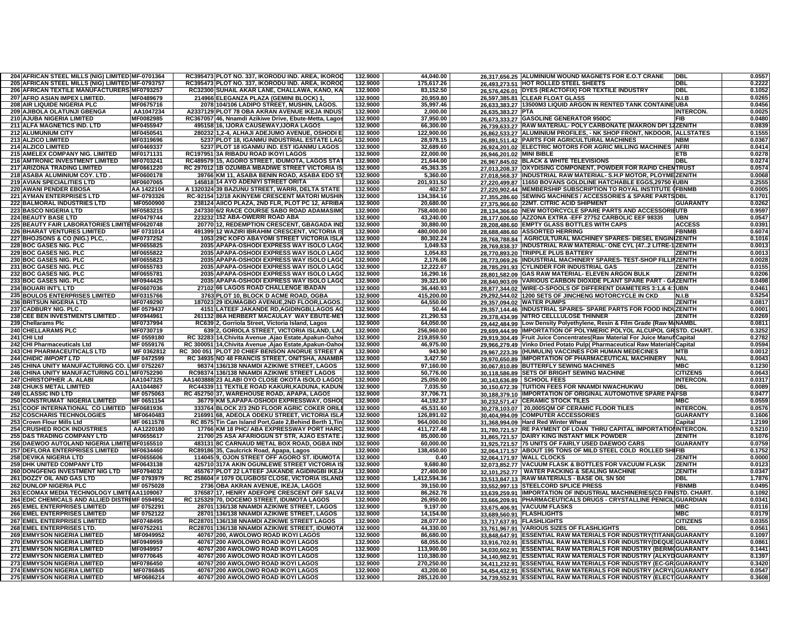| 204 AFRICAN STEEL MILLS (NIG) LIMITED MF-0701364                 |                        | RC395473 PLOT NO. 337, IKORODU IND. AREA, IKOROD           | 132.9000 | 44,040.00    |                          | 26.317.656.25 ALUMINIUM WOUND MAGNETS FOR E.O.T CRANE                        | <b>DBI</b>       | 0.0557 |
|------------------------------------------------------------------|------------------------|------------------------------------------------------------|----------|--------------|--------------------------|------------------------------------------------------------------------------|------------------|--------|
| 205 AFRICAN STEEL MILLS (NIG) LIMITED MF-0793757                 |                        | PLOT NO. 337, IKORODU IND. AREA, IKOROD<br>RC395473        | 132.9000 | 175,617.26   |                          | 26,493,273.51 HOT ROLLED STEEL SHEETS                                        | DBL              | 0.2222 |
| 206 AFRICAN TEXTILE MANUFACTURERS MF0793257                      |                        | RC32300 SUHAIL AKAR LANE, CHALLAWA, KANO, KA               | 132.9000 | 83,152.50    |                          | 26,576,426.01 DYES (REACTOFIX) FOR TEXTILE INDUSTRY                          | <b>DBL</b>       | 0.1052 |
| 207 AFRO ASIAN IMPEX LIMITED.                                    | MF0489679              | 214966 ELEGANZA PLAZA (GEMINI BLOCK) 1                     | 132.9000 | 20,959.80    |                          | 26,597,385.81 CLEAR FLOAT GLASS                                              | N.I.B            | 0.0265 |
| 208 AIR LIQUIDE NIGERIA PLC                                      | MF0675716              | 2078 104/106 LADIPO STREET, MUSHIN, LAGOS.                 | 132.9000 | 35,997.46    |                          | 26,633,383.27   13500M3 LIQUID ARGON IN RENTED TANK CONTAINE UBA             |                  | 0.0456 |
| 209 AJIBOLA OLATUNJI GBENGA                                      | AA1047234              | A2337129 PLOT 78 OBA AKRAN AVENUE IKEJA INDUS              | 132.9000 | 2,000.00     | 26,635,383.27 PTA        |                                                                              | <b>INTERCON.</b> | 0.0025 |
| <b>210 AJUBA NIGERIA LIMITED</b>                                 | MF0082985              | RC367057 46, Nnamdi Azikiwe Drive, Ebute-Metta, Lagos      | 132.9000 | 37,950.00    |                          | 26,673,333.27 GASOLINE GENERATOR 950DC                                       | FIB              | 0.0480 |
| 211 ALFA MAGNETICS IND. LTD                                      | MF0455947              | 495158 16, IJORA CAUSEWAY, IJORA LAGOS                     | 132,9000 | 66.300.00    |                          | 26,739,633.27 RAW MATERIAL- POLY CARBONATE (MAKRON DPI 12ZENITH              |                  | 0.0839 |
| <b>212 ALUMUNIUM CITY</b>                                        |                        | 1.2-4. ALHAJI ADEJUMO AVENUE. OSHODI E<br>280232           |          |              |                          |                                                                              |                  |        |
|                                                                  | MF0450541              |                                                            | 132.9000 | 122.900.00   |                          | 26,862,533.27 ALUMINIUM PROFILES, - NK SHOP FRONT, NKDOOR,                   | <b>ALLSTATES</b> | 0.1555 |
| 213 ALZICO LIMITED                                               | MF0319696              | PLOT 18, IGANMU INDUSTRIAL ESTATE LAG<br>5237              | 132.9000 | 28.978.15    |                          | 26,891,511.42 PARTS FOR AGRICULTURAL MACHINES                                | NBM              | 0.0367 |
| 214 ALZICO LIMITED                                               | MF0469337              | PLOT 18 IGANMU IND. EST IGANMU LAGOS<br>5237               | 132.9000 | 32,689.60    |                          | 26,924,201.02 ELECTRIC MOTORS FOR AGRIC MILLING MACHINES                     | <b>AFRI</b>      | 0.0414 |
| 215 AMELEX COMPANY NIG. LIMITED                                  | MF0171131              | RC197951 3A RIBADU ROAD IKOYI LAGOS                        | 132.9000 | 22,000.00    | 26.946.201.02 MINI BIBLE |                                                                              | ETB              | 0.0278 |
| <b>216 AMTRONIC INVESTMENT LIMITED</b>                           | MF0703241              | RC489579 15, AGORO STREET, IDUMOTA, LAGOS STA              | 132.9000 | 21,644.00    |                          | 26.967.845.02 BLACK & WHITE TELEVISIONS                                      | DBL              | 0.0274 |
| 217 ARIZONA TRADING LIMITED                                      | MF0661220              | RC 29701211B OZUMBA MBADIWE STREET VICTORIA IS             | 132.9000 | 45,363.35    |                          | 27.013.208.37 OXYDISING COMPONENT, POWDER FOR RAPID CHENTRUST                |                  | 0.0574 |
| 218 ASABA ALUMINIUM COY. LTD                                     | MF0600178              | 39766 KM 11, ASABA BENIN ROAD, ASABA EDO ST                | 132.9000 | 5,360.00     |                          | 27,018,568.37 INDUSTRIAL RAW MATERIAL- S.H.P MOTOR, PLOYMEZENITH             |                  | 0.0068 |
| <b>219 AVIAN SPECIALITIES LTD</b>                                | MF0607065              | 145818 14 AYO ADENIYI STREET ORITA                         | 132.9000 | 201.931.50   |                          | 27,220,499.87 11650 BOVANS GOLDLINE HATCHABLE EGGS,29750 HUBN                |                  | 0.2555 |
| 220 AWANI PENDER EBOSA                                           | AA 1422104             | A 1320324 39 BAZUNU STREET, WARRI, DELTA STATE             | 132.9000 | 402.57       |                          | 27.220.902.44 MEMBERSHIP SUBSCRIPTION TO ROYAL INSTITUTE (FBNMB              |                  | 0.0005 |
| <b>221 AYMAN ENTERPRISES LTD</b>                                 | MF-0793326             | RC-92154 12/18 AKINYEMI CRESCENT MATORI MUSHIN             | 132.9000 | 134,384.16   |                          | 27.355.286.60 SEWING MACHINES / ACCESSORIES & SPARE PARTS DBL                |                  | 0.1701 |
| <b>222 BALMORAL INDUSTRIES LTD</b>                               | MF0500900              | 238124 AIICO PLAZA, 2ND FLR, PLOT PC 12, AFRIBA            | 132.9000 | 20,680.00    |                          | 27.375.966.60 22MT. CITRIC ACID SHIPMENT                                     | GUARANTY         | 0.0262 |
| <b>223 BASCO NIGERIA LTD</b>                                     | MF0583215              | 247330 6/2 RACE COURSE SABO ROAD ADAMASIMO                 | 132.9000 | 758,400.00   |                          | 28.134.366.60 NEW MOTORCYCLE SPARE PARTS AND ACCESSORIIUTB                   |                  | 0.9597 |
| 224 BEAUTY BASE LTD                                              | MF0479744              | 223232 152 ABA-OWERRI ROAD ABA                             | 132.9000 | 43,240.00    |                          | 28.177.606.60 AZZONA EXTRA - EFF 27752 CARBOLIC EEF 98335                    | UBN              | 0.0547 |
|                                                                  |                        |                                                            |          |              |                          |                                                                              |                  |        |
| 225 BEAUTY FAIR LABORATORIES LIMITEMF0620748                     |                        | 20770 12, REDEMPTION CRESCENT, GBAGADA IND                 | 132.9000 | 30,880.00    |                          | 28,208,486.60 EMPTY GLASS BOTTLES WITH CAPS                                  | <b>ACCESS</b>    | 0.0391 |
| <b>226 BHARAT VENTURES LIMITED</b>                               | MF 0731014             | 491399<br>I2 WAZIRI IBRAHIM CRESCENT, VICTORIA IS          | 132.9000 | 480,000.00   |                          | 28,688,486.60 ASSORTED HERRING                                               | <b>FBNMB</b>     | 0.6074 |
| 227 BHOJSONS & CO (NIG.) PLC, .                                  | <b>MF0737252</b>       | <b>9C KOFO ABAYOMI STREET VICTORIA ISLA!</b>               | 132.9000 | 80,302.24    |                          | 28.768.788.84   AGRICULTURAL MACHINEY SPARES- DIESEL ENGINI                  | <b>ZENITH</b>    | 0.1016 |
| 228 BOC GASES NIG. PLC                                           | MF0655825              | APAPA-OSHODI EXPRESS WAY ISOLO LAGO<br>2035                | 132.9000 | 1,049.53     |                          | 28.769.838.37 INDUSTRIAL RAW MATERIAL- ONE CYL (472 LITRE-1 ZENITH           |                  | 0.0013 |
| 229 BOC GASES NIG. PLC                                           | MF0655822              | 2035<br><b>APAPA-OSHODI EXPRESS WAY ISOLO LAGO</b>         | 132.9000 | 1,054.83     | 28.770.893.20            | <b>TRIPPLE PLUS BATTERY</b>                                                  | ZENITH           | 0.0013 |
| 230 BOC GASES NIG. PLC                                           | MF0655823              | 2035 APAPA-OSHODI EXPRESS WAY ISOLO LAGO                   | 132.9000 | 2,176.06     |                          | 28.773.069.26 IINDUSTRIAL MACHINERY SPARES- TEST-SHOP FILLIIZENITH           |                  | 0.0028 |
| 231 BOC GASES NIG. PLC                                           | MF0655783              | APAPA-OSHODI EXPRESS WAY ISOLO LAGO<br>2035                | 132.9000 | 12,222.67    |                          | 28.785.291.93 CYLINDER FOR INDUSTRIAL GAS                                    | ZENITH           | 0.0155 |
| 232 BOC GASES NIG. PLC                                           | MF0655781              | APAPA-OSHODI EXPRESS WAY ISOLO LAGO<br>2035                | 132.9000 | 16,290.16    |                          | 28,801,582.09 GAS RAW MATERIAL- ELEVEN ARGON BULK                            | ZENITH           | 0.0206 |
| 233 BOC GASES NIG. PLC                                           | MF0944425              | 2035<br>APAPA-OSHODI EXPRESS WAY ISOLO LAGO                | 132.9000 | 39,321.00    |                          | 28.840.903.09 VARIOUS CARBON DIOXIDE PLANT SPARE PART - GAZENITH             |                  | 0.0498 |
| 234 BOUARI INT'L LTD                                             | MF0607036              | 66 LAGOS ROAD CHALLENGE IBADAN<br>27102                    | 132.9000 | 36,440.93    |                          | 28,877,344.02 WIRE-O-SPOOLS OF DIFFERENT DIAMETERS 3:1,& 4:1UBN              |                  | 0.0461 |
|                                                                  |                        |                                                            |          |              |                          |                                                                              |                  | 0.5254 |
| 235 BOULOS ENTERPRISES LIMITED<br><b>236 BRITSUN NIGERIA LTD</b> | MF0315766              | 3763 PLOT 10, BLOCK D ACME ROAD, OGBA                      | 132.9000 | 415,200.00   |                          | 29,292,544.02 1200 SETS OF JINCHENG MOTORCYCLE IN CKD                        | N.I.B            |        |
|                                                                  | MF0749290              | 187023 29 IDUMAGBO AVENUE,2ND FLOOR,LAGOS                  | 132.9000 | 64,550.00    |                          | 29,357,094.02 WATER PUMPS                                                    | <b>ZENITH</b>    | 0.0817 |
| 237 CADBURY NIG. PLC.                                            | MF 0579437             | 4151 LATEEF JAKANDE RD, AGIDINGBI, LAGOS AG                | 132.9000 | 50.44        |                          | 29,357,144.46  INDUSTRIAL SPARES- SPARE PARTS FOR FOOD INDUZENITH            |                  | 0.0001 |
| 238 CEE BEN INVESTMENTS LIMITED.                                 | MF0944961              | 261132 86A HERBERT MACAULAY WAY EBUTE-MET                  | 132.9000 | 21,290.53    |                          | 29.378.434.99 NITRO CELLLULOSE THINNER                                       | <b>ENITH</b>     | 0.0269 |
| 239 Chellarams Pic                                               | MF0737994              | <b>RC639</b><br>2, Gorriola Street, Victoria Island, Lagos | 132.9000 | 64.050.00    |                          | 29,442,484.99 Low Density Polyethylene, Resin & Film Grade (Raw MINAMBL      |                  | 0.0811 |
| 240 CHELLARAMS PLC                                               | MF0730719              | 2. GORIOLA STREET. VICTORIA ISLAND. LAO<br>639             | 132.9000 | 256,960.00   |                          | 29,699,444.99 IMPORTATION OF POLYMERIC POLYOL ALCUPOL GRSTD. CHART.          |                  | 0.3252 |
| 241 CHI Ltd                                                      | MF 0559180             | RC 32283 14, Chivita Avenue , Ajao Estate, Apakun-Oaho     | 132.9000 | 219,859.50   |                          | 29.919.304.49 Fruit Juice Concentrates (Raw Material For Juice Manuf Capital |                  | 0.2782 |
| 242 CHI Pharmaceuticals Ltd                                      | MF 0559176             | RC 300051 14, Chivita Avenue , Ajao Estate, Apakun-Oaho    | 132.9000 | 46,975.00    |                          | 29,966,279.49 Vinko Dried Potato Pulp Pharmaceutical Raw Materials Capital   |                  | 0.0594 |
| <b>243 CHI PHARMACEUTICALS LTD</b>                               | MF 0362812             | RC 300 051 PLOT 20 CHIEF BENSON ANORUE STREET A            | 132.9000 | 943.90       |                          | 29,967,223.39 (HUMULIN) VACCINES FOR HUMAN MEDECINES                         | мтв              | 0.0012 |
| <b>244 CHIDIC IMPORT LTD</b>                                     | MF 0472599             | RC 34935 NO 48 FRANCIS STREET, ONITSHA, ANAMBE             | 132.9000 | 3,427.50     |                          | 29,970,650.89 IMPORTATION OF PHARMACEUTICAL MACHINERY                        | <b>NAL</b>       | 0.0043 |
| 245 CHINA UNITY MANUFACTURING CO. LIMF 0752267                   |                        | 98374 136/138 NNAMDI AZIKIWE STREET, LAGOS                 | 132.9000 | 97,160.00    |                          | 30,067,810.89 BUTTERFLY SEWING MACHINES                                      | <b>MBC</b>       | 0.1230 |
| 246 CHINA UNITY MANUFACTURING CO.LIMF0752290                     |                        | RC983741136/138 NNAMDI AZIKIWE STREET LAGOS                | 132.9000 | 50,776.00    |                          | 30,118,586.89 SETS OF BRIGHT SEWING MACHINE                                  | <b>CITIZENS</b>  | 0.0643 |
| 247 CHRISTOPHER .A. ALABI                                        | AA1047325              | AA1403888 23 ALABI OYO CLOSE OKOTA ISOLO LAGOS             | 132.9000 | 25,050.00    |                          | 30,143,636.89 SCHOOL FEES                                                    | <b>INTERCON.</b> | 0.0317 |
|                                                                  | AA1044867              |                                                            |          |              |                          |                                                                              | DBL              |        |
| <b>248 CHUKS METAL LIMITED</b>                                   |                        | RC44339 11 TEXTILE ROAD KAKURI, KADUNA, KADUN              | 132.9000 | 7,035.50     |                          | 30.150.672.39 TUITION FEES FOR NNAMDI NWACHUKWU                              |                  | 0.0089 |
| <b>249 CLASSIC IND LTD</b>                                       | MF 0575063             | RC 452750 37, WAREHOUSE ROAD, APAPA, LAGOS                 | 132.9000 | 37,706.71    |                          | 30.188.379.10 IMPORTATION OF ORIGINAL AUTOMOTIVE SPARE PAFSB                 |                  | 0.0477 |
| 250 CONSTRUMAT NIGERIA LIMITED                                   | MF 0651154             | 36779 KM 5, APAPA-OSHODI EXPRESSWAY, OSHOI                 | 132.9000 | 44,192.37    |                          | 30,232,571.47 CERAMIC STOCK TILES                                            | мвс              | 0.0559 |
| 251 COOF INTERNATIONAL CO LIMITED MF0681936                      |                        | 333764 BLOCK 2/3 2ND FLOOR AGRIC COKER ORILI               | 132.9000 | 45,531.60    |                          | 30.278.103.07 20,000SQM OF CERAMIC FLOOR TILES                               | <b>INTERCON.</b> | 0.0576 |
| <b>252 COSCHARIS TECHNOLOGIES</b>                                | MF0640483              | 216991 68, ADEOLA ODEKU STREET, VICTORIA ISLA              | 132.9000 | 126,891.02   |                          | 30.404.994.09 COMPUTER ACCESSORIES                                           | GUARANTY         | 0.1606 |
| 253 Crown Flour Mills Ltd                                        | MF 0611578             | RC 8575 Tin Can Island Port, Gate 2, Behind Berth 1, Tin   | 132.9000 | 964.000.00   |                          | 31,368,994.09 Hard Red Winter Wheat                                          | Capital          | 1.2199 |
| <b>254 CRUSHED ROCK INDUSTRIES</b>                               | AA1220180              | 17766<br>KM 18 PHC/ ABA EXPRESSWAY PORT HARC               | 132.9000 | 411,727.48   | 31,780,721.57            | RE PAYMENT OF LOAN THRU CAPITAL IMPORTATIONINTERCON.                         |                  | 0.5210 |
| <b>255 D&amp;S TRADING COMPANY LTD</b>                           | MF0655617              | 25 ASA AFARIOGUN ST STR, AJAO ESTATE<br>21700              | 132.9000 | 85,000.00    |                          | 31,865,721.57 DAIRY KING INSTANT MILK POWDER                                 | ZENITH           | 0.1076 |
| 256 DAEWOO AUTOLAND NIGERIA LIMITEMF0165510                      |                        | 483131<br>8C CARNAUD METAL BOX ROAD, OGBA IND              | 132.9000 | 60,000.00    |                          | 31.925.721.57 75 UNITS OF FAIRLY USED DAEWOO CARS                            | GUARANTY         | 0.0759 |
| 257 DEFLORA ENTERPRISES LIMITED                                  | MF0634460              | RC89186 35, Caulcrick Road, Apapa, Lagos                   | 132.9000 | 138,450.00   |                          | 32.064.171.57 ABOUT 195 TONS OF MILD STEEL COLD ROLLED SHIFIB                |                  | 0.1752 |
| <b>258 DEVIKA NIGERIA LTD</b>                                    | MF0655606              | 9, OJON STREET OFF AGORO ST. IDUMOTA<br>114045             | 132.9000 | 0.40         |                          | 32.064.171.97 WALL CLOCKS                                                    | ZENITH           | 0.0000 |
| <b>259 DHK UNITED COMPANY LTD</b>                                | MF0643138              | 425710<br>317A AKIN OGUNLEWE STREET VICTORIA IS            | 132.9000 | 9,680.80     |                          | 32.073.852.77 VACUUM FLASK & BOTTLES FOR VACUUM FLASK                        | <b>ZENITH</b>    | 0.0123 |
| 260 DONGFENG INVESTMENT NIG LTD                                  | MF0794032              | PLOT 22 LATEEF JAKANDE AGIDINGBI IKEJ<br>455767            | 132.9000 | 27,400.00    |                          | <b>WATER PACKING &amp; SEALING MACHINE</b>                                   | <b>ZENITH</b>    | 0.0347 |
|                                                                  | MF 0793979             | RC 258604                                                  | 132.9000 |              | 32,101,252.77            |                                                                              | DBL              |        |
| 261 DOZZY OIL AND GAS LTD                                        |                        | # 1079 OLUGBOSI CLOSE, VICTORIA ISLAND                     |          | 1,412,594.36 |                          | 33,513,847.13 RAW MATERIALS - BASE OIL SN 500                                |                  | 1.7876 |
| <b>262 DUNLOP NIGERIA PLC</b>                                    | MF 0575028             | OBA AKRAN AVENUE, IKEJA, LAGOS<br>2736                     | 132.9000 | 39,150.00    |                          | 33,552,997.13 STEELCORD SPLICE PRESS                                         | <b>FBNMB</b>     | 0.0495 |
| 263 ECOMAX MEDIA TECHNOLOGY LIMITEAA1109067                      |                        | 17, HENRY ADEFOPE CRESCENT OFF SALV<br>376587              | 132.9000 | 86,262.78    |                          | 33.639.259.91 IMPORTATION OF INDUSTRIAL MACHINERIES(CD FINI                  | STD. CHART.      | 0.1092 |
| 264 EDIC CHEMICALS AND ALLIED DISTRIMF 0594952                   |                        | RC 125329 70, DOCEMO STREET, IDUMOTA LAGOS                 | 132.9000 | 26.950.00    |                          | 33.666.209.91 PHARMACEUTICALS DRUGS - CRYSTALLINE PENICIL GUARDIAN           |                  | 0.0341 |
| <b>265 EMEL ENTERPRISES LIMITED</b>                              | <b>MF 0752291</b>      | 136/138 NNAMDI AZIKIWE STREET. LAGOS<br>28701              | 132.9000 | 9.197.00     |                          | 33,675,406.91 VACUUM FLASKS                                                  | MBC              | 0.0116 |
| <b>266 EMEL ENTERPRISES LIMITED</b>                              | MF 0752122             | <b>136/138 NNAMDI AZIKIWE STREET. LAGOS</b><br>28701       | 132.9000 | 14.154.00    |                          | 33,689,560.91 FLASHLIGHTS                                                    | MBC              | 0.0179 |
| <b>267 EMEL ENTERPRISES LIMITED</b>                              | MF0748495              | <b>136/138 NNAMDI AZIKIWE STREET LAGOS</b><br>RC28701      | 132.9000 | 28.077.00    |                          | 33,717,637.91 FLASHLIGHTS                                                    | <b>CITIZENS</b>  | 0.0355 |
| 268 EMEL ENTERPRISES LTD.                                        | MF0752261              | RC28701 136/138 NNAMDI AZIKIWE STREET, IDUMOTA             | 132.9000 | 44,330.00    |                          | 33.761.967.91 VARIOUS SIZES OF FLASHLIGHTS                                   | DBL              | 0.0561 |
| <b>269 EMMYSON NIGERIA LIMITED</b>                               | MF0949952              | 40767 200, AWOLOWO ROAD IKOYI LAGOS                        | 132.9000 | 86,680.00    |                          | 33,848,647.91 ESSENTIAL RAW MATERIALS FOR INDUSTRY(TITANIUGUARANTY           |                  | 0.1097 |
| <b>270 EMMYSON NIGERIA LIMITED</b>                               | MF0949959              | 40767 200 AWOLOWO ROAD IKOYI LAGOS                         | 132.9000 | 68,055.00    |                          | 33,916,702.91 ESSENTIAL RAW MATERIALS FOR INDUSTRY(DEQUE GUARANTY            |                  | 0.0861 |
| <b>271 EMMYSON NIGERIA LIMITED</b>                               | MF0949957              | 40767 200 AWOLOWO ROAD IKOYI LAGOS                         | 132.9000 | 113,900.00   |                          | 34.030.602.91 ESSENTIAL RAW MATERIALS FOR INDUSTRY (BERM(GUARANT)            |                  | 0.1441 |
| <b>272 EMMYSON NIGERIA LIMITED</b>                               | MF0770645              | 40767 200 AWOLOWO ROAD IKOYI LAGOS                         | 132.9000 | 110,380.00   |                          | 34.140.982.91 ESSENTIAL RAW MATERIALS FOR INDUSTRY (ALKYDGUARANTY            |                  | 0.1397 |
|                                                                  |                        |                                                            |          |              |                          |                                                                              |                  |        |
| <b>273 EMMYSON NIGERIA LIMITED</b>                               | MF0786450              | 40767<br>200 AWOLOWO ROAD IKOYI LAGOS                      | 132.9000 | 270,250.00   |                          | 34,411,232.91 ESSENTIAL RAW MATERIALS FOR INDUSTRY (EC-GRIGUARANTY           |                  | 0.3420 |
| <b>274 EMMYSON NIGERIA LIMITED</b>                               | MF0786845<br>MF0686214 | 40767 200 AWOLOWO ROAD IKOYI LAGOS                         | 132.9000 | 43,200.00    |                          | 34,454,432.91 ESSENTIAL RAW MATERIALS FOR INDUSTRY (ACRYLIGUARANTY           |                  | 0.0547 |
| <b>275 EMMYSON NIGERIA LIMITED</b>                               |                        | 40767 200 AWOLOWO ROAD IKOYI LAGOS                         | 132.9000 | 285,120.00   |                          | 34,739,552.91 ESSENTIAL RAW MATERIALS FOR INDUSTRY (ELECT GUARANTY           |                  | 0.3608 |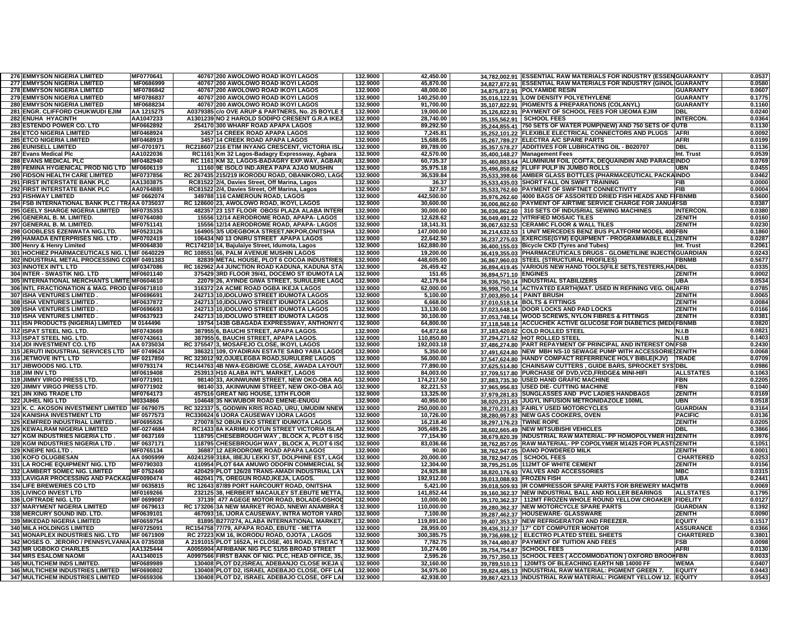| <b>276 EMMYSON NIGERIA LIMITED</b>                                   | MF0770641              | 40767 200 AWOLOWO ROAD IKOYI LAGOS                                                           | 132.9000             | 42,450.00              |                           | 34.782.002.91 ESSENTIAL RAW MATERIALS FOR INDUSTRY (ESSENGUARANTY                                                           |                  | 0.0537           |
|----------------------------------------------------------------------|------------------------|----------------------------------------------------------------------------------------------|----------------------|------------------------|---------------------------|-----------------------------------------------------------------------------------------------------------------------------|------------------|------------------|
| <b>277 EMMYSON NIGERIA LIMITED</b>                                   | MF0686999              | 40767 200 AWOLOWO ROAD IKOYI LAGOS                                                           | 132.9000             | 45.870.00              |                           | 34.827.872.91 ESSENTIAL RAW MATERIALS FOR INDUSTRY (GINOL GUARANTY                                                          |                  | 0.0580           |
| <b>278 EMMYSON NIGERIA LIMITED</b>                                   | MF0786842              | 40767 200 AWOLOWO ROAD IKOYI LAGOS                                                           | 132.9000             | 48.000.00              |                           | 34.875.872.91 POLYAMIDE RESIN                                                                                               | GUARANTY         | 0.0607           |
| <b>279 EMMYSON NIGERIA LIMITED</b>                                   | MF0786837              | 40767 200 AWOLOWO ROAD IKOYI LAGOS                                                           | 132.9000             | 140,250.00             |                           | 35,016,122.91 LOW DENSITY POLYETHYLENE                                                                                      | <b>GUARANTY</b>  | 0.1775           |
| <b>280 EMMYSON NIGERIA LIMITED</b>                                   | MF0688234              | 40767 200 AWOLOWO ROAD IKOYI LAGOS                                                           | 132.9000             | 91,700.00              |                           | 35,107,822.91 PIGMENTS & PREPARATIONS (COLANYL)                                                                             | <b>GUARANTY</b>  | 0.1160           |
| 281 ENGR. CLIFFORD CHUKWUDI EJIM                                     | AA 1215275             | A0379385 c/o OVE ARUP & PARTNERS, No. 25 BOYLE                                               | 132.9000             | 19,000.00              |                           | 35.126.822.91 PAYMENT OF SCHOOL FEES FOR IJEOMA EJIM                                                                        | DRI              | 0.0240           |
| <b>282 ENUHA HYACINTH</b>                                            | AA1047233              | A1301239 NO 2 HAROLD SODIPO CRESENT G.R.A IKEJ                                               | 132.9000             | 28,740.00              | 35.155.562.91             | <b>SCHOOL FEES</b>                                                                                                          | <b>INTERCON.</b> | 0.0364           |
| 283 ESTENDO POWER CO. LTD                                            | MF0662892              | 254170 300 WHARF ROAD APAPA LAGOS                                                            | 132.9000             | 89,292.50              |                           | 35.244.855.41 750 SETS OF WATER PUMP(NEW) AND 750 SETS OF                                                                   | 3UTB.            | 0.1130           |
| <b>284 ETCO NIGERIA LIMITED</b>                                      | MF0468924              | 3457 14 CREEK ROAD APAPA LAGOS                                                               | 132.9000             | 7,245.81               |                           | 35.252.101.22 FLEXIBLE ELECTRICAL CONNECTORS AND PLUGS                                                                      | <b>AFRI</b>      | 0.0092           |
| <b>285 ETCO NIGERIA LIMITED</b>                                      | MF0468919              | 3457 14 CREEK ROAD APAPA LAGOS                                                               | 132.9000             | 15,688.05              |                           | 35,267,789.27 ELECTRA A/C SPARE PARTS                                                                                       | AFRI             | 0.0199           |
| <b>286 EUNISELL LIMITED</b>                                          | MF-0701971             | RC218607 216 ETIM INYANG CRESCENT, VICTORIA ISL                                              | 132.9000             | 89.789.00              |                           | 35,357,578.27 ADDITIVES FOR LUBRICATING OIL - B020707                                                                       | DBL              | 0.1136           |
| 287 Evans Medical Plc                                                | AA1022036              | RC1161 Km 32 Lagos-Badagry Expressway, Agbara                                                | 132.9000             | 42,570.00              |                           | 35,400,148.27 Management Fees                                                                                               | Int. Trust       | 0.0539           |
| <b>288 EVANS MEDICAL PLC</b>                                         | MF0482940              | RC 1161 KM 32, LAGOS-BADAGRY EXP.WAY, AGBAR                                                  | 132.9000             | 60,735.37              |                           | 35.460.883.64 ALUMINIUM FOIL (COFTA, DEQUAINDIN AND PARACE                                                                  | <b>INDO</b>      | 0.0769           |
| 289 FEMINA HYGIENICAL PROD NIG LTD MF0606119                         |                        | 11160 9E ISOLO IND.AREA PAPA AJAO MUSHIN                                                     | 132.9000             | 35,975.18              |                           | 35.496.858.82 FLUFF PULP IN JUMBO ROLLS                                                                                     | UBN              | 0.0455           |
| 290 FIDSON HEALTH CARE LIMITED                                       | MF0737856              | RC 267435 215/219 IKORODU ROAD, OBANIKORO, LAGO                                              | 132.9000             | 36,539.84              |                           | 35.533.398.66 AMBER GLASS BOTTLES (PHARMACEUTICAL PACKAINDO                                                                 |                  | 0.0462           |
| 291 FIRST INTERSTATE BANK PLC                                        | AA1303875              | RC81522 2/4, Davies Street, Off Marina, Lagos                                                | 132.9000             | 36.37                  |                           | 35.533.435.03 SHORT FALL ON SWIFT TRAINING                                                                                  | FIB              | 0.0000           |
| <b>292 FIRST INTERSTATE BANK PLC</b>                                 | AA0764885              | RC81522 2/4, Davies Street, Off Marina, Lagos                                                | 132.9000             | 327.57                 |                           | 35,533,762.60 PAYMENT OF SWIFTNET CONNECTIVITY                                                                              | FIB              | 0.0004           |
| <b>293 FISHWAY LIMITED</b>                                           | MF 0662074             | 349788 116 CAMEROUN ROAD, LAGOS                                                              | 132.9000             | 442,500.00             |                           | 35,976,262.60 4000 BAGS OF ASSORTED DRIED FISH HEADS AND FIFBNMB                                                            |                  | 0.5600           |
| 294 FSB INTERNATIONAL BANK PLC / TRAAA 0735037                       |                        | RC 128600 23, AWOLOWO ROAD, IKOYI, LAGOS                                                     | 132.9000             | 30,600.00              |                           | 36,006,862.60 PAYMENT OF AIRTIME SERVICE CHARGE FOR JANUAFSB                                                                |                  | 0.0387           |
| 295 GEELY SHARGE NIGERIA LIMITED                                     | MF0735353              | 482357 23 1ST FLOOR OBOSI PLAZA ALABA INTER                                                  | 132.9000             | 30,000.00              |                           | 36,036,862.60 310 SETS OF INDUSRIAL SEWING MACHINES                                                                         | <b>INTERCON.</b> | 0.0380           |
| 296 GENERAL B. M. LIMITED.                                           | MF0764080              | 15556 12/14 AERODROME ROAD, APAPA- LAGOS                                                     | 132.9000             | 12,628.62              |                           | 36,049,491.22 VITRIFIED MOSAIC TILES                                                                                        | <b>ZENITH</b>    | 0.0160           |
| 297 GENERAL B. M. LIMITED.                                           | MF0751141              | 15556 12/14 AERODROME ROAD, APAPA- LAGOS                                                     | 132.9000             | 18,141.31              |                           | 36.067.632.53 CERAMIC FLOOR & WALL TILES                                                                                    | <b>ZENITH</b>    | 0.0230           |
| 298 GODBLESS EZENWATA NIG.LTD.                                       | MF0523126              | 164905 3/5 UDEGBOKA STREET, NKPOR, ONITSHA                                                   | 132.9000             | 147.000.00             |                           | 36,214,632.53 1 UNIT MERCEDES BENZ BUS PLATFORM MODEL 400 FBN                                                               |                  | 0.1860           |
| <b>299 HAMADA ENTERPRISES NIG. LTD.</b>                              | MF0702419              | 106434 NO 13 ONIRU STREET APAPA LAGOS                                                        | 132.9000             | 22,642.50              | 36,237,275.03             | EXERCISE(GYM) EQUIPMENT - PROGRAMMABLE ELL ZENITH                                                                           |                  | 0.0287           |
| 300 Henry & Henry Limited                                            | MF0064830              | RC174210 14, Bajulaiye Street, Idumota, Lagos                                                | 132.9000             | 162,880.00             |                           | 36.400.155.03 Bicycle CKD (Tyres and Tubes)                                                                                 | nt. Trust        | 0.2061           |
| 301 HOCHIEZ PHARMACEUTICALS NIG. LTMF 0640229                        |                        | RC 108551 66, PALM AVENUE MUSHIN LAGOS                                                       | 132.9000             | 19,200.00              |                           | 36.419.355.03 PHARMACEUTICALS DRUGS - GLOMETILINE INJECTI(GUARDIAN                                                          |                  | 0.0243           |
| 302 INDUSTRIAL METAL PROCESSING COMF 0491383                         |                        | 82839 METAL HOUSE, PLOT 6 COCOA INDUSTRIES                                                   | 132.9000             | 448,605.00             |                           | 36,867,960.03 STEEL (STRUCTURAL PROFILES)                                                                                   | <b>FBNMB</b>     | 0.5677           |
| 303 INNOTEX INT'L LTD                                                | MF0347086              | RC 162962 A4 JUNCTION ROAD KADUNA, KADUNA STA                                                | 132.9000             | 26,459.42              |                           | 36.894.419.45 VARIOUS NEW HAND TOOLS (FILE SETS, TESTERS, HA                                                                | <b>DBL</b>       | 0.0335           |
| 304 INTER - SWASTIK NIG. LTD                                         | MF0601140              | 375429 3RD FLOOR 39/41, DOCEMO ST IDUMOTA LA                                                 | 132.9000             | 151.65                 | 36,894,571.10 ENGINES     |                                                                                                                             | ZENITH           | 0.0002           |
| 305 INTERNATIONAL MERCHANTS LIMITE MF0604610                         |                        | 22079 26. AYINDE GIWA STREET, SURULERE LAGO                                                  | 132.9000             | 42.179.04              |                           | 36,936,750.14 INDUSTRIAL STABILIZERS                                                                                        | UBA              | 0.0534           |
| 306 INTL FRACTIONATION & MAG. PROD IMF0671810                        |                        | 316372 2A ACME ROAD OGBA IKEJA LAGOS                                                         | 132.9000             | 62,000.00              |                           | 36,998,750.14 ACTIVATED EARTH(MAT. USED IN REFINING VEG. OIL AFRI                                                           |                  | 0.0785           |
| <b>307 ISHA VENTURES LIMITED</b>                                     | MF0696691              | 242713 10, IDOLUWO STREET IDUMOTA LAGOS                                                      | 132.9000             | 5,100.00               | 37.003.850.14             | <b>PAINT BRUSH</b>                                                                                                          | ZENITH           | 0.006            |
| <b>308 ISHA VENTURES LIMITED</b>                                     | MF0637872              | 242713 10, IDOLUWO STREET IDUMOTA LAGOS                                                      | 132.9000             | 6,668.00               |                           | 37.010.518.14 BOLTS & FITTINGS                                                                                              | <b>ZENITH</b>    | 0.0084           |
| <b>309 ISHA VENTURES LIMITED</b>                                     | MF0696693              | 242713 10, IDOLUWO STREET IDUMOTA LAGOS                                                      | 132.9000             | 13,130.00              |                           | 37.023.648.14 DOOR LOCKS AND PAD LOCKS                                                                                      | <b>ZENITH</b>    | 0.0166           |
| <b>310 ISHA VENTURES LIMITED</b>                                     | MF0637923              | 242713 10, IDOLUWO STREET IDUMOTA LAGOS                                                      | 132.9000             | 30,100.00              |                           | 37.053.748.14 WOOD SCREWS, NYLON FIBRES & FITTINGS                                                                          | ZENITH           | 0.0381           |
| 311 ISN PRODUCTS (NIGERIA) LIMITED                                   | M 0144496              | 19754 143B GBAGADA EXPRESSWAY, ANTHONY/                                                      | 132.9000             | 64,800.00              |                           | 37.118.548.14 ACCUCHEK ACTIVE GLUCOSE FOR DIABETICS (MEDI FBNMB                                                             |                  | 0.0820           |
| 312 ISPAT STEEL NIG. LTD.                                            | MF0743669              | 387955 6, BAUCHI STREET, APAPA LAGOS.                                                        | 132.9000             | 64,872.68              |                           | 37,183,420.82 COLD ROLLED STEEL                                                                                             | N.I.B            | 0.0821           |
| 313 ISPAT STEEL NIG. LTD.                                            | MF0743661              | 387955 6, BAUCHI STREET, APAPA LAGOS                                                         | 132.9000             | 110,850.80             |                           | 37,294,271.62 HOT ROLLED STEEL                                                                                              | N.I.B            | 0.1403           |
| 314 JDI INVESTMENT CO. LTD                                           | AA 0735034             | RC 375547 3, MOSAFEJO CLOSE, IKOYI, LAGOS                                                    | 132.9000             | 192,003.18             |                           | 37.486.274.80 PART REPAYMENT OF PRINCIPAL AND INTEREST ON FSB                                                               |                  | 0.2430           |
| 315 JERUTI INDUSTRIAL SERVICES LTD                                   | MF 0749624             | 386321 109, OYADIRAN ESTATE SABO YABA LAGO                                                   | 132.9000             | 5,350.00               |                           | 37,491,624.80 NEW MBH NS-10 SEWAGE PUMP WITH ACCESSORIE ZENITH                                                              |                  | 0.0068           |
| 316 JETMOVE INT'L LTD                                                | MF 0217850             | RC 323012 92, OJUELEGBA ROAD, SURULERE LAGOS                                                 | 132.9000             | 56,000.00              |                           | 37.547.624.80 HANDY COMPACT REFERRENCE HOLY BIBLE(KJV)                                                                      | <b>TRADE</b>     | 0.0709           |
| 317 JIBWOODS NIG. LTD.                                               | MF0793174              | RC144763 4B NWA-EGBIGWE CLOSE, AWADA LAYOUT                                                  | 132.9000             | 77,890.00              |                           | 37,625,514.80 CHAINSAW CUTTERS, GUIDE BARS, SPROCKET SYSIDBL                                                                |                  | 0.0986           |
| 318 JIM INV LTD                                                      | MF0619408              | 253913 H10 ALABA INT'L MARKET. LAGOS                                                         | 132.9000             | 84.003.00              |                           | 37,709,517.80 PURCHASE OF DVD, VCD, FRIDGE& MINI-HIFI                                                                       | <b>ALLSTATES</b> | 0.1063           |
| 319 JIMMY VIRGO PRESS LTD.                                           | MF0771901              | 98140 33, AKINWUNMI STREET, NEW OKO-OBA AG                                                   | 132.9000             | 174,217.50             |                           | 37,883,735.30 USED HAND GRAFIC MACHINE                                                                                      | FBN              | 0.2205           |
| 320 JIMMY VIRGO PRESS LTD.                                           | MF0771902              | 98140 33, AKINWUNMI STREET, NEW OKO-OBA AG                                                   | 132.9000             | 82,221.53              |                           | 37,965,956.83 USED DIE- CUTTING MACHINE                                                                                     | FBN              | 0.1040           |
| 321 JIN XING TRADE LTD                                               | MF0764173              | 457516 GREAT NIG HOUSE, 13TH FLOOR                                                           | 132.9000             | 13,325.00              |                           |                                                                                                                             |                  |                  |
| 322 JUHEL NIG LTD                                                    | M0334866               | 104648 35 NKWUBOR ROAD EMENE-ENUGU                                                           |                      |                        |                           |                                                                                                                             |                  |                  |
| 323 K. C. AKOSON INVESTMENT LIMITED MF 0679075                       |                        |                                                                                              |                      |                        |                           | 37,979,281.83 SUNGLASSES AND PVC LADIES HANDBAGS                                                                            | <b>ZENITH</b>    | 0.0169           |
|                                                                      |                        |                                                                                              | 132.9000             | 40,950.00              |                           | 38.020.231.83 JUGYL INFUSION METRONIDAZOLE 100ML                                                                            | UBN              | 0.0518           |
|                                                                      |                        | RC 322337 5, GODWIN KRIS ROAD, URU, UMUDIM NNEV                                              | 132.9000             | 250,000.00             |                           | 38,270,231.83 FAIRLY USED MOTORCYCLES                                                                                       | <b>GUARDIAN</b>  | 0.3164           |
| <b>324 KANISHA INVESTMENT LTD</b>                                    | MF 0577573             | RC330624 6 IJORA CAUSEWAY IJORA LAGOS                                                        | 132.9000             | 10,726.00              |                           | 38,280,957.83 NEW GAS COOKERS, OVEN                                                                                         | <b>PACIFIC</b>   | 0.0136           |
| 325 KEMFRED INDUSTRIAL LIMITED                                       | MF0695926              | 270078 52 OBUN EKO STREET IDUMOTA LAGOS                                                      | 132.9000             | 16.218.40              | 38,297,176.23 TWINE ROPE  |                                                                                                                             | <b>ZENITH</b>    | 0.0205           |
| <b>326 KEWALRAM NIGERIA LIMITED</b>                                  | MF-0274684             | RC1433 8A KARIMU KOTUN STREET VICTORIA ISLA                                                  | 132.9000             | 305,489.26             |                           | 38,602,665.49 NEW MITSUBISHI VEHICLES                                                                                       | DBL              | 0.3866           |
| 327 KGM INDUSTRIES NIGERIA LTD                                       | MF 0637169             | 118795 CHESEBROUGH WAY, BLOCK A, PLOT 6 ISO                                                  | 132.9000             | 77,154.90              |                           | 38,679,820.39 INDUSTRIAL RAW MATERIAL- PP HOMOPOLYMER H1 ZENITH                                                             |                  | 0.0976           |
| 328 KGM INDUSTRIES NIGERIA LTD.                                      | MF 0637171             | 118795 CHESEBROUGH WAY, BLOCK A, PLOT 6 ISO                                                  | 132.9000             | 83,036.66              |                           | 38.762.857.05 RAW MATERIAL- PP COPOLYMER M1425 FOR PLASTIZENITH                                                             |                  | 0.1051           |
| 329 KNEIPE NIG.LTD                                                   | MF0765134              | 36887 12 AERODROME ROAD APAPA LAGOS                                                          | 132.9000             | 90.00                  |                           | 38,762,947.05 DANO POWDERED MILK                                                                                            | ZENITH           | 0.0001           |
| 330 KOFO OLUGBESAN                                                   | AA 0905999             | A0241259 318A, IBEJU LEKKI ST, DOLPHINE EST, LAG                                             | 132.9000             | 20,000.00              | 38.782.947.05             | <b>SCHOOL FEES</b>                                                                                                          | <b>CHARTERED</b> | 0.0253           |
| 331 LA ROCHE EQUIPMENT NIG. LTD                                      | MF0790303              | 410954 PLOT 64A AMUWO ODOFIN COMMERCIAL S                                                    | 132.9000             | 12,304.00              |                           | 38,795,251.05 112MT OF WHITE CEMENT                                                                                         | ZENITH           | 0.0156           |
| 332 LAMBERT SOMEC NIG. LIMITED                                       | MF 0752440             | 420429 PLOT 126/28 TRANS-AMADI INDUSTRIAL LA                                                 | 132.9000             | 24,925.88              |                           | 38.820.176.93 VALVES AND ACCESSORIES                                                                                        | <b>MBC</b>       | 0.0315           |
| 333 LAVIGAR PROCESSING AND PACKAG MF0090474                          |                        | 462041 75, OREGUN ROAD, IKEJA, LAGOS.                                                        | 132.9000             | 192,912.00             | 39,013,088.93 FROZEN FISH |                                                                                                                             | UBA              | 0.2441           |
| 334 LIFE BREWERIES CO LTD                                            | MF 0635815             | RC 12643 87/89 PORT HARCOURT ROAD, ONITSHA                                                   | 132.9000             | 5,421.00               |                           | 39,018,509.93 IR COMPRESSOR SPARE PARTS FOR BREWERY MA                                                                      | <b>CIMTB</b>     | 0.0069           |
| 335 LIVINCO INVEST LTD                                               | MF0169266              | 232125 38, HERBERT MACAULEY ST.EBUTE METTA                                                   | 132.9000             | 141,852.44             |                           | 39.160.362.37 NEW INDUSTRIAL BALL AND ROLLER BEARINGS                                                                       | <b>ALLSTATES</b> | 0.1795           |
| 336 LOFTRADE NIG. LTD                                                | MF 0699087             | 37139 477 AGEGE MOTOR ROAD, BOLADE-OSHOI                                                     | 132.9000             | 10,000.00              |                           | 39.170.362.37 112MT FROZEN WHOLE ROUND YELLOW CROAKER                                                                       | <b>FIDELITY</b>  | 0.0127           |
| 337 MARYMENT NIGERIA LIMITED                                         | MF 0679613             | RC 173206 3A NEW MARKET ROAD, NNEWI ANAMBRA                                                  | 132.9000             | 110,000.00             |                           | 39.280.362.37 NEW MOTORCYCLE SPARE PARTS                                                                                    | <b>GUARDIAN</b>  | 0.1392           |
| 338 MERCURY SOUND IND. LTD.                                          | <b>MF0639101</b>       | 467093116, IJORA CAUSEWAY, INTRA MOTOR YARD                                                  | 132.9000             | 7.100.00               |                           | 39,287,462.37 HOUSEWARE- GLASSWARE                                                                                          | ZENITH           | 0.0090           |
| <b>339 MIKEDAD NIGERIA LIMITED</b>                                   | MF0659754              | 81895 B277/274, ALABA INTERNATIONAL MARKET                                                   | 132.9000             | 119.891.00             |                           | 39,407,353.37 NEW REFRIGERATOR AND FREEZER.                                                                                 | <b>EQUITY</b>    | 0.1517           |
| <b>340 MILA HOLDINGS LIMITED</b>                                     | MF0725091              | RC154758 77/79, APAPA ROAD, EBUTE - METTA                                                    | 132.9000             | 28,959.00              |                           | 39,436,312.37 17" CDT COMPUTER MONITOR                                                                                      | <b>ASSURANCE</b> | 0.0366           |
| 341 MONAPLEX INDUSTRIES NIG. LTD                                     | MF 0671909             | RC 27223 KM 16, IKORODU ROAD, OJOTA, LAGOS                                                   | 132.9000             | 300,385.75             |                           | 39,736,698.12 ELECTRO PLATED STEEL SHEETS                                                                                   | <b>CHARTERED</b> | 0.3801           |
| 342 MOSES O. JERORO / PENNSYLVANIA A 0735038                         |                        | A 2191015 PLOT 1652A, H CLOSE, 401 ROAD, FESTAC                                              | 132.9000             | 7,782.75               |                           | 39,744,480.87 PAYMENT OF TUITION AND FEES                                                                                   | FSB              | 0.0098           |
| 343 MR UGBOKO CHARLES                                                | AA1325444              | A0055904 AFRIBANK NIG PLC 51/55 BROAD STREET                                                 | 132.9000             | 10,274.00              |                           | 39.754.754.87 SCHOOL FEES                                                                                                   | <b>AFRI</b>      | 0.0130           |
| <b>344 MRS ESALOMI NAOMI</b>                                         | AA1340015              | A0997566 FIRST BANK OF NIG. PLC, HEAD OFFICE, 35                                             | 132.9000             | 2,595.26               |                           | 39,757,350.13 SCHOOL FEES ( ACCOMMODATION ) OXFORD BROOHFBN                                                                 |                  | 0.0033           |
| <b>345 MULTICHEM INDS LIMITED</b>                                    | MF0689989              | 130408 PLOT D2, ISREAL ADEBANJO CLOSE IKEJA                                                  | 132.9000             | 32,160.00              |                           | 39,789,510.13   120MTS OF BLEACHING EARTH NB 14000 FF                                                                       | WEMA             | 0.0407           |
| 346 MULTICHEM INDUSTRIES LIMITED<br>347 MULTICHEM INDUSTRIES LIMITED | MF0690802<br>MF0659306 | 130408 PLOT D2, ISRAEL ADEBAJO CLOSE, OFF LA<br>130408 PLOT D2, ISRAEL ADEBAJO CLOSE, OFF LA | 132.9000<br>132.9000 | 34,975.00<br>42,938.00 |                           | 39,824,485.13 INDUSTRIAL RAW MATERIAL: PIGMENT GREEN 7.<br>39,867,423.13 INDUSTRIAL RAW MATERIAL: PIGMENT YELLOW 12. EQUITY | <b>EQUITY</b>    | 0.0443<br>0.0543 |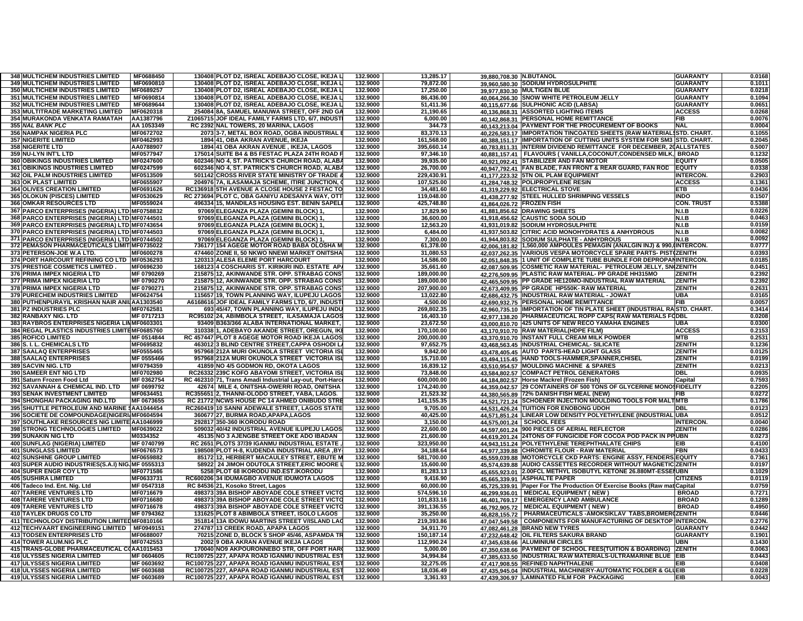| <b>348 MULTICHEM INDUSTRIES LIMITED</b>          | MF0688450                      |       | 130408 PLOT D2, ISREAL ADEBAJO CLOSE, IKEJA L                                              | 132.9000 | 13,285.17               | 39.880.708.30 N.BUTANOL |                                                                           | <b>GUARANTY</b>    | 0.0168           |
|--------------------------------------------------|--------------------------------|-------|--------------------------------------------------------------------------------------------|----------|-------------------------|-------------------------|---------------------------------------------------------------------------|--------------------|------------------|
| 349 MULTICHEM INDUSTRIES LIMITED                 | MF0690810                      |       | 130408 PLOT D2, ISREAL ADEBAJO CLOSE, IKEJA L                                              | 132.9000 | 79,872.00               |                         | 39,960,580.30 SODIUM HYDROSULPHITE                                        | <b>GUARANTY</b>    | 0.1011           |
| <b>350 MULTICHEM INDUSTRIES LIMITED</b>          | MF0689257                      |       | 130408 PLOT D2. ISREAL ADEBAJO CLOSE, IKEJA L                                              | 132.9000 | 17,250.00               |                         | 39,977,830.30 MULTIGEN BLUE                                               | <b>GUARANTY</b>    | 0.0218           |
| <b>351 MULTICHEM INDUSTRIES LIMITED</b>          | MF0690814                      |       | 130408 PLOT D2, ISREAL ADEBAJO CLOSE, IKEJA L                                              | 132.9000 | 86,436.00               |                         | 40,064,266.30 SNOW WHITE PETROLEUM JELLY                                  | <b>GUARANTY</b>    | 0.1094           |
| 352 MULTICHEM INDUSTRIES LIMITED                 | MF0689644                      |       | 130408 PLOT D2, ISREAL ADEBAJO CLOSE, IKEJA L                                              | 132.9000 | 51,411.36               |                         | 40,115,677.66 SULPHONIC ACID (LABSA)                                      | <b>GUARANTY</b>    | 0.0651           |
| 353 MULTITRADE MARKETING LIMITED                 | MF0620318                      |       | 254084 8A, SAMUEL MANUWA STREET, OFF 2ND GA                                                | 132.9000 | 21,190.65               |                         | 40,136,868.31 ASSORTED LIGHTING ITEMS                                     | <b>ACCESS</b>      | 0.0268           |
| 354 MURAKONDA VENKATA RAMATAH                    | AA1387796                      |       | Z1065715 JOF IDEAL FAMILY FARMS LTD, 6/7, INDUST                                           | 132.9000 | 6,000.00                |                         | 40.142.868.31 PERSONAL HOME REMITTANCE                                    | FIB                | 0.0076           |
| 355 NAL BANK PLC                                 | AA 1053349                     |       | RC 2392 NAL TOWERS, 20 MARINA, LAGOS                                                       | 132.9000 | 344.73                  |                         | 40.143.213.04 PAYMENT FOR THE PROCUREMENT OF BOOKS                        | <b>NAL</b>         | 0.0004           |
| <b>356 NAMPAK NIGERIA PLC</b>                    | MF0672702                      |       | 2073 3-7, METAL BOX ROAD, OGBA INDUSTRIAL                                                  | 132.9000 | 83.370.13               |                         | 40,226,583.17 IMPORTATION TINCOATED SHEETS (RAW MATERIAL                  | <b>STD. CHART.</b> | 0.1055           |
| <b>357 NIGERITE LIMITED</b>                      | MF0462993                      |       | 1894 41, OBA AKRAN AVENUE, IKEJA                                                           | 132.9000 | 161.568.00              |                         | 40,388,151.17 IMPORTATION OF CUTTING UNITS SYSTEM FOR SM3                 | STD. CHART.        | 0.2045           |
| 358 NIGERITE LTD                                 | AA0788907                      |       | 1894 41 OBA AKRAN AVENUE, IKEJA, LAGOS                                                     | 132.9000 | 395,660.14              |                         | 40,783,811.31 INTERIM DIVIDEND REMITTANCE FOR DECEMBER, 20ALLSTATES       |                    | 0.5007           |
| 359 NU-LYN INT'L LTD                             | MF0577947                      |       | 175014 SUITE B4 & B5 FESTAC PLAZA 24TH ROAD                                                | 132.9000 | 97,346.10               |                         | 40.881.157.41   FLAVOURS (VANILLA,COCONUT,CONDENSED MILK, BROAD           |                    | 0.1232           |
| 360 OBIKINGS INDUSTRIES LIMITED                  | <b>MF0247600</b>               |       | 602346 NO 4, ST. PATRICK'S CHURCH ROAD, ALAB/                                              | 132.9000 | 39,935.00               |                         | 40,921,092.41 STABILIZER AND FAN MOTOR                                    | <b>EQUITY</b>      | 0.0505           |
| <b>361 OBIKINGS INDUSTRIES LIMITED</b>           | MF0247599                      |       | 602346 NO 4, ST. PATRICK'S CHURCH ROAD, ALAB/                                              | 132.9000 | 26,700.00               |                         | 40,947,792.41 FAN BLADE, FAN FRONT & REAR GUARD, FAN ROD                  | <b>EQUITY</b>      | 0.0338           |
| 362 OIL PALM INDUSTRIES LIMITED                  | MF0513509                      |       | 501142 CROSS RIVER STATE MINISTRY OF TRADE                                                 | 132.9000 | 229,430.91              |                         | 41,177,223.32 5TN OIL PLAM EQUIPMENT                                      | <b>INTERCON.</b>   | 0.2903           |
| <b>363 OK PLAST LIMITED</b>                      | MF0655907                      |       | 204976 7A, ILASAMAJA SCHEME, ITIRE JUNCTION.                                               | 132.9000 | 107,525.00              |                         | 41,284,748.32 POLIPROPYLENE RESIN                                         | <b>ACCESS</b>      | 0.1361           |
| <b>364 OLIVES CREATION LIMITED</b>               | MF0691626                      |       | RC136918 5TH AVENUE A CLOSE HOUSE 2 FESTAC TO                                              | 132.9000 | 34,481.60               |                         | 41,319,229.92 ELECTRICAL STOVE                                            | ETB                | 0.0436           |
| 365 OLOKUN (PISCES) LIMITED                      | MF0530629                      |       | RC 273694 PLOT C, OBA GANIYU ADESANYA WAY, OTT                                             | 132.9000 | 119,048.00              |                         | 41,438,277.92 STEEL HULLED SHRIMPING VESSELS                              | <b>INDO</b>        | 0.1507           |
| <b>366 OMKAR RESOURCES LTD</b>                   | MF0559024                      |       | 496334 15, MANDILAS HOUSING EST. BENIN SAPELI                                              | 132.9000 | 425,748.80              |                         | 41,864,026.72 FROZEN FISH                                                 | <b>CON. TRUST</b>  | 0.5388           |
| 367 PARCO ENTERPRISES (NIGERIA) LTD MF0758832    |                                |       | 97069 ELEGANZA PLAZA (GEMINI BLOCK) 1,                                                     | 132.9000 | 17.829.90               |                         | 41,881,856.62 DRAWING SHEETS                                              | N.I.B              | 0.0226           |
| 368 PARCO ENTERPRISES (NIGERIA) LTD MF0744501    |                                | 97069 | <b>ELEGANZA PLAZA (GEMINI BLOCK) 1</b>                                                     | 132.9000 | 36,600.00               |                         | 41,918,456.62 CAUSTIC SODA SOLID                                          | N.I.B              | 0.0463           |
| 369 PARCO ENTERPRISES (NIGERIA) LTD MF0743654    |                                | 97069 | ELEGANZA PLAZA (GEMINI BLOCK) 1                                                            | 132.9000 | 12,563.20               |                         | 41,931,019.82 SODIUM HYDROSULPHITE                                        | N.I.B              | 0.0159           |
| 370 PARCO ENTERPRISES (NIGERIA) LTD MF0744503    |                                |       | 97069 ELEGANZA PLAZA (GEMINI BLOCK) 1                                                      | 132.9000 | 6,484.00                |                         | 41,937,503.82 CITRIC ACID MONOHYDRATES & ANHYDROUS                        | N.I.B              | 0.0082           |
| 371 PARCO ENTERPRISES (NIGERIA) LTD MF0744502    |                                |       | 97069 ELEGANZA PLAZA (GEMINI BLOCK) 1                                                      | 132.9000 | 7,300.00                |                         | 41,944,803.82 SODIUM SULPHATE - ANHYDROUS                                 | N.I.B              | 0.0092           |
| 372 PEMASON PHARMACEUTICALS LIMIT MF0735022      |                                |       | 736177 154 AGEGE MOTOR ROAD BABA OLOSHA M                                                  | 132.9000 | 61,378.00               |                         | 42.006.181.82 1,560,000 AMPOULES PEMAGIN (ANALGIN INJ) & 990, INTERCON.   |                    | 0.0777           |
| 373 PETERSON-JOE W.A LTD.                        | MF0600278                      |       | 474460 ZONE II, 50 NKWO NNEWI MARKET ONITSHA                                               | 132.9000 | 31,080.53               | 42.037.262.35           | <b>VARIOUS VESPA MOTORCYCLE SPARE PARTS- PIST(ZENITH</b>                  |                    | 0.0393           |
| 374 PORT HARCOURT REFINING CO LTD MF0536293      |                                |       | 120313 ALESA ELEME PORT HARCOURT                                                           | 132.9000 | 14,586.00               |                         | 42.051.848.35  1 UNIT OF COMPLETE TUBE BUNDLE FOR DEPROPANINTERCON        |                    | 0.0185           |
| 375 PRESTIGE COSMETICS LIMITED.                  | MF0696230                      |       | 168123 4 COSCHARIS ST. KIRIKIRI IND. ESTATE AP                                             | 132.9000 | 35,661.60               | 42.087.509.95           | COSMETIC RAW MATERIAL- PETROLEUM JELLY, SN(ZENITH                         |                    | 0.0451           |
| 376 PRIMA IMPEX NIGERIA LTD                      | MF 0790269                     |       | 215875 12, AKINWANDE STR. OPP. STRABAG CONS                                                | 132.9000 | 189,000.00              |                         | 42,276,509.95 PLASTIC RAW MATERIAL- PP GRADE HH315MO                      | <b>ZENITH</b>      | 0.2392           |
| 377 PRIMA IMPEX NIGERIA LTD                      | MF 0790270                     |       | 215875 12, AKINWANDE STR. OPP. STRABAG CONS                                                | 132.9000 | 189,000.00              |                         | 42.465.509.95 PP GRADE HE120MO-INDUSTRIAL RAW MATERIAL                    | <b>ZENITH</b>      | 0.2392           |
| 378 PRIMA IMPEX NIGERIA LTD                      | MF 0790271                     |       | 215875 12, AKINWANDE STR. OPP. STRABAG CONS                                                | 132.9000 | 207,900.00              |                         | 42,673,409.95 PP GRADE HP550K- RAW MATERIAL                               | <b>ZENITH</b>      | 0.2631           |
| 379 PURECHEM INDUSTRIES LIMITED                  | MF0624754                      |       | 115657 19, TOWN PLANNING WAY, ILUPEJU LAGOS                                                | 132.9000 | 13,022.80               |                         | 42.686.432.75 INDUSTRIAL RAW MATERIAL - JOWAT                             | <b>UBA</b>         | 0.0165           |
| 380 PUTHENPURAYIL KRISHAN NAIR ANIUAA1303540     |                                |       | A6168616 JOF IDEAL FAMILY FARMS LTD, 6/7, INDUST                                           | 132.9000 | 4,500.00                |                         | 42,690,932.75 PERSONAL HOME REMITTANCE                                    | FIB                | 0.0057           |
|                                                  |                                |       |                                                                                            | 132.9000 |                         |                         | 42.960.735.10 IMPORTATION OF TIN PLATE SHEET (INDUSTRIAL RASTD. CHART.    |                    |                  |
| 381 PZ INDUSTRIES PLC<br>382 RANBAXY NIG. LTD    | <b>MF0762581</b><br>MF 0717213 |       | 693 45/47, TOWN PLANNING WAY, ILUPEJU INDU<br>RC95102 24, ABIMBOLA STREET, ILASAMAJA LAGOS | 132.9000 | 269,802.35<br>16,403.10 |                         |                                                                           |                    | 0.3414<br>0.0208 |
|                                                  |                                |       |                                                                                            |          |                         |                         | 42.977.138.20 PHARMACEUTICAL ROPP CAPS(RAW MATERIALS FODBL                |                    |                  |
| 383 RAYBROS ENTERPRISES NIGERIA LINMF0603301     |                                |       | 93409 B363/366 ALABA INTERNATIONAL MARKET.                                                 | 132.9000 | 23.672.50               |                         | 43,000,810.70 425 UNITS OF NEW RECO YAMAHA ENGINES                        | UBA                | 0.0300           |
| 384 REGAL PLASTICS INDUSTRIES LIMITEMF0685760    |                                |       | 31033811, ADEBAYO AKANDE STREET, OREGUN, IKI                                               | 132.9000 | 170,100.00              |                         | 43,170,910.70 RAW MATERIAL(HDPE FILM)                                     | <b>ACCESS</b>      | 0.2153           |
| 385 ROFICO LIMITED                               | MF 0514844                     |       | RC 457447 PLOT 8 AGEGE MOTOR ROAD IKEJA LAGOS                                              | 132.9000 | 200,000.00              |                         | 43,370,910.70 INSTANT FULL CREAM MILK POWDER                              | МТВ                | 0.2531           |
| 386 S. I. L. CHEMICALS LTD                       | MF0695832                      |       | 463012 3 BLIND CENTRE STREET, CAPPA OSHODI L.                                              | 132.9000 | 97,652.75               |                         | 43,468,563.45 INDUSTRIAL CHEMICAL- SILICATE                               | <b>ZENITH</b>      | 0.1236           |
| 387 SAALAQ ENTERPRISES                           | <b>MF0555465</b>               |       | 957968 212A MURI OKUNOLA STREET VICTORIA ISI                                               | 132.9000 | 9,842.00                |                         | 43,478,405.45 AUTO PARTS-HEAD LIGHT GLASS                                 | <b>ZENITH</b>      | 0.0125           |
| 388 SAALAQ ENTERPRISES                           | MF 0555466                     |       | 957968 212A MURI OKUNOLA STREET VICTORIA ISI                                               | 132.9000 | 15,710.00               |                         | 43,494,115.45 HAND TOOLS-HAMMER, SPANNER, CHISEL                          | <b>ZENITH</b>      | 0.0199           |
| 389 SACVIN NIG. LTD                              | MF0794359                      |       | 41859 NO 4/5 GODMON RD, OKOTA LAGOS                                                        | 132.9000 | 16,839.12               |                         | 43,510,954.57 MOULDING MACHINE & SPARES                                   | <b>ZENITH</b>      | 0.0213           |
| 390 SAMEER ENT NIG LTD                           | MF0702980                      |       | RC26332 239C KOFO ABAYOMI STREET, VICTORIA ISI                                             | 132.9000 | 73.848.00               |                         | 43,584,802.57 COMPACT PETROL GENERATORS                                   | <b>DBL</b>         | 0.0935           |
| 391 Saturn Frozen Food Ltd                       | MF 0362754                     |       | RC 462310 71, Trans Amadi Industrial Lay-out, Port-Harc                                    | 132.9000 | 600,000.00              |                         | 44,184,802.57 Horse Mackrel (Frozen Fish)                                 | Capital            | 0.7593           |
| 392 SAVANNAH & CHEMICAL IND. LTD                 | MF 0699792                     |       | 42674 MILE 4, ONITSHA-OWERRI ROAD, ONITSHA                                                 | 132.9000 | 174,240.00              |                         | 44.359.042.57 29 CONTAINERS OF 500 TONS OF GLYCERINE MONOSFIDELITY        |                    | 0.2205           |
| 393 SENAK INVESTMENT LIMITED                     | MF0634451                      |       | RC355651 2, THANNI-OLODO STREET, YABA, LAGOS.                                              | 132.9000 | 21,523.32               |                         | 44,380,565.89 72% DANISH FISH MEAL (NEW)                                  | FIB                | 0.0272           |
| 394 SHONGHAI PACKAGING IND.LTD                   | MF 0673655                     |       | RC 21772 NCWS HOUSE PC 14 AHMED ONIBUDO STRE                                               | 132.9000 | 141,155.35              |                         | 44.521.721.24 SCHOENER INJECTION MOULDING TOOLS FOR MALTMTB               |                    | 0.1786           |
| 395 SHUTTLE PETROLEUM AND MARINE \$AA1044454     |                                |       | RC260419 10 SANNI ADEWALE STREET, LAGOS STATE                                              | 132.9000 | 9,705.00                |                         | 44,531,426.24 TUITION FOR ENOBONG UDOH                                    | DBL                | 0.0123           |
| 396 SOCIETE DE COMPOUNDAGE(NIGERI/MF0604594      |                                |       | 360677 27, BURMA ROAD, APAPA, LAGOS                                                        | 132.9000 | 40,425.00               |                         | 44.571.851.24 LINEAR LOW DENSITY POLYETHYLENE (INDUSTRIAL                 | <b>UBA</b>         | 0.0512           |
| 397 SOUTHLAKE RESOURCES NIG LIMITE AA1046999     |                                |       | 292817 350-360 IKORODU ROAD                                                                | 132.9000 | 3,150.00                |                         | 44,575,001.24 SCHOOL FEES                                                 | <b>INTERCON.</b>   | 0.0040           |
| 398 STRONG TECHNOLOGIES LIMITED                  | MF0639022                      |       | 509032 40/42 INDUSTRIAL AVENUE ILUPEJU LAGOS                                               | 132.9000 | 22,600.00               |                         | 44.597.601.24 900 PIECES OF AERIAL REFLECTOR                              | ZENITH             | 0.0286           |
| <b>399 SUNAKIN NIG LTD</b>                       | M0334352                       |       | 45135 NO 3 AJENGBE STREET OKE ADO IBADAN                                                   | 132.9000 | 21,600.00               |                         | 44.619.201.24 24TONS OF FUNGICIDE FOR COCOA POD PACK IN PPUBN             |                    | 0.0273           |
| 400 SUNFLAG (NIGERIA) LIMITED                    | MF 0740799                     |       | RC 2651 PLOTS 37/39 IGANMU INDUSTRIAL ESTATE                                               | 132.9000 | 323,950.00              |                         | 44.943.151.24 POLYETHYLENE TEREPHTHALATE CHIPS                            | EIB                | 0.4100           |
| <b>401 SUNGLASS LIMITED</b>                      | MF0676573                      |       | 198508 PLOT H-8, KUDENDA INDUSTRIAL AREA ,BY                                               | 132.9000 | 34,188.64               |                         | 44.977.339.88 CHROMITE FLOUR - RAW MATERIAL                               | FBN                | 0.0433           |
| <b>402 SUNSHINE GROUP LIMITED</b>                | MF0659882                      |       | 85172 12, HERBERT MACAULEY STREET, EBUTE M                                                 | 132.9000 | 581,700.00              | 45.559.039.88           | <b>MOTORCYCLE CKD PARTS: ENGINE ASSY, FENDERS EQUIT</b>                   |                    | 0.7361           |
| 403 SUPER AUDIO INDUSTRIES(S.A.I) NIG MF 0555313 |                                |       | 58922 24 JIMOH ODUTOLA STREET, ERIC MOORE                                                  | 132.9000 | 15,600.00               | 45,574,639.88           | AUDIO CASSETTES RECORDER WITHOUT MAGNETIC ZENITH                          |                    | 0.0197           |
| <b>404 SUPER ENGR COY LTD</b>                    | MF0771586                      |       | 5258 PLOT 68 IKORODU IND.EST.IKORODU                                                       | 132.9000 | 81,283.13               |                         | 45,655,923.01 2.00FCL METHYL ISOBUTYL KETONE 26.880MT-ESSEI               | <b>UBN</b>         | 0.1029           |
| <b>405 SUSHIRA LIMITED</b>                       | <b>MF0633731</b>               |       | RC600206 34 IDUMAGBO AVENUE IDUMOTA LAGOS                                                  | 132.9000 | 9,416.90                |                         | 45,665,339.91 ASPHALTE PAPER                                              | <b>CITIZENS</b>    | 0.0119           |
| 406 Tadeco Ind. Ent. Nig. Ltd                    | MF 0547318                     |       | RC 84536 21, Kosoko Street, Lagos                                                          | 132.9000 | 60,000.00               |                         | 45,725,339.91 Paper For The Production Of Exercise Books (Raw mat Capital |                    | 0.0759           |
| <b>407 TARERE VENTURES LTD</b>                   | MF0716679                      |       | 498373 39A BISHOP ABOYADE COLE STREET VICT                                                 | 132.9000 | 574,596.10              | 46,299,936.01           | <b>MEDICAL EQUIPMENT (NEW)</b>                                            | <b>BROAD</b>       | 0.7271           |
| <b>408 TARERE VENTURES LTD</b>                   | MF0716680                      |       | 498373 39A BISHOP ABOYADE COLE STREET VICTO                                                | 132.9000 | 101,833.16              |                         | 46.401.769.17 EMERGENCY LAND AMBULANCE                                    | <b>BROAD</b>       | 0.1289           |
| <b>409 TARERE VENTURES LTD</b>                   | MF0716678                      |       | 498373 39A BISHOP ABOYADE COLE STREET VICTO                                                | 132.9000 | 391.136.55              |                         | 46,792,905.72 MEDICAL EQUIPMENT (NEW)                                     | <b>BROAD</b>       | 0.4950           |
| <b>410 TAYLEK DRUGS CO LTD</b>                   | MF 0794362                     |       | 131625 PLOT 8 ABIMBOLA STREET, ISOLO LAGOS                                                 | 132.9000 | 35.250.00               |                         | 46,828,155.72 PHARMACEUTICALS - AMOKSIKLAV TABS, BROMER                   | <b>CZENITH</b>     | 0.0446           |
| 411 TECHNOLOGY DISTRIBUTION LIMITEDMF0810166     |                                |       | 351814 13A IDOWU MARTINS STREET V/ISLAND LAG                                               | 132.9000 | 219,393.86              |                         | 47,047,549.58 COMPONENTS FOR MANUFACTURING OF DESKTOP                     | <b>INTERCON</b>    | 0.2776           |
| 412 TECHVAART ENGINEERING LIMITED   MF0949151    |                                |       | 274787 13 CREEK ROAD, APAPA LAGOS                                                          | 132.9000 | 34,911.70               |                         | 47,082,461.28 BRAND NEW TYRES                                             | <b>GUARANTY</b>    | 0.0442           |
| <b>413 TODSEN ENTERPRISES LTD</b>                | <b>MF0688007</b>               |       | 70215 ZONE D, BLOCK 5 SHOP 45/46, ASPAMDA TR                                               | 132.9000 | 150,187.14              |                         | 47,232,648.42 OIL FILTERS SAKURA BRAND                                    | <b>GUARANTY</b>    | 0.1901           |
| 414 TOWER ALUM.NIG PLC                           | MF0742553                      |       | 2002 9 OBA AKRAN AVENUE IKEJA LAGOS                                                        | 132.9000 | 112,990.24              |                         | 47.345.638.66 ALUMINIUM CIRCLES                                           | UBN                | 0.1430           |
| 415 TRANS-GLOBE PHARMACEUTICAL COAA1015453       |                                |       | 170040 NO9 AKPOURONNEBO STR, OFF PORT HAR                                                  | 132.9000 | 5,000.00                |                         | 47.350.638.66 PAYMENT OF SCHOOL FEES(TUITION & BOARDING) ZENITH           |                    | 0.0063           |
| 416 ULYSSES NIGERIA LIMITED                      | MF 0604605                     |       | RC100725 227, APAPA ROAD IGANMU INDUSTRIAL EST                                             | 132.9000 | 34,994.84               |                         | 47.385.633.50 INDUSTRIAL RAW MATERIALS-ULTRAMARINE BLUE EIB               |                    | 0.0443           |
| <b>417 ULYSSES NIGERIA LIMITED</b>               | MF 0603692                     |       | RC100725 227, APAPA ROAD IGANMU INDUSTRIAL EST                                             | 132.9000 | 32,275.05               |                         | 47,417,908.55 REFINED NAPHTHALENE                                         | EIB                | 0.0408           |
| <b>418 ULYSSES NIGERIA LIMITED</b>               | MF 0603688                     |       | RC100725 227, APAPA ROAD IGANMU INDUSTRIAL EST                                             | 132.9000 | 18,036.49               |                         | 47,435,945.04 INDUSTRIAL MACHINERY-AUTOMATIC FOLDER & GLUEIB              |                    | 0.0228           |
| 419 ULYSSES NIGERIA LIMITED                      | MF 0603689                     |       | RC100725 227, APAPA ROAD IGANMU INDUSTRIAL EST                                             | 132.9000 | 3,361.93                |                         | 47,439,306.97 LAMINATED FILM FOR PACKAGING                                | EIB                | 0.0043           |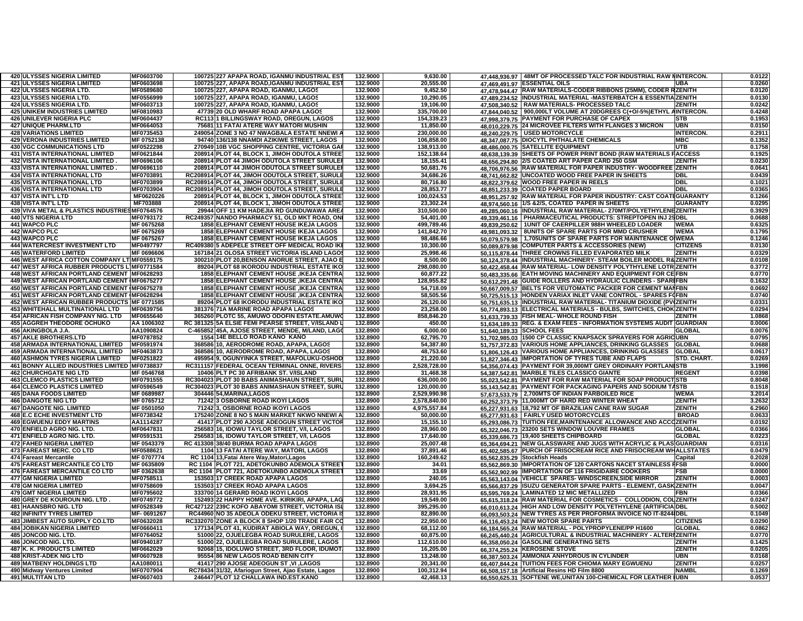| <b>420 ULYSSES NIGERIA LIMITED</b>                 | MF0603700  | 100725 227 APAPA ROAD, IGANMU INDUSTRIAL ES                                                 | 132,9000 | 9,630.00     |               | 47.448.936.97   48MT OF PROCESSED TALC FOR INDUSTRIAL RAW NINTERCON.                                           |                  | 0.0122           |
|----------------------------------------------------|------------|---------------------------------------------------------------------------------------------|----------|--------------|---------------|----------------------------------------------------------------------------------------------------------------|------------------|------------------|
| <b>421 ULYSSES NIGERIA LIMITED</b>                 | MF0603698  | 100725 227, APAPA ROAD, IGANMU INDUSTRIAL EST                                               | 132.9000 | 20,555.00    |               | 47,469,491.97 ESSENTIAL OILS                                                                                   | JBA              | 0.0260           |
| 422 ULYSSES NIGERIA LTD.                           | MF0589680  | 100725 227, APAPA ROAD, IGANMU, LAGOS                                                       | 132.9000 | 9,452.50     |               | 47.478.944.47 RAW MATERIALS-CODER RIBBONS (25MM), CODER RZENITH                                                |                  | 0.0120           |
| 423 ULYSSES NIGERIA LTD.                           | MF0556999  | 100725 227, APAPA ROAD, IGANMU, LAGOS                                                       | 132.9000 | 10,290.05    |               | 47.489.234.52 INDUSTRIAL MATERIAL -MASTERBATCH & ESSENTIAZENITH                                                |                  | 0.0130           |
| <b>424 ULYSSES NIGERIA LTD.</b>                    | MF0603713  | 100725 227, APAPA ROAD, IGANMU, LAGOS                                                       | 132.9000 | 19.106.00    |               | 47.508.340.52 RAW MATERIALS- PROCESSED TALC                                                                    | <b>ZENITH</b>    | 0.0242           |
| <b>425 UNIKEM INDUSTRIES LIMITED</b>               | MF0810983  | 47739 20 OLD WHARF ROAD APAPA LAGOS                                                         | 132.9000 | 335,700.00   | 47.844.040.52 | 900,000LT VOLUME AT 20DGREES C(+O/-5%)ETHYL AINTERCON.                                                         |                  | 0.4248           |
| <b>426 UNILEVER NIGERIA PLC</b>                    | MF0604437  | RC1131 BILLINGSWAY ROAD, OREGUN, LAGOS                                                      | 132.9000 | 154,339.23   |               | 47,998,379.75 PAYMENT FOR PURCHASE OF CAPEX                                                                    | STB              | 0.1953           |
| 427 UNIQUE PHARM.LTD                               | MF0664053  | 75681 11 FATAI ATERE WAY MATORI MUSHIN                                                      | 132.9000 | 11,850.00    |               | 48.010.229.75 24 MICROVEE FILTERS WITH FLANGES 3 MICRON                                                        | <b>UBN</b>       | 0.0150           |
| <b>428 VARIATIONS LIMITED</b>                      | MF0735453  | 249054 ZONE 3 NO 47 NWAGBALA ESTATE NNEWI /                                                 | 132.9000 | 230,000.00   |               | 48.240.229.75   USED MOTORCYCLE                                                                                | <b>INTERCON.</b> | 0.2911           |
| <b>429 VERONA INDUSTRIES LIMITED</b>               | MF 0752138 | 94740 136/138 NNAMDI AZIKIWE STREET, LAGOS                                                  | 132.9000 | 106,858.00   |               | 48,347,087.75 DIOCYTL PHTHALATE CHEMICALS                                                                      | <b>MBC</b>       | 0.1352           |
| <b>430 VGC COMMUNICATIONS LTD</b>                  | MF0522298  | 270949 10B VGC SHOPPING CENTRE, VICTORIA GAI                                                | 132.9000 | 138,913.00   |               | 48.486.000.75 SATELLITE EQUIPMENT                                                                              | UTB              | 0.1758           |
| 431 VISTA INTERNATIONAL LIMITED                    | MF0621844  | 208914 PLOT 44, BLOCK 1, JIMOH ODUTOLA STREE                                                | 132.9000 | 152,138.64   |               | 48,638,139.39 SHEETS OF POWER PRINT BOND (RAW MATERIALS FACCESS                                                |                  | 0.1925           |
| 432 VISTA INTERNATIONAL LIMITED                    | MF0696106  | 208914 PLOT 44 JIMOH ODUTOLA STREET SURULE                                                  | 132.9000 | 18,155.41    |               | 48,656,294.80 2/S COATED ART PAPER CARD 250 GSM                                                                | ZENITH           | 0.0230           |
|                                                    |            |                                                                                             |          |              |               |                                                                                                                |                  |                  |
| 433 VISTA INTERNATIONAL LIMITED                    | MF0696110  | 208914 PLOT 44 JIMOH ODUTOLA STREET SURULE                                                  | 132.9000 | 50,681.76    |               | 48.706.976.56 RAW MATERIAL FOR PAPER INDUSTRY- WOODFREE ZENITH                                                 |                  | 0.0641           |
| 434 VISTA INTERNATIONAL LTD                        | MF0703891  | RC208914 PLOT 44, JIMOH ODUTOLA STREET, SURULI                                              | 132.9000 | 34,686.26    |               | 48,741,662.82 UNCOATED WOOD FREE PAPER IN SHEETS                                                               | DBL              | 0.0439           |
| <b>435 VISTA INTERNATIONAL LTD</b>                 | MF0703899  | RC208914 PLOT 44. JIMOH ODUTOLA STREET. SURULI                                              | 132.9000 | 80,716.80    |               | 48.822.379.62 WOOD FREE PAPER IN REELS                                                                         | DBL              | 0.1021           |
| <b>436 VISTA INTERNATIONAL LTD</b>                 | MF0703904  | RC208914 PLOT 44, JIMOH ODUTOLA STREET, SURULI                                              | 132.9000 | 28,853.77    |               | 48,851,233.39 COATED PAPER BOARD                                                                               | DBL              | 0.0365           |
| <b>437 VISTA INT'L LTD</b>                         | MF0620226  | 208914 PLOT 44, BLOCK 1, JIMOH ODUTOLA STREE                                                | 132.9000 | 100.024.53   |               | 48,951,257.92 RAW MATERIAL FOR PAPER INDUSTRY: CAST COATIGUARANTY                                              |                  | 0.1266           |
| <b>438 VISTA INT'L LTD</b>                         | MF703888   | 208914 PLOT 44, BLOCK 1, JIMOH ODUTOLA STREE                                                | 132.9000 | 23,302.24    |               | 48,974,560.16 1/S &2/S, COATED PAPER IN SHEETS                                                                 | <b>GUARANTY</b>  | 0.0295           |
| 439 VIVA METAL & PLASTICS INDUSTRIESMF0764576      |            | 29944 OFF 11 KM HADEJIA RD GUNDUWAWA ARE                                                    | 132.9000 | 310,500.00   |               | 49.285.060.16 INDUSTRIAL RAW MATERIAL-270MT/POLYETHYLENEZENITH                                                 |                  | 0.3929           |
| <b>440 VTS NIGERIA LTD</b>                         | MF0793172  | RC249357 NANDO PHARMACY 51, OLD MKT ROAD, ON                                                | 132.9000 | 54,401.00    |               | 49.339.461.16   PHARMACEUTICAL PRODUCTS: STREPTOPEN INJ 25DBL                                                  |                  | 0.0688           |
| 441 WAPCO PLC                                      | MF 0675268 | <b>1858 ELEPHANT CEMENT HOUSE IKEJA LAGOS</b>                                               | 132.9000 | 499,789.46   | 49.839.250.62 | 1UNIT OF CAERPILLER 988H WHEELED LOADER                                                                        | <b>WEMA</b>      | 0.6325           |
| 442 WAPCO PLC                                      | MF 0675269 | 1858 ELEPHANT CEMENT HOUSE IKEJA LAGOS                                                      | 132.9000 | 141,842.70   | 49.981.093.32 | <b>8UNITS OF SPARE PARTS FOR MMD CRUSHER</b>                                                                   | <b>WEMA</b>      | 0.1795           |
| 443 WAPCO PLC                                      | MF 0675267 | <b>1858 ELEPHANT CEMENT HOUSE IKEJA LAGOS</b>                                               | 132.9000 | 98,486.66    |               | 50.079.579.98   1,705UNITS OF SPARE PARTS FOR MAINTENANCE O WEMA                                               |                  | 0.1246           |
| <b>444 WATERCREST INVESTMENT LTD</b>               | MF0497797  | RC409380 5 ADEPELE STREET OFF MEDICAL ROAD IK                                               | 132,9000 | 10.300.00    |               | 50,089,879.98 COMPUTER PARTS & ACCESSORIES (NEW)                                                               | <b>CITIZENS</b>  | 0.0130           |
| <b>445 WATERFORD LIMITED</b>                       | MF 0696606 | 167184 21 OLOSA STREET VICTORIA ISLAND LAGO                                                 | 132.9000 | 25,998.46    |               | 50.115.878.44 THREE CROWNS FILLED EVAPORATED MILK                                                              | ZENITH           | 0.0329           |
| 446 WEST AFRICA COTTON COMPANY LT MF0559175        |            | 300210 PLOT 20, BENSON ANORUE STREET, AJAO E                                                | 132.9000 | 8,500.00     |               | 50.124.378.44 INDUSTRIAL MACHINERY- STEAM BOILER MODEL R& ZENITH                                               |                  | 0.0108           |
| 447 WEST AFRICA RUBBER PRODUCTS LIMF0771584        |            | 89204 PLOT 68 IKORODU INDUSTRIAL ESTATE IKO                                                 | 132.9000 | 298,080.00   |               | 50.422.458.44 RAW MATERIAL- LOW DENSITY POLYTHYLENE LOTR ZENITH                                                |                  | 0.3772           |
|                                                    |            | 1858 ELEPHANT CEMENT HOUSE , IKEJA CENTRA                                                   | 132.9000 |              |               |                                                                                                                |                  | 0.0770           |
| 448 WEST AFRICAN PORTLAND CEMENT MF0628293         |            |                                                                                             |          | 60,877.22    |               | 50.483.335.66 EATH MOVING MACHINERY AND EQUIPMENT FOR CEFBN                                                    |                  |                  |
| 449 WEST AFRICAN PORTLAND CEMENT (MF0675277        |            | 1858 ELEPHANT CEMENT HOUSE , IKEJA CENTR/                                                   | 132.9000 | 128,955.82   |               | 50.612.291.48 GUIDE ROLLERS AND HYDRAULIC CLINDERS - SPARIFBN                                                  |                  | 0.1632           |
| 450 WEST AFRICAN PORTLAND CEMENT (MF0675278)       |            | <b>1858 ELEPHANT CEMENT HOUSE JKEJA CENTRA</b>                                              | 132.9000 | 54,718.09    |               | 50,667,009.57 BELTS FOR VEUTOMATIC PACKER FOR CEMENT MAIFBN                                                    |                  | 0.0692           |
| <b>451 WEST AFRICAN PORTLAND CEMENT (MF0628294</b> |            | <b>1858 ELEPHANT CEMENT HOUSE JKEJA CENTRA</b>                                              | 132.9000 | 58,505.56    |               | 50,725,515.13 HONDEN VARIAX INLET VANE CONTROL - SPARES FOFBN                                                  |                  | 0.0740           |
| 452 WEST AFRICAN RUBBER PRODUCTS MF 0771585        |            | 89204 PLOT 68 IKORODU INDUSTRIAL ESTATE IKO                                                 | 132.9000 | 26,120.00    |               | 50,751,635.13 INDUSTRIAL RAW MATERIAL- TITANIUM DIOXIDE (PV ZENITH                                             |                  | 0.033            |
| <b>453 WHITEHALL MULTINATIONAL LTD</b>             | MF0639756  | 381376 71A MARINE ROAD APAPA LAGOS                                                          | 132.9000 | 23,258.00    |               | 50.774.893.13 ELECTRICAL MATERIALS - BULBS, SWITCHES, CHOKIZENITH                                              |                  | 0.0294           |
| <b>454 AFRICAN FISH COMPANY NIG. LTD</b>           | MF0655640  | 365260 PLOTC 55, AMUWO ODOFIN ESTATE.AMUW                                                   | 132.8900 | 858,846.20   |               | 51.633.739.33 FISH MEAL-WHOLE ROUND FISH                                                                       | ZENITH           | 1.0868           |
| <b>455 AGGREH THEODORE OCHUKO</b>                  | AA 1006302 | RC 381325 5A ELSIE FEMI PEARSE STREET, V/ISLAND                                             | 132.8900 | 450.00       |               | 51,634,189.33 REG. & EXAM FEES - INFORMATION SYSTEMS AUDIT                                                     | <b>GUARDIAN</b>  | 0.0006           |
| 456 AKINGBOLA J.A.                                 | AA1090824  | C-465852 45A, AJOSE STREET, MENDE, M/LAND, LAG(                                             | 132.8900 | 6.000.00     |               | 51.640.189.33 SCHOOL FEES                                                                                      | <b>GLOBAL</b>    | 0.0076           |
| <b>457 AKLE BROTHERS.LTD</b>                       | MF0787852  | 1554 14E BELLO ROAD KANO KANO                                                               | 132.8900 | 62,795.70    |               | 51,702,985.03 1500 CP CLASSIC KNAPSACK SPRAYERS FOR AGRI                                                       | UBN              | 0.0795           |
| <b>458 ARMADA INTERNATIONAL LIMITED</b>            | MF0591974  | 368586 10, AERODROME ROAD, APAPA, LAGOS                                                     | 132.8900 | 54,387.80    |               | 51,757,372.83 VARIOUS HOME APPLIANCES, DRINKING GLASSES                                                        | <b>GLOBAL</b>    | 0.0688           |
| <b>459 ARMADA INTERNATIONAL LIMITED</b>            | MF0463873  | 368586 10, AERODROME ROAD, APAPA, LAGOS                                                     | 132.8900 | 48,753.60    |               | 51.806.126.43 VARIOUS HOME APPLIANCES, DRINKING GLASSES                                                        | <b>GLOBAL</b>    | 0.0617           |
| <b>460 ASHMON TYRES NIGERIA LIMITED</b>            | MF0251822  | 495954 9, OGUNYINKA STREET, MAFOLUKU-OSHOD                                                  | 132.8900 | 21,220.00    |               | 51.827.346.43 IMPORTATION OF TYRES TUBE AND FLAPS                                                              | STD. CHART.      | 0.0269           |
|                                                    |            |                                                                                             |          |              |               |                                                                                                                |                  |                  |
|                                                    |            |                                                                                             |          |              |               |                                                                                                                |                  |                  |
| 461 BONNY ALLIED INDUSTRIES LIMITED MF0738837      |            | RC311157 FEDERAL OCEAN TERMINAL ONNE, RIVERS                                                | 132.8900 | 2,528,728.00 |               | 54.356.074.43 PAYMENT FOR 39,000MT GREY ORDINARY PORTLANISTB                                                   |                  | 3.1998           |
| <b>462 CHURCHGATE NIG LTD</b>                      | MF 0546768 | 10406 PLT PC 30 AFRIBANK ST. V/ISLAND                                                       | 132.8900 | 31,468.38    |               | 54.387.542.81 MARBLE TILES CLASSICO GIANTE                                                                     | <b>REGENT</b>    | 0.0398           |
| <b>463 CLEMCO PLASTICS LIMITED</b>                 | MF0791555  | RC304023 PLOT 30 BABS ANIMASHAUN STREET, SUR                                                | 132.8900 | 636,000.00   |               | 55,023,542.81 PAYMENT FOR RAW MATERIAL FOR SOAP PRODUCTSTB                                                     |                  | 0.8048           |
| <b>464 CLEMCO PLASTICS LIMITED</b>                 | MF0596549  | RC304023 PLOT 30 BABS ANIMASHAUN STREET, SURI                                               | 132.8900 | 120,000.00   |               | 55,143,542.81 PAYMENT FOR PACKAGING PAPERS AND SODIUM TASTB                                                    |                  |                  |
| <b>465 DANA FOODS LIMITED</b>                      | MF 0689987 | 304446 54, MARINA, LAGOS                                                                    | 132.8900 | 2,529,990.98 |               | 57.673.533.79 2,700MTS OF INDIAN PARBOILED RICE                                                                | <b>WEMA</b>      | 3.2014           |
| <b>466 DANGOTE NIG LTD</b>                         | MF 0765712 | 71242 3 OSBORNE ROAD IKOYI LAGOS                                                            | 132.8900 | 2,578,840.00 |               | 60,252,373.79 11,000MT OF HARD RED WINTER WHEAT                                                                | <b>ZENITH</b>    | 3.2632           |
| <b>467 DANGOTE NIG. LIMITED</b>                    | MF 0501050 | 71242 3, OSBORNE ROAD IKOYI LAGOS                                                           | 132.8900 | 4,975,557.84 |               | 65,227,931.63 18,792 MT OF BRAZILIAN CANE RAW SUGAR                                                            | <b>ZENITH</b>    | 6.2960           |
| <b>468 E.C ECHE INVESTMENT LTD</b>                 | MF0738342  | 175240 ZONE 8 NO 5 MAIN MARKET NKWO NNEWI A                                                 | 132.8900 | 50,000.00    | 65.277.931.63 | <b>FAIRLY USED MOTORCYCLES</b>                                                                                 | <b>BROAD</b>     | 0.0633           |
| <b>469 EGWUENU EDDY MARTINS</b>                    | AA1114287  | 41417 PLOT 290 AJOSE ADEOGUN STREET VICTO                                                   | 132.8900 | 15.155.10    |               | 65,293,086.73 TUITION FEE, MAINTENANCE ALLOWANCE AND ACCOZENITH                                                |                  | 0.0192           |
| 470 ENFIELD AGRO NIG. LTD.                         | MF0647831  | 256583 16, IDOWU TAYLOR STREET, V/I, LAGOS                                                  | 132.8900 | 28,960.00    |               | 65,322,046.73 23200 SETS WINDOW LOUVRE FRAMES                                                                  | <b>GLOBAI</b>    | 0.0366           |
| 471 ENFIELD AGRO NIG. LTD.                         | MF0591531  | 256583 16, IDOWU TAYLOR STREET, V/I, LAGOS                                                  | 132.8900 | 17,640.00    |               | 65,339,686.73 19,400 SHEETS CHIPBOARD                                                                          | <b>GLOBAL</b>    | 0.1518<br>0.0223 |
| <b>472 FAHED NIGERIA LIMITED</b>                   | MF 0543379 | RC 413308 38/40 BURMA ROAD APAPA LAGOS                                                      | 132.8900 | 25,007.48    |               | 65,364,694.21 NEW GLASSWARE AND JUGS WITH ACRYLIC & PLASIGUARDIAN                                              |                  | 0.0316           |
| 473 FAREAST MERC. CO LTD                           | MF0588621  | 1104 13 FATAI ATERE WAY, MATORI, LAGOS                                                      | 132.8900 | 37,891.46    |               | 65.402.585.67 PURCH OF FRISOCREAM RICE AND FRISOCREAM WHALLSTATES                                              |                  | 0.0479           |
| 474 Fareast Mercantile                             | MF 0707774 | RC 1104 13, Fatai Atere Way, Matori, Lagos                                                  | 132.8900 | 160,249.62   |               |                                                                                                                | Capital          | 0.2028           |
| 475 FAREAST MERCANTILE CO LTD                      | MF 0635809 | RC 1104 PLOT 721, ADETOKUNBO ADEMOLA STREE                                                  | 132.8900 | 34.01        |               | 65,562,835.29 Stockfish Heads                                                                                  | FFSB             | 0.0000           |
| <b>476 FAREAST MERCANTILE CO LTD</b>               | MF 0362638 | RC 1104 PLOT 721, ADETOKUNBO ADEMOLA STREET                                                 | 132.8900 |              |               | 65.562.869.30 IMPORTATION OF 120 CARTONS NACET STAINLESS                                                       | FSB              | 0.0000           |
|                                                    |            |                                                                                             |          | 33.69        |               | 65,562,902.99  IMPORTATION OF 116 FRIGIDAIRE COOKERS                                                           |                  |                  |
| <b>477 GM NIGERIA LIMITED</b>                      | MF0758511  | 153503 17 CREEK ROAD APAPA LAGOS                                                            | 132.8900 | 240.05       |               | 65,563,143.04 VEHICLE SPARES-WINDSCREEN, SIDE MIRROR                                                           | <b>ZENITH</b>    | 0.0003           |
| <b>478 GM NIGERIA LIMITED</b>                      | MF0758609  | 153503 17 CREEK ROAD APAPA LAGOS                                                            | 132.8900 | 3,694.25     |               | 65.566.837.29 ISUZU GENERATOR SPARE PARTS - ELEMENT, GASP                                                      | <b>KZENITH</b>   | 0.0047           |
| <b>479 GMT NIGERIA LIMITED</b>                     | MF0795602  | 333700 14 GERARD ROAD IKOYI LAGOS                                                           | 132.8900 | 28,931.95    |               | 65.595.769.24 LAMINATED 12 MIC METALLIZED                                                                      | -BN              | 0.0366           |
| 480 GREY DE KOUROUN NIG. LTD.                      | MF0749772  | 152493 22 HAPPY HOME AVE. KIRIKIRI, APAPA, LAG                                              | 132.8900 | 19,549.00    |               | 65.615.318.24 RAW MATERIAL FOR COSMETICS - COLLODION, COLZENITH                                                |                  | 0.0247           |
| 481 HAANSBRO NIG. LTD                              | MF0528349  | RC427122 239C KOFO ABAYOMI STREET, VICTORIA ISI                                             | 132.8900 | 395,295.00   |               | 66.010.613.24 HIGH AND LOW DENSITY POLYETHYLENE (ARTIFICIA DBL                                                 |                  | 0.5002           |
| <b>482 INFINITY TYRES LIMITED</b>                  | MF-0691267 | RC44960 NO 35 ADEOLA ODEKU STREET, VICTORIA I                                               | 132.8900 | 82,890.00    |               | 66,093,503.24 NEW TYRES AS PER PROFORMA INVOICE NO IT-8244 DBL                                                 |                  | 0.1049           |
| 483 JIMBEST AUTO SUPPLY CO.LTD                     | MF0632028  | RC332070 ZONE A BLOCK 8 SHOP 1/20 TRADE FAIR CO                                             | 132.8900 | 22,950.00    |               | 66,116,453.24 NEW MOTOR SPARE PARTS                                                                            | <b>CITIZENS</b>  | 0.0290           |
| <b>484 JOBIKAN NIGERIA LIMITED</b>                 | MF0660411  | 177134 PLOT 41, KUDIRAT ABIOLA WAY, OREGUN,                                                 | 132.8900 | 68,112.00    |               | 66,184,565.24 RAW MATERIAL - POLYPROPYLENE/PP H1600                                                            | <b>GLOBAL</b>    | 0.0862           |
| 485 JONCOD NIG. LTD.                               | MF0764052  | 51000 22, OJUELEGBA ROAD SURULERE, LAGOS                                                    | 132.8900 | 60,875.00    |               | 66.245.440.24 AGRICULTURAL & INDUSTRIAL MACHINERY - ALTERIZENITH                                               |                  | 0.0770           |
| 486 JONCOD NIG. LTD.                               | MF0940187  | 51000 22, OJUELEGBA ROAD SURULERE, LAGOS                                                    | 132.8900 | 112,610.00   |               | 66,358,050.24 GASOLINE GENERATING SETS                                                                         | ZENITH           | 0.1425           |
| 487 K. K. PRODUCTS LIMITED                         | MF0662029  | 92068 15, IDOLUWO STREET, 3RD FLOOR, IDUMOT                                                 | 132.8900 | 16,205.00    |               | 66,374,255.24 KEROSENE STOVE                                                                                   | <b>ZENITH</b>    | 0.0205           |
| <b>488 KRIST-ADEK NIG LTD</b>                      | MF0607928  | 95554 86 NEW LAGOS ROAD BENIN CITY                                                          | 132.8900 | 13,248.00    |               | 66,387,503.24 AMMONIA ANHYDROUS IN CYLINDER                                                                    | UBN              | 0.0168           |
| <b>489 MATBENY HOLDINGS LTD</b>                    | AA1080011  | 41417 290 AJOSE ADEOGUN ST, VI, LAGOS                                                       | 132.8900 | 20,341.00    |               | 66,407,844.24 TUITION FEES FOR CHIOMA MARY EGWUENU                                                             | <b>ZENITH</b>    | 0.0257           |
| 490 Midway Ventures Limited                        | MF0707904  | RC78434 31/32, Afariogun Street, Ajao Estate, Lagos<br>246447 PLOT 12 CHALLAWA IND EST.KANO | 132.8900 | 100,312.94   |               | 66,508,157.18 Artificial Resins HD Film 8800<br>66,550,625.31 SOFTENE WE, UNITAN 100-CHEMICAL FOR LEATHER JUBN | <b>NAMBI</b>     | 0.1269<br>0.0537 |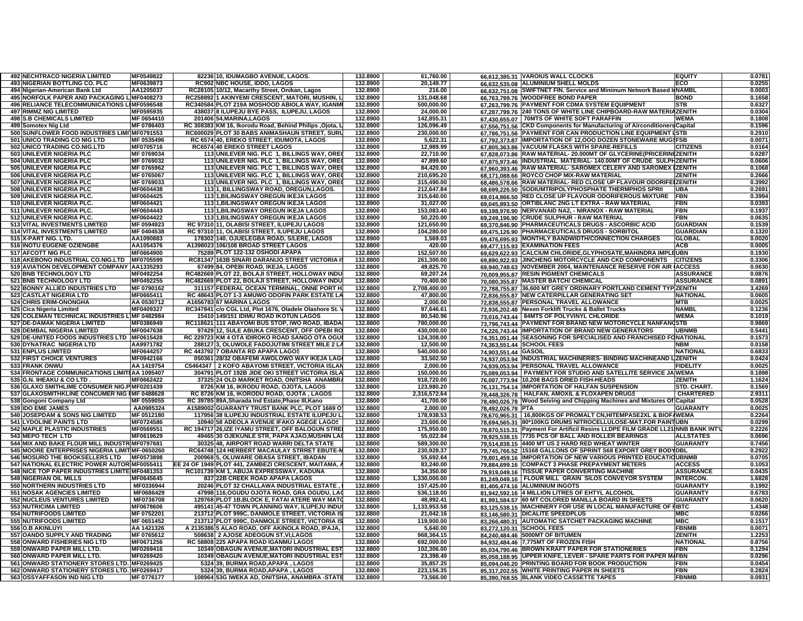| <b>492 NECHTRACO NIGERIA LIMITED</b>           | MF0549822  | 82236 10, IDUMAGBO AVENUE, LAGOS.                      | 132.8900 | 61,760.00    |                      | 66,612,385.31 VAROIUS WALL CLOCKS<br><b>EQUITY</b>                              | 0.0781 |
|------------------------------------------------|------------|--------------------------------------------------------|----------|--------------|----------------------|---------------------------------------------------------------------------------|--------|
| 493 NIGERIAN BOTTLING CO. PLC                  | MF0639873  | RC902 NBC HOUSE, IDDO, LAGOS                           | 132.8900 | 20,149.77    |                      | 66.632.535.08 ALUMINIUM SHELL MOLDS<br><b>ECO</b>                               | 0.0255 |
| 494 Nigerian-American Bank Ltd                 | AA1205037  | 10/12, Macarthy Street, Onikan, Lagos<br>RC28105       | 132.8900 | 216.00       |                      | 66.632.751.08 SWIFTNET FIN. Service and Minimum Network Based IINAMB            | 0.0003 |
| 495 NORFOLK PAPER AND PACKAGING LIMF0408273    |            | 1 AKINYEMI CRESCENT, MATORI, MUSHIN,<br>RC258892       | 132.8900 | 131,048.68   |                      | 66,763,799.76 WOODFREE BOND PAPER<br><b>BOND</b>                                | 0.1658 |
| 496 RELIANCE TELECOMMUNICATIONS LIMF0596548    |            | RC340584<br>PLOT 219A MOSHOOD ABIOLA WAY, IGANM        | 132.8900 | 500,000.00   |                      | 67,263,799.76 PAYMENT FOR CDMA SYSTEM EQUIPMENT<br><b>STB</b>                   | 0.6327 |
| <b>497 RIMMZ NIG LIMITED</b>                   | MF0595935  | 438037 8 ILUPEJU BYE PASS, ILUPEJU, LAGOS              | 132.8900 | 24,000.00    |                      | 67.287.799.76 240 TONS OF WHITE LINE CHIPBOARD-RAW MATERIAZENITH                | 0.0304 |
| <b>498 S.B CHEMICALS LIMITED</b>               | MF 0654410 | 201406 54, MARINA, LAGOS                               | 132.8900 | 142,855.31   |                      | 67,430,655.07   70MTS OF WHITE SOFT PARAFFIN<br><b>WEMA</b>                     | 0.1808 |
| 499 Somotex Nig Ltd                            | MF 0786403 | RC 308383 KM 16, Ikorodu Road, Behind Philips , Ojota, | 132.8900 | 126,096.49   | 67.556.751.56        | <b>CKD Components for Manufacturing of Airconditioners Capital</b>              | 0.1596 |
| 500 SUNFLOWER FOOD INDUSTRIES LIMI MF0791553   |            | RC600029 PLOT 30 BABS ANIMASHAUN STREET, SURI          | 132.8900 | 230,000.00   |                      | 67.786.751.56 PAYMENT FOR CAN PRODUCTION LINE EQUIPMENT ISTB                    | 0.2910 |
| 501 UNICO TRADING CO NIG LTD                   | MF 0535496 | RC 6574 40, EREKO STREET, IDUMOTA, LAGOS               | 132.8900 | 5,622.31     |                      | 67.792.373.87 IMPORTATION OF 12,000 DOZEN STONEWARE MUG\$FSB                    | 0.0071 |
| 502 UNICO TRADING CO.NIG.LTD                   | MF0705716  | RC6574 40 EREKO STREET LAGOS                           | 132.8900 | 12.989.99    |                      | 67,805,363.86 VACUUM FLASKS WITH SPARE-REFILLS<br><b>CITIZENS</b>               | 0.0164 |
| 503 UNILEVER NIGERIA PLC                       | MF 0769034 | 113 UNILEVER NIG. PLC 1, BILLINGS WAY, ORE             | 132.8900 | 22,710.00    |                      | 67.828.073.86 RAW MATERIAL- 20.000MT OF GLYCERINE(PRICERINIZENITH               | 0.0287 |
| 504 UNILEVER NIGERIA PLC                       | MF 0769032 | 113 UNILEVER NIG. PLC 1, BILLINGS WAY, ORE             | 132.8900 | 47,899.60    |                      | 67.875.973.46 INDUSTRIAL MATERIAL-140.00MT OF CRUDE SULPHZENITH                 | 0.0606 |
| 505 UNILEVER NIGERIA PLC                       | MF 0765962 | 113 UNILEVER NIG. PLC 1, BILLINGS WAY, ORE             | 132.8900 | 84,420.00    |                      | 67,960,393.46 RAW MATERIAL- SAROMEX CELERY AND SAROMEX IZENITH                  | 0.1068 |
| 506 UNILEVER NIGERIA PLC                       | MF 0765067 | 113 UNILEVER NIG. PLC 1, BILLINGS WAY, ORE             | 132.8900 | 210,695.20   |                      | 68.171.088.66 ROYCO CHOP MIX-RAW MATERIAL<br><b>ZENITH</b>                      | 0.2666 |
| 507 UNILEVER NIGERIA PLC                       | MF 0769033 | UNILEVER NIG. PLC 1, BILLINGS WAY, ORE<br>113          | 132.8900 | 315,490.00   |                      | 68.486.578.66 RAW MATERIAL- RED CLOSE UP FLAVOUR ODORIFEIZENITH                 | 0.3992 |
| 508 UNILEVER NIGERIA PLC                       | MF0604438  | 11311, BILLINGSWAY ROAD, OREGUN, LAGOS.                | 132.8900 | 212,647.84   |                      | 68.699.226.50 SODIUMTRIPOLYPHOSPHATE THERMPHOS SPRII<br><b>UBA</b>              | 0.2691 |
| 509 UNILEVER NIGERIA PLC.                      | MF0604425  | <b>113 1. BILINGSWAY OREGUN IKEJA LAGOS</b>            | 132.8900 | 315,640.00   |                      | 69,014,866.50 RED CLOSE UP FLAVOUR ODORIFEROUS MIXTURE<br><b>IFBN</b>           | 0.3994 |
| 510 UNILEVER NIGERIA PLC.                      | MF0604421  | 113 1, BILINGSWAY OREGUN IKEJA LAGOS                   | 132.8900 | 31,027.00    |                      | 69,045,893.50 ORTIBLANC 2NG LT EXTRA - RAW MATERIAL<br><b>FBN</b>               | 0.0393 |
| 511 UNILEVER NIGERIA PLC.                      | MF0604443  | 113 1, BILINGSWAY OREGUN IKEJA LAGOS                   | 132.8900 | 153,083.40   |                      | 69.198.976.90 NERVANAID NA2, - NIRANOX - RAW MATERIAL<br><b>FBN</b>             | 0.1937 |
| 512 UNILEVER NIGERIA PLC.                      | MF0604422  | 113 1, BILINGSWAY OREGUN IKEJA LAGOS                   | 132.8900 | 50,220.00    |                      | 69.249.196.90 CRUDE SULPHUR - RAW MATERIAL<br>FBN                               | 0.0635 |
| 513 VITAL INVESTMENTS LIMITED                  | MF 0594923 | RC 97310 11, OLABISI STREET, ILUPEJU LAGOS             | 132.8900 | 121,650.00   |                      | 69.370.846.90 PHARMACEUTICALS DRUGS - ASCORBIC ACID<br><b>GUARDIAN</b>          | 0.1539 |
| 514 VITAL INVESTMENTS LIMITED                  | MF 0404538 | RC 97310 11, OLABISI STREET, ILUPEJU LAGOS             | 132.8900 | 104,280.00   |                      | 69,475,126.90 PHARMACEUTICALS DRUGS - SORBITOL<br><b>GUARDIAN</b>               | 0.1320 |
| 515 X-PART NIG. LTD.                           | AA1090883  | 178302 140, OJUELEGBA ROAD, S/LERE, LAGOS              | 132.8900 | 1,569.03     |                      | 69.476.695.93 MONTHLY BANDWIDTH/CONNECTION CHARGES<br><b>GLOBAL</b>             | 0.0020 |
| 516 INOTU EUGENE OZIENGBE                      | AA1054376  | A1398023<br>106/108 BROAD STREET LAGOS                 | 132.8800 | 420.00       |                      | 69,477,115.93 EXAMINATION FEES<br><b>ACB</b>                                    | 0.0005 |
| 517 AFCOTT NIG PLC                             | MF0664900  | PLOT 122-132 OSHODI APAPA<br>75289                     | 132.8800 | 152,507.00   | 69,629,622.93        | CALCIUM CHLORIDE, GLYPHOSATE, MAHINDRA IMPLEUBN                                 | 0.1930 |
| 518 AKEBONO INDUSTRIAL CO.NIG.LTD MF0705599    |            | RC81347 163B SINARI DARANIJO STREET VICTORIA           | 132.8800 | 261,300.00   |                      | 69.890.922.93 JINCHENG MOTORCYCLE AND CKD COMPONENTS<br><b>CITIZENS</b>         | 0.3306 |
| 519 AVIATION DEVELOPMENT COMPANY AA1335293     |            | 67499<br>84, OPEBI ROAD, IKEJA, LAGOS                  | 132.8800 | 49,825.70    | 69.940.748.63        | <b>NOVEMBER 2004, MAINTENANCE RESERVE FOR AIR (ACCESS</b>                       | 0.0630 |
| 520 BNB TECHNOLOGY LTD                         | MF0492254  | RC482669<br>PLOT 22, BOLAJI STREET, HOLLOWAY INDU      | 132.8800 | 69,207.24    |                      | 70.009.955.87 RESIN PIGMENT CHEMICALS<br><b>ASSURANCE</b>                       | 0.0876 |
| <b>521 BNB TECHNOLOGY LTD</b>                  | MF0492255  | PLOT 22. BOLAJI STREET. HOLLOWAY INDU<br>RC482669      | 132.8800 | 70.400.00    | 70.080.355.87        | <b>MASTER BATCH/ CHEMICAL</b><br><b>ASSURANCE</b>                               | 0.0891 |
| 522 BONNY ALLIED INDUSTRIES LTD                | MF 0790162 | FEDERAL OCEAN TERMINAL, ONNE PORT H<br>311157          | 132.8800 | 2,708,400.00 | 72,788,755.87        | 36,600 MT GREY ORDINARY PORTLAND CEMENT TYP ZENITH                              | 3.4269 |
| <b>523 CASTLAT NIGERIA LTD</b>                 | MF0665411  | RC 48643 PLOT 1-3 AMUWO ODOFIN PARK ESTATE LA          | 132.8800 | 47,800.00    |                      | 72,836,555.87 NEW CATERPILLAR GENERATING SET<br><b>NATIONAL</b>                 | 0.0605 |
| 524 CHRIS ERIM-ONONGHA                         | AA 0530712 | A1656783 67 MARINA LAGOS                               | 132.8800 | 2,000.00     |                      | 72,838,555.87 PERSONAL TRAVEL ALLOWANCE<br><b>MTB</b>                           | 0.0025 |
| 525 Cica Nigeria Limited                       | MF0409327  | RC347841 c/o CGL Ltd, Plot 1676, Oladele Olashore St.  | 132.8800 | 97,646.61    |                      | 72.936.202.48 Nexen Forklift Trucks & Ballet Trucks<br><b>NAMB</b>              | 0.1236 |
|                                                |            | 15410 149/151 IDIMU ROAD IKOTUN LAGOS                  | 132.8800 | 80,540.96    |                      | <b>WEMA</b>                                                                     | 0.1019 |
| 526 COLEMAN TECHNICAL INDUSTRIES LIMF 0482984  |            |                                                        |          |              |                      | 73,016,743.44   84MTS OF POLYVINYL CHLORIDE                                     |        |
| 527 DE-DAMAK NIGERIA LIMITED                   | MF0386949  | RC118621 111 ABAYOMI BUS STOP, IWO ROAD, IBADA         | 132.8800 | 780,000.00   |                      | 73.796.743.44 PAYMENT FOR BRAND NEW MOTORCYCLE NANFANGSTB                       | 0.9869 |
| 528 DEMBAL NIGERIA LIMITED                     | MF0047638  | 97429 12, SULE ABUKA CRESCENT, OFF OPEBIRO             | 132.8800 | 430.000.00   |                      | 74.226.743.44 IMPORTATION OF BRAND NEW GENERATORS<br><b>UBNMB</b>               | 0.5441 |
| 529 DE-UNITED FOODS INDUSTRIES LTD MF0615428   |            | RC 229723 KM 4 OTA IDIROKO ROAD SANGO OTA OGU          | 132.8800 | 124,308.00   |                      | 74.351.051.44 SEASONING FOR SPECIALISED AND FRANCHISED FONATIONAL               | 0.1573 |
| 530 DYNATRAC NIGERIA LTD                       | AA9971782  | 288127 3, OLUWOLE FADOJUTIMI STREET MILE 2 L/          | 132.8800 | 12,500.00    |                      | 74.363.551.44 SCHOOL FEES<br><b>NBM</b>                                         | 0.0158 |
| 531 ENPLUS LIMITED                             | MF0644257  | RC 443792 7 OBANTA RD APAPA LAGOS                      | 132.8800 | 540,000.00   | 74.903.551.44 GASOIL | <b>NATIONAL</b>                                                                 | 0.6833 |
| 532 FIRST CHOICE VENTURES                      | MF0942166  | 050361 28/32 OBAFEMI AWOLOWO WAY IKEJA LAG             | 132.8800 | 33,502.50    |                      | 74.937.053.94 IINDUSTRIAL MACHINERIES- BINDING MACHINEAND LIZENITH              | 0.0424 |
| <b>533 FRANK ONWU</b>                          | AA 1419754 | C5464347   2 KOFO ABAYOMI STREET, VICTORIA ISLAI       | 132.8800 | 2,000.00     |                      | 74,939,053.94 PERSONAL TRAVEL ALLOWANCE<br><b>FIDELITY</b>                      | 0.0025 |
| 534 FRONTAGE COMMUNICATIONS LIMITIAA 1095407   |            | 304791 PLOT 192B JIDE OKI STREET VICTORIA ISLA         | 132.8800 | 150,000.00   |                      | 75.089.053.94   PAYMENT FOR STUDIO AND SATELLITE SERVICE JA WEMA                | 0.1898 |
| 535 G.N. IHEAKU & CO LTD                       | MF0662422  | 37325 24 OLD MARKET ROAD, ONITSHA ANAMBR/              | 132.8800 | 918,720.00   |                      | 76.007.773.94 10,208 BAGS DRIED FISH-HEADS<br>ZENITH                            | 1.1624 |
| 536 GLAXO SMITHLIME CONSUMER NIG.P MF0201439   |            | 8726 KM 16, IKRODU ROAD, OJOTA, LAGOS                  | 132.8800 | 123,980.20   |                      | 76.131.754.14 IMPORTATION OF HALFAN SUSPENSION<br>STD. CHART.                   | 0.1569 |
| 537 GLAXOSMITHKLINE CONCUMER NIG IMF 0488628   |            | RC 8726 KM 16, IKORODU ROAD, OJOTA, LAGOS              | 132.8800 | 2,316,572.64 |                      | 78.448.326.78 HALFAN, AMOXIL & FLOXAPEN DRUGS<br><b>CHARTERED</b>               | 2.9311 |
| 538 Gongoni Company Ltd                        | MF 0559055 | RC 39785 89A, Sharada Ind Estate, Phase III, Kano      | 132.8800 | 41,700.00    |                      | 78,490,026.78 Wood Seiving and Chipping Machines and Mixtures Of Capital        | 0.0528 |
| 539 IDO EME JAMES                              | AA0985324  | A1589002 GUARANTY TRUST BANK PLC, PLOT 1669 O          | 132.8800 | 2,000.00     | 78.492.026.78 PTA    | GUARANTY                                                                        | 0.0025 |
| 540 JOSEPDAM & SONS NIG LIMITED                | MF 0512180 | 117956 38 ILUPEJU INDUSTRIAL ESTATE ILUPEJU L          | 132.8800 | 178,938.53   | 78.670.965.31        | 16,800KGS OF PROMALT CN, HITEMPASE2XL & BIOF / WEMA                             | 0.2264 |
| <b>541 LYDOLINE PAINTS LTD</b>                 | MF0724586  | 10940 58 ADEOLA AVENUE IFAKO AGEGE LAGOS               | 132.8800 | 23,600.00    |                      | 78,694,565.31 80*100KG DRUMS NITROCELLULOSE-MAT.FOR PAINTUBN                    | 0.0299 |
| <b>542 MAPLE PLASTIC INDUSTRIES</b>            | MF0569551  | RC 194717 26, IZE IYAMU STREET, OFF BALOGUN STRE       | 132.8800 | 175,950.00   |                      | 78.870.515.31 Payment For Artificil Resins LLDPE FILM GRADE LL21 NNB BANK INT'L | 0.2226 |
| 543 MEPO TECH LTD                              | MF0619629  | 49465<br>30 OJEKUNLE STR, PAPA AJAO, MUSHIN LA         | 132.8800 | 55,022.84    |                      | 78,925,538.15 7735 PCS OF BALL AND ROLLER BEARINGS<br><b>ALLSTATES</b>          | 0.0696 |
| 544 MIX AND BAKE FLOUR MILL INDUSTR MF0797681  |            | 30325<br>48, AIRPORT ROAD WARRI DELTA STATE            | 132.8800 | 589,300.00   |                      | 79,514,838.15 4400 MT US 2 HARD RED WHEAT WINTER<br><b>GUARANTY</b>             | 0.7456 |
| 545 MOORE ENTERPRISES NIGERIA LIMIT MF-0650260 |            | <b>RC64748</b><br>124 HERBERT MACAULAY STRRET EBUTE-I  | 132.8800 | 230,928.37   |                      | 79.745.766.52 15168 GALLONS OF SPRINT S68 EXPORT GREY BODYDBL                   | 0.2922 |
| 546 MOSURO THE BOOKSELLERS LTD                 | MF0573898  | 200968<br>i, OLUWARE OBASA STREET, IBADAN              | 132.8800 | 55,692.64    |                      | 79.801.459.16 IMPORTATION OF NEW VARIOUS PRINTED EDUCATIOUBNME                  | 0.0705 |
| 547 NATIONAL ELECTRIC POWER AUTORIMF0055411    |            | EE 24 OF 1949<br>PLOT 441, ZAMBEZI CRESCENT, MAITAMA,  | 132.8800 | 83,240.00    |                      | 79.884.699.16 COMPACT 3 PHASE PREPAYMENT METERS<br><b>ACCESS</b>                | 0.1053 |
| 548 NICE TOP PAPER INDUSTRIES LIMITE MF0481353 |            | KM 1. ABUJA EXPRESSWAY. KADUNA<br>RC101739             | 132.8800 | 34.350.00    |                      | 79.919.049.16 TISSUE PAPER CONVERTING MACHINE<br><b>ASSURANCE</b>               | 0.0435 |
| <b>549 NIGERIAN OIL MILLS</b>                  | MF0645645  | <b>22B CREEK ROAD APAPA LAGOS</b><br>837               | 132.8800 | 1,330,000.00 |                      | 81,249,049.16   FLOUR MILL GRAIN SILOS CONVEYOR SYSTEM<br><b>INTERCON.</b>      | 1.6828 |
| 550 NORTHERN INDUSTRIES LTD                    | MF0336944  | PLOT 32 CHALLAWA INDUSTRIAL ESTATE<br>20246            | 132.8800 | 157,425.00   |                      | 81,406,474.16 ALUMINIUM INGOTS<br><b>GUARANTY</b>                               | 0.1992 |
| <b>551 NOSAK AGENCIES LIMITED</b>              | MF0686429  | 116,OGUDU OJOTA ROAD, GRA OGUDU, LA(<br>47998          | 132.8800 | 536,118.00   |                      | 81.942.592.16 4 MILLION LITRES OF EHTYL ALCOHOL<br><b>GUARANTY</b>              | 0.6783 |
| 552 NUCLEUS VENTURES LIMITED                   | MF0736708  | 129768 PLOT 1B, BLOCK E, FATAI ATERE WAY MATO          | 132.8800 | 48,992.41    |                      | 81,991,584.57 60 MT COLORED MANILLA BOARD IN SHEETS<br><b>GUARANTY</b>          | 0.0620 |
| 553 NUTRICIMA LIMITED                          | MF0678606  | 495141 45-47 TOWN PLANNING WAY, ILUPEJU INDU           | 132.8800 | 1,133,953.58 |                      | 83.125.538.15 MACHINERY FOR USE IN LOCAL MANUFACTURE OF HIBTC                   | 1.4348 |
| 554 NUTRIFOODS LIMITED                         | MF 0752201 | 213712 PLOT 999C, DANMOLE STREET, VICTORIA IS          | 132.8800 | 21,042.16    |                      | 83,146,580.31 DICALITE SPEEDPLUS<br><b>MBC</b>                                  | 0.0266 |
| 555 NUTRIFOODS LIMITED                         | MF 0651452 | 213712 PLOT 999C, DANMOLE STREET, VICTORIA IS          | 132.8800 | 119.900.00   |                      | 83,266,480.31 AUTOMATIC SATCHET PACKAGING MACHINE<br><b>MBC</b>                 | 0.1517 |
| 556 O.B AKINLUYI                               | AA 1421326 | A 2135386 5 ALAO ROAD, OFF AKINOLA ROAD, IPAJA,        | 132.8800 | 5,640.00     |                      | 83,272,120.31 SCHOOL FEES<br><b>FBNMB</b>                                       | 0.0071 |
| 557 OANDO SUPPLY AND TRADING                   | MF 0765612 | 2 AJOSE ADEOGUN ST, VI, LAGOS<br>508638                | 132.8800 | 968,364.15   |                      | 84,240,484.46 5000MT OF BITUMEN<br><b>ZENITH</b>                                | 1.2253 |
| 558 ONWARD FISHERIES NIG LTD                   | MF0671256  | RC 58808 225 APAPA ROAD IGANMU LAGOS                   | 132.8800 | 692,000.00   |                      | 84.932.484.46 7,775MT OF FROZEN FISH<br><b>NATIONAL</b>                         | 0.8756 |
| 559 ONWARD PAPER MILL LTD.                     | MF0269416  | 10349 OBAGUN AVENUE, MATORI INDUSTRIAL EST             | 132.8800 | 102,306.00   |                      | 85.034.790.46 BROWN KRAFT PAPER FOR STATIONERIES<br><b>FBN</b>                  | 0.1294 |
| 560 ONWARD PAPER MILL LTD                      | MF0269420  | 10349 OBAGUN AVENUE,MATORI INDUSTRIAL EST              | 132.8800 | 23,398.49    |                      | 85.058.188.95 UPPER KNIFE, LEVER - SPARE PARTS FOR PAPER MIFBN                  | 0.0296 |
| 561 ONWARD STATIONERY STORES LTD. MF0269425    |            | 5324 39, BURMA ROAD, APAPA, LAGOS                      | 132.8800 | 35,857.25    |                      | 85.094.046.20 PRINTING BOARD FOR BOOK PRODUCTION<br><b>FBN</b>                  | 0.0454 |
| 562 ONWARD STATIONERY STORES LTD. MF0269417    |            | 5324 39, BURMA ROAD, APAPA, LAGOS                      | 132.8800 | 223.156.35   |                      | 85,317,202.55 WHITE PRINTING PAPER IN SHEETS<br><b>FBN</b>                      | 0.2824 |
| 563 OSSYAFFASON IND NIG LTD                    | MF 0776177 | 108964 53G IWEKA AD, ONITSHA, ANAMBRA -STATE           | 132,8800 | 73,566.00    |                      | 85,390,768.55 BLANK VIDEO CASSETTE TAPES<br><b>FBNMB</b>                        | 0.0931 |
|                                                |            |                                                        |          |              |                      |                                                                                 |        |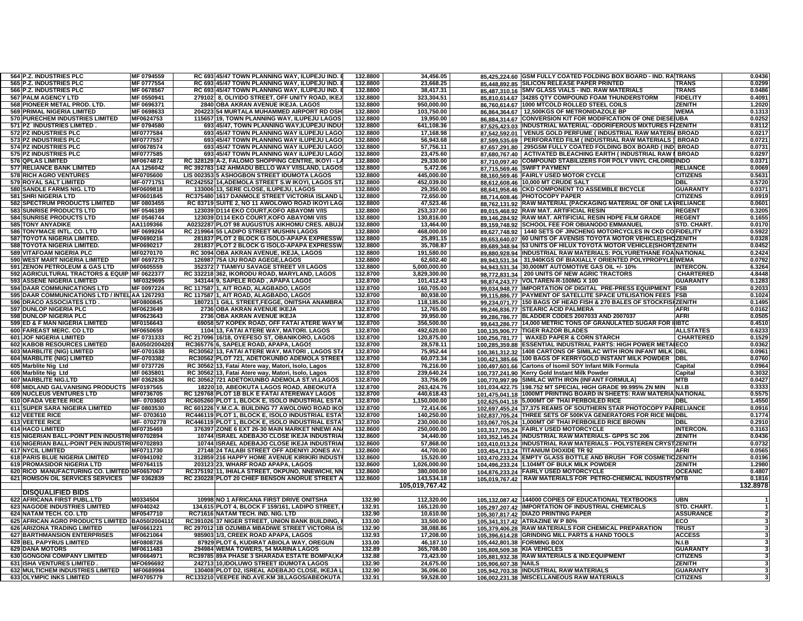| 564 P.Z. INDUSTRIES PLC                         | MF 0794559       | RC 693 45/47 TOWN PLANNING WAY, ILUPEJU IND.       | 132.8800 | 34,456.05      |                             | 85.425.224.60 GSM FULLY COATED FOLDING BOX BOARD - IND. RAITRANS     |                  | 0.0436       |
|-------------------------------------------------|------------------|----------------------------------------------------|----------|----------------|-----------------------------|----------------------------------------------------------------------|------------------|--------------|
| 565 P.Z. INDUSTRIES PLC                         | MF 0777554       | RC 693 45/47 TOWN PLANNING WAY, ILUPEJU IND.       | 132.8800 | 23,668.25      |                             | 85.448.892.85 SILICON RELEASE PAPER PRINTED                          | TRANS            | 0.0299       |
| 566 P.Z. INDUSTRIES PLC                         | MF 0678567       | RC 693 45/47 TOWN PLANNING WAY, ILUPEJU IND.       | 132,8800 | 38,417.31      |                             | 85,487,310.16 SMV GLASS VIALS - IND. RAW MATERIALS                   | <b>TRANS</b>     | 0.0486       |
| 567 PALM AGENCY LTD                             | MF 0550941       | 279102 8, OLIYIDO STREET, OFF UNITY ROAD, IKE.     | 132.8800 | 323,304.51     |                             | 85,810,614.67 34285 QTY COMPOUND FOAM THUNDERSTORM                   | <b>FIDELITY</b>  | 0.4091       |
| 568 PIONEER METAL PROD. LTD.                    | MF 0696371       | 2840 OBA AKRAN AVENUE IKEJA. LAGOS                 | 132.8800 | 950,000.00     |                             | 86.760.614.67 1000 MTCOLD ROLLED STEEL COILS                         | <b>ZENITH</b>    | 1.2020       |
| 569 PRIMAL NIGERIA LIMITED                      | MF 0698633       | 204223 54 MURTALA MUHAMMED AIRPORT RD OSH          | 132.8800 | 103,750.00     |                             | 86,864,364.67 12,500KGS OF METRONIDAZOLE BP                          | <b>WEMA</b>      | 0.1313       |
| 570 PURECHEM INDUSTRIES LIMITED                 | MF0624753        | 115657119. TOWN PLANNING WAY. ILUPEJU LAGOS        | 132.8800 | 19,950.00      |                             | 86,884,314.67 CONVERSION KIT FOR MODIFICATION OF ONE DIESE UBA       |                  | 0.0252       |
| 571 PZ INDUSTRIES LIMITED                       | MF 0794580       | 693 45/47, TOWN PLANNING WAY, ILUPEJU INDU         | 132.8800 | 641,108.36     |                             | 87,525,423.03 INDUSTRIAL MATERIAL -ODORIFEROUS MIXTURES FIZENITH     |                  | 0.8112       |
| 572 PZ INDUSTRIES PLC                           | MF0777584        | 693 45/47 TOWN PLANNING WAY ILUPEJU LAGO           | 132.8800 | 17.168.98      |                             | 87,542,592.01 VENUS GOLD PERFUME ( INDUSTRIAL RAW MATERIA BROAD      |                  | 0.0217       |
| 573 PZ INDUSTRIES PLC                           | <b>MF0777557</b> | 693145/47 TOWN PLANNING WAY ILUPEJU LAGO           | 132.8800 | 56,943.68      |                             | PERFORATED FILM (INDUSTRIAL RAW MATERIALS ) BROAD                    |                  | 0.0721       |
| 574 PZ INDUSTRIES PLC                           | MF0678574        | 693 45/47 TOWN PLANNING WAY ILUPEJU LAGO           | 132.8800 |                | 87,599,535.69               | 87,657,291.80 295GSM FULLY COATED FOLDING BOX BOARD (IND BROAD       |                  | 0.0731       |
|                                                 |                  |                                                    |          | 57,756.11      |                             |                                                                      |                  |              |
| 575 PZ INDUSTRIES PLC                           | MF0777585        | 693 45/47 TOWN PLANNING WAY ILUPEJU LAGO           | 132.8800 | 23,475.60      |                             | 87.680.767.40   ACTIVATED BLEACHING EARTH (INDUSTRIAL RAW   BROAD    |                  | 0.0297       |
| 576 QPLAS LIMITED                               | MF0674872        | RC 328129 A-2, FALOMO SHOPPING CENTRE, IKOYI - LA  | 132.8800 | 29,330.00      |                             | 87,710,097.40 COMPOUND STABILIZERS FOR POLY VINYL CHLORIDINDO        |                  | 0.0371       |
| <b>577 RELIANCE BANK LIMITED</b>                | AA 1256042       | RC 392783 142 AHMADU BELLO WAY V/ISLAND, LAGOS     | 132.8800 | 5,472.06       |                             | 87,715,569.46 SWIFT PAYMENT                                          | <b>RELIANCE</b>  | 0.0069       |
| 578 RICH AGRO VENTURES                          | MF0705600        | LIS 002353 5 ASHOGBON STREET IDUMOTA LAGOS         | 132.8800 | 445,000.00     |                             | 88,160,569.46 FAIRLY USED MOTOR CYCLE                                | <b>CITIZENS</b>  | 0.5631       |
| 579 ROYAL SALT LIMITED                          | MF-0771751       | RC242552 14.ADEMOLA STREET S.W IKOYI, LAGOS ST.    | 132.8800 | 452,039.00     |                             | 88,612,608.46 10,000 MT CRUDE SALT                                   | <b>DBL</b>       | 0.5720       |
| 580 SANDLE FARMS NIG. LTD                       | MF0609818        | 133006 13, SERE CLOSE, ILUPEJU, LAGOS              | 132.8800 | 29,350.00      |                             | 88,641,958.46 CKD COMPONENT TO ASSEMBLE BICYCLE                      | <b>GUARANTY</b>  | 0.0371       |
| 581 SHRI NIGERIA LTD                            | MF0601845        | RC375480 1617 DANMOLE STREET VICTORIA ISLAND L     | 132.8800 | 72,650.00      |                             | 88,714,608.46 PHOTOCOPY PAPER                                        | <b>CITIZENS</b>  | 0.0919       |
| <b>582 SPECTRUM PRODUCTS LIMITED</b>            | MF 0803455       | RC 83719 SUITE 2, NO 11 AWOLOWO ROAD IKOYI LAG     | 132.8800 | 47,523.46      |                             | 88,762,131.92 RAW MATERIAL (PACKAGING MATERIAL OF ONE LAYRELIANCE    |                  | 0.0601       |
| 583 SUNRISE PRODUCTS LTD                        | MF 0546189       | 123039 D114 EKO COURT, KOFO ABAYOMI V/IS           | 132.8800 | 253,337.00     |                             | 89.015.468.92 RAW MAT. ARTIFICIAL RESIN                              | <b>REGENT</b>    | 0.3205       |
| 584 SUNRISE PRODUCTS LTD                        | MF 0546744       | 123039 D114 EKO COURT, KOFO ABAYOMI V/IS           | 132.8800 | 130,816.00     |                             | 89,146,284.92 RAW MAT. ARTIFICIAL RESIN HDPE FILM GRADE              | <b>REGENT</b>    | 0.1655       |
| <b>585 TONY ANYADIKE</b>                        | AA1109366        | A0232287 PLOT 98 AUGUSTUS AIKHOMU CRES. ABUJ.      | 132.8800 | 13,464.00      |                             | 89,159,748.92 SCHOOL FEE FOR OBIANODO EMMANUEL                       | STD. CHART.      | 0.0170       |
| 586 TONYMACE INTL. CO. LTD                      | MF 0699264       | RC 219964 55 LADIPO STREET MUSHIN LAGOS            | 132.8800 | 468,000.00     | 89,627,748.92               | 1440 SETS OF JINCHENG MOTORCYCLES IN CKD CO FIDELITY                 |                  | 0.5922       |
| 587 TOYOTA NIGERIA LIMITED.                     | MF0690216        | 281837 PLOT 2 BLOCK G ISOLO-APAPA EXPRESSW         | 132.8800 | 25,891.15      | 89,653,640.07               | 60 UNITS OF AVENSIS TOYOTA MOTOR VEHICLE(SHOZENITH                   |                  | 0.0328       |
| 588 TOYOTA NIGERIA LIMITED.                     | MF0690217        | 281837 PLOT 2 BLOCK G ISOLO-APAPA EXPRESSW         | 132.8800 | 35,708.87      |                             | 89.689.348.94 53 UNITS OF HILUX TOYOTA MOTOR VEHICLE(SHORTIZENITH    |                  | 0.0452       |
| <b>589 VITAFOAM NIGERIA PLC</b>                 | MF0270170        | RC 3094 OBA AKRAN AVENUE, IKEJA, LAGOS             | 132.8800 | 191,580.00     |                             | 89.880.928.94 INDUSTRIAL RAW MATERIALS: POLYURETHANE FOANATIONAL     |                  | 0.2424       |
| 590 WEST MART NIGERIA LIMITED                   | MF 0697275       | 126987 75A IJU ROAD AGEGE, LAGOS                   | 132.8800 | 62,602.40      |                             | 89.943.531.34 31,940KGS OF BIAXIALLY ORIENTED POLYPROPYLE WEMA       |                  | 0.0792       |
| 591 ZENON PETROLEUM & GAS LTD                   | MF0605559        | 352372 7 TIAMIYU SAVAGE STREET V/I LAGOS           | 132.8800 | 5,000,000.00   |                             | 94.943.531.34 30,000MT AUTOMOTIVE GAS OIL +/- 10%                    | <b>INTERCON</b>  | 6.3264       |
| 592 AGRICULTURAL TRACTORS & EQUIP MF 0622377    |                  | RC 332218 362, IKORODU ROAD, MARYLAND, LAGOS       | 132.8700 | 3,829,300.00   | 98,772,831.34               | 200 UNITS OF NEW AGRIC TRACTORS                                      | <b>CHARTERED</b> | 4.8448       |
| 593 ASSENE NIGERIA LIMITED                      | MF0329695        | 343144 9, SAPELE ROAD, APAPA LAGOS                 | 132.8700 | 101,412.43     |                             | 98,874,243.77 VOLTAREN-R-100MG X 100                                 | <b>GUARANTY</b>  | 0.1283       |
| <b>594 DAAR COMMUNICATIONS LTD</b>              | MF 0097224       | RC 117587 1, AIT ROAD, ALAGBADO, LAGOS             | 132.8700 |                |                             | 99.034.948.77 IMPORTATION OF DIGITAL PRE-PRESS EQUIPMENT FSB         |                  | 0.2033       |
|                                                 |                  |                                                    |          | 160,705.00     |                             |                                                                      |                  |              |
| 595 DAAR COMMUNICATIONS LTD / INTEL AA 1267293  |                  | RC 117587 1, AIT ROAD, ALAGBADO, LAGOS             | 132.8700 | 80,938.00      |                             | 99.115.886.77 PAYMENT OF SATELLITE SPACE UTILISATION FEES   FSB      |                  | 0.1024       |
| 596 DRACO ASSOCIATES LTD.                       | MF0800845        | 180721 1 GILL STREET,FEGGE, ONITSHA ANAMBRA        | 132.8700 | 118,185.00     |                             | 99.234.071.77 150 BAGS OF HEAD FISH & 270 BALES OF STOCKFISHZENITH   |                  | 0.1495       |
| 597 DUNLOP NIGERIA PLC                          | MF0623649        | 2736 OBA AKRAN AVENUE IKEJA                        | 132.8700 | 12,765.00      |                             | 99,246,836.77 STEARIC ACID PALMERA                                   | <b>AFRI</b>      | 0.0162       |
| 598 DUNLOP NIGERIA PLC                          | MF0623643        | 2736 OBA AKRAN AVENUE IKEJA                        | 132.8700 | 39,950.00      |                             | 99.286.786.77 BLADDER CODES 2007033 AND 2007037                      | <b>AFRI</b>      | 0.0505       |
| 599 ED & F MAN NIGERIA LIMITED                  | MF0156643        | 69058 5/7 KOPEK ROAD, OFF FATAI ATERE WAY M        | 132.8700 | 356.500.00     |                             | 99,643,286.77 14,000 METRIC TONS OF GRANULATED SUGAR FOR IIIBTC      |                  | 0.4510       |
| 600 FAREAST MERC. CO LTD                        | MF0650659        | 1104 13, FATAI ATERE WAY, MATORI. LAGOS            | 132.8700 | 492,620.00     |                             | 100,135,906.77 TIGER RAZOR BLADES                                    | <b>ALLSTATES</b> | 0.6233       |
| 601 JOF NIGERIA LIMITED                         | MF 0731333       | RC 217096 16/18, OYEFESO ST, OBANIKORO, LAGOS      | 132.8700 | 120,875.00     |                             | 100,256,781.77   WAXED PAPER & CORN STARCH                           | <b>CHARTERED</b> | 0.1529       |
| 602 KABOB RESOURCES LIMITED                     | BA050/200420     | RC365776 6, SAPELE ROAD, APAPA, LAGOS              | 132.8700 | 28,578.11      |                             | 100,285,359.88 ESSENTIAL INDUSTRIAL PARTS: HIGH POWER METAIECO       |                  | 0.0362       |
| 603 MARBLITE (NIG) LIMITED                      | MF-0701638       | RC30562 13, FATAI ATERE WAY, MATORI, LAGOS ST.     | 132.8700 | 75,952.44      |                             | 100,361,312.32 1408 CARTONS OF SIMILAC WITH IRON INFANT MILK DBL     |                  | 0.0961       |
| 604 MARBLITE (NIG) LIMITED                      | MF-0703382       | RC30562 PLOT 721, ADETOKUNBO ADEMOLA STREET        | 132.8700 | 60,073.34      |                             | 100,421,385.66 100 BAGS OF KERRYGOLD INSTANT MILK POWDER             | <b>DBL</b>       | 0.0760       |
| 605 Marblite Nig Ltd                            | MF 0737726       | RC 30562 13, Fatai Atere way, Matori, Isolo, Lagos | 132.8700 | 76,216.00      |                             | 100,497,601.66 Cartons of Isomil SOY Infant Milk Formula             | Capital          | 0.0964       |
| 606 Marblite Nig Ltd                            | MF 0635801       | RC 30562 13, Fatai Atere way, Matori, Isolo, Lagos | 132.8700 | 239,640.24     |                             | 100,737,241.90 Kerry Gold Instant Milk Powder                        | Capital          | 0.3032       |
| 607 MARBLITE NIG.LTD                            | MF 0362636       | RC 30562 721 ADETOKUNBO ADEMOLA ST.VI.LAGOS        | 132.8700 | 33,756.09      |                             | 100,770,997.99 SIMILAC WITH IRON (INFANT FORMULA)                    | <b>MTB</b>       | 0.0427       |
| 608 MIDLAND GALVANISING PRODUCTS                | MF0197565        | 18220 10, ABEOKUTA LAGOS ROAD, ABEOKUTA            | 132.8700 | 263,424.76     |                             | 101,034,422.75 198.752 MT SPECIAL HIGH GRADE 99.995% ZN MIN          | N.I.B            | 0.3333       |
| 609 NUCLEUS VENTURES LTD                        | MF0736705        | RC 129768 PLOT 1B BLK E FATAI ATEREWAY LAGOS       | 132.8700 | 440,618.43     |                             | 101.475.041.18 1000MT PRINTING BOARD IN SHEETS: RAW MATERIA NATIONAL |                  | 0.5575       |
| 610 OFADA VEETEE RICE                           | MF-0703603       | RC605260 PLOT 1, BLOCK E, ISOLO INDUSTRIAL ESTA    | 132.8700 | 1,150,000.00   |                             | 102.625.041.18 5,000MT OF THAI PERBOILED RICE                        | DBL              | 1.4550       |
| 611 SUPER SARA NIGEIRA LIMITED                  | MF 0803530       | RC 601226 Y.M.C.A. BUILDING 77 AWOLOWO ROAD IKC    | 132.8700 | 72,414.06      |                             | 102.697.455.24 37,375 REAMS OF SOUTHERN STAR PHOTOCOPY PAIRELIANCE   |                  | 0.0916       |
| <b>612 VEETEE RICE</b>                          | MF-0703610       | RC446119 PLOT 1, BLOCK E, ISOLO INDUSTRIAL ESTA    | 132.8700 | 140,250.00     |                             | 102.837.705.24 THREE SETS OF 500KVA GENERATORS FOR RICE MILDBL       |                  | 0.1774       |
| 613 VEETEE RICE                                 | MF-0702778       | RC446119 PLOT 1, BLOCK E, ISOLO INDUSTRIAL ESTA    | 132.8700 | 230.000.00     |                             | 103,067,705.24 1,000MT OF THAI PERBOILED RICE BROWN                  | <b>DBL</b>       | 0.2910       |
| <b>614 HACO LIMITED</b>                         | MF0735469        | 376397 ZONE 6 EXT 26-30 MAIN MARKET NNEWI AN.      | 132.8600 | 250,000.00     |                             | 103,317,705.24 FAIRLY USED MOTORCYCLE                                | <b>INTERCON.</b> | 0.3163       |
| 615 NIGERIAN BALL-POINT PEN INDUSTRIMF0702894   |                  | 10744 ISRAEL ADEBAJO CLOSE IKEJA INDUSTRIA         | 132.8600 | 34,440.00      |                             | 103.352.145.24 INDUSTRIAL RAW MATERIALS- GPPS SC 206                 | <b>ZENITH</b>    | 0.0436       |
|                                                 |                  |                                                    |          |                |                             |                                                                      |                  |              |
| 616 NIGERIAN BALL-POINT PEN INDUSTRIMF0702893   |                  | 10744 ISRAEL ADEBAJO CLOSE IKEJA INDUSTRIA         | 132.8600 | 57,868.00      |                             | 103.410.013.24 INDUSTRIAL RAW MATERIALS - POLYSTEREN CRYSTIZENITH    |                  | 0.0732       |
| <b>617 NYCIL LIMITED</b>                        | MF0711730        | 27148 24 TALABI STREET OFF ADENIYI JONES AV.       | 132.8600 | 44,700.00      |                             | 103.454.713.24 TITANIUM DIOXIDE TR 92                                | AFRI             | 0.0565       |
| 618 PARIS BLUE NIGERIA LIMITED                  | MF0941092        | 312859 216 HAPPY HOME AVENUE KIRIKIRI INDUST       | 132.8600 | 15,520.00      |                             | 103.470.233.24 EMPTY GLASS BOTTLE AND BRUSH FOR COSMETI              | <b>GZENITH</b>   | 0.0196       |
| <b>619 PROMASIDOR NIGERIA LTD</b>               | MF0764115        | 203123 23, WHARF ROAD APAPA, LAGOS                 | 132.8600 | 1,026,000.00   | 104.496.233.24              | 1.104MT OF BULK MILK POWDER                                          | <b>ZENITH</b>    | 1.2980       |
| 620 RICO MANUFACTURING CO. LIMITED MF0657067    |                  | RC375192 11, IHIALA STREET, OKPUNO, NNEWICHI, NN   | 132.8600 | 380,000.00     |                             | 104,876,233.24 FAIRLY USED MOTORCYCLE                                | <b>OCEANIC</b>   | 0.4807       |
| 621 ROMSON OIL SERVICES SERVICES                | MF 0362839       | RC 230228 PLOT 20 CHIEF BENSON ANORUE STREET A     | 132.8600 | 143,534.18     | 105,019,767.42              | RAW MATERIALS FOR PETRO-CHEMICAL INDUSTRYMTB                         |                  | 0.1816       |
|                                                 |                  |                                                    |          | 105,019,767.42 |                             |                                                                      |                  | 132.8978     |
| <b>DISQUALIFIED BIDS</b>                        |                  |                                                    |          |                |                             |                                                                      |                  |              |
| <b>622 AFRICANA FIRST PUBL.LTD</b>              | M0334504         | 10998 NO 1 AFRICANA FIRST DRIVE ONITSHA            | 132.90   | 112,320.00     |                             | 105,132,087.42 144000 COPIES OF EDUCATIONAL TEXTBOOKS                | <b>UBN</b>       |              |
| <b>623 NAGODE INDUSTRIES LIMITED</b>            | MF040242         | 134.615 PLOT 4. BLOCK F 159/161. LADIPO STREET.    | 132.91   | 165.120.00     |                             | 105,297,207.42 IMPORTATION OF INDUSTRIAL CHEMICALS                   | STD. CHART.      |              |
| 624 NATAM TECH, CO. LTD                         | MF0547710        | RC71616 NATAM TECH, IND, NIG, LTD                  | 132.90   | 10.610.00      |                             | 105,307,817.42 DIAZO PRINTING PAPER                                  | <b>ASSURANCE</b> | $\mathbf{2}$ |
| 625 AFRICAN AGRO PRODUCTS LIMITED BA050/2004110 |                  | RC391026 37 NIGER STREET, UNION BANK BUILDING,     | 133.00   | 33,500.00      |                             | 105,341,317.42 ATRAZINE W P 80%                                      | ECO              |              |
| 626 ARIZONA TRADING LIMITED                     | MF0661221        | RC 297012 1B OZUMBA MBADIWE STREET VICTORIA IS     | 132.90   | 38,088.86      |                             | 105.379.406.28 RAW MATERIALS FOR CHEMICAL PREPARATION                | <b>TRUST</b>     | 3            |
| <b>627 BARTHMANSION ENTERPRISES</b>             | MF0621064        | 985903 1/3, CREEK ROAD APAPA, LAGOS                | 132.93   | 17,208.00      |                             | 105,396,614.28 GRINDING MILL PARTS & HAND TOOLS                      | <b>ACCESS</b>    | 3            |
| 628 BEL PAPYRUS LIMITED                         | MF0808726        | 87929 PLOT 6. KUDIRAT ABIOLA WAY, OREGUN           | 133.00   | 46.187.10      |                             | 105.442.801.38 FORMING BOX                                           | N.I.B            |              |
| <b>629 DANA MOTORS</b>                          | MF0611483        | 294984 WEMA TOWERS, 54 MARINA LAGOS                | 132.89   | 365,708.00     | 105,808,509.38 KIA VEHICLES |                                                                      | <b>GUARANTY</b>  |              |
| 630 GONGONI COMPANY LIMITED                     | MF0664971        | RC39785 89A PHASE 3 SHARADA ESTATE BOMPAI,K.       | 132.88   | 73,423.00      |                             | 105,881,932.38 RAW MATERIALS & IND.EQUIPMENT                         | <b>CITIZENS</b>  |              |
| <b>631 ISHA VENTURES LIMITED</b>                | MFO696692        | 242713 10, IDOLUWO STREET IDUMOTA LAGOS            | 132.90   | 24,675.00      | 105,906,607.38 NAILS        |                                                                      | <b>ZENITH</b>    |              |
| <b>632 MULTICHEM INDUSTRIES LIMITED</b>         | MF0689994        | 130408 PLOT D2, ISREAL ADEBAJO CLOSE, IKEJA L      | 132.90   | 36,096.00      |                             | 105,942,703.38 INDUSTRIAL RAW MATERIALS                              | <b>GUARANTY</b>  |              |
| <b>633 OLYMPIC INKS LIMITED</b>                 | MF0705779        | RC133210 VEEPEE IND.AVE.KM 38,LAGOS/ABEOKUTA       | 132.91   | 59,528.00      |                             | 106,002,231.38 MISCELLANEOUS RAW MATERIALS                           | <b>CITIZENS</b>  |              |
|                                                 |                  |                                                    |          |                |                             |                                                                      |                  |              |